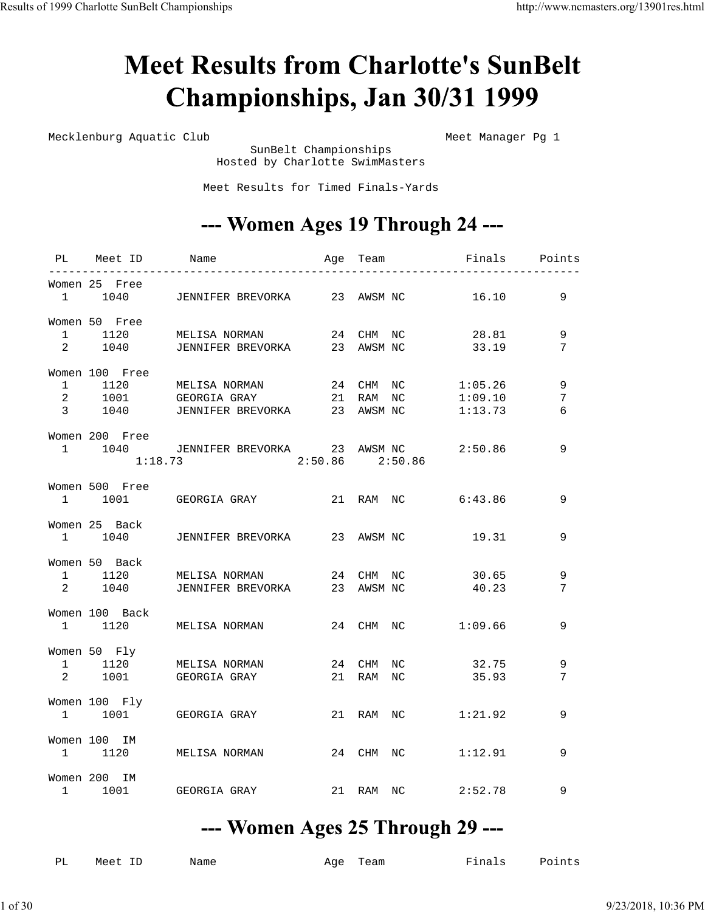## **Meet Results from Charlotte's SunBelt** Championships, Jan 30/31 1999

Mecklenburg Aquatic Club Meet Manager Pg 1

 SunBelt Championships Hosted by Charlotte SwimMasters

Meet Results for Timed Finals-Yards

#### --- Women Ages 19 Through 24 ---

| PL Meet ID Name           | Age Team                                                                                     |                                    | Finals Points                 |             |
|---------------------------|----------------------------------------------------------------------------------------------|------------------------------------|-------------------------------|-------------|
| Women 25 Free             | 1 1040 JENNIFER BREVORKA 23 AWSM NC                                                          |                                    | 16.10                         | 9           |
| Women 50 Free             | 1 1120 MELISA NORMAN 24 CHM NC 28.81<br>2 1040 JENNIFER BREVORKA 23 AWSM NC 33.19            |                                    |                               | 9<br>7      |
| Women 100 Free            | 1 1120 MELISA NORMAN<br>2 1001 GEORGIA GRAY 21 RAM NC<br>3 1040 JENNIFER BREVORKA 23 AWSM NC | 24 CHM NC                          | 1:05.26<br>1:09.10<br>1:13.73 | 9<br>7<br>6 |
| Women 200 Free<br>1:18.73 | 1 1040 JENNIFER BREVORKA 23 AWSM NC 2:50.86                                                  | $2:50.86$ $2:50.86$                |                               | 9           |
| Women 500 Free            | 1 1001 GEORGIA GRAY 21 RAM NC 6:43.86                                                        |                                    |                               | 9           |
| Women 25 Back             | 1 1040 JENNIFER BREVORKA 23 AWSM NC                                                          |                                    | 19.31                         | 9           |
| Women 50 Back             | 1 1120 MELISA NORMAN 24 CHM NC 30.65<br>2 1040 JENNIFER BREVORKA 23 AWSM NC 40.23            |                                    |                               | 9<br>7      |
| Women 100 Back            | 1 1120 MELISA NORMAN                                                                         | 24 CHM NC 1:09.66                  |                               | 9           |
| Women 50 Fly              | 1 1120 MELISA NORMAN<br>2 1001 GEORGIA GRAY                                                  | 24 CHM NC 32.75<br>21 RAM NC 35.93 |                               | 9<br>7      |
| Women 100 Fly             | 1 1001 GEORGIA GRAY                                                                          | 21 RAM NC 1:21.92                  |                               | 9           |
| Women 100 IM<br>1 1120    | MELISA NORMAN                                                                                | 24 CHM NC                          | 1:12.91                       | 9           |
| Women 200 IM              | 1 1001 GEORGIA GRAY                                                                          | 21 RAM NC 2:52.78                  |                               | 9           |

#### --- Women Ages 25 Through 29 ---

| РL | Meet ID | Nat |
|----|---------|-----|

me age Team Finals Points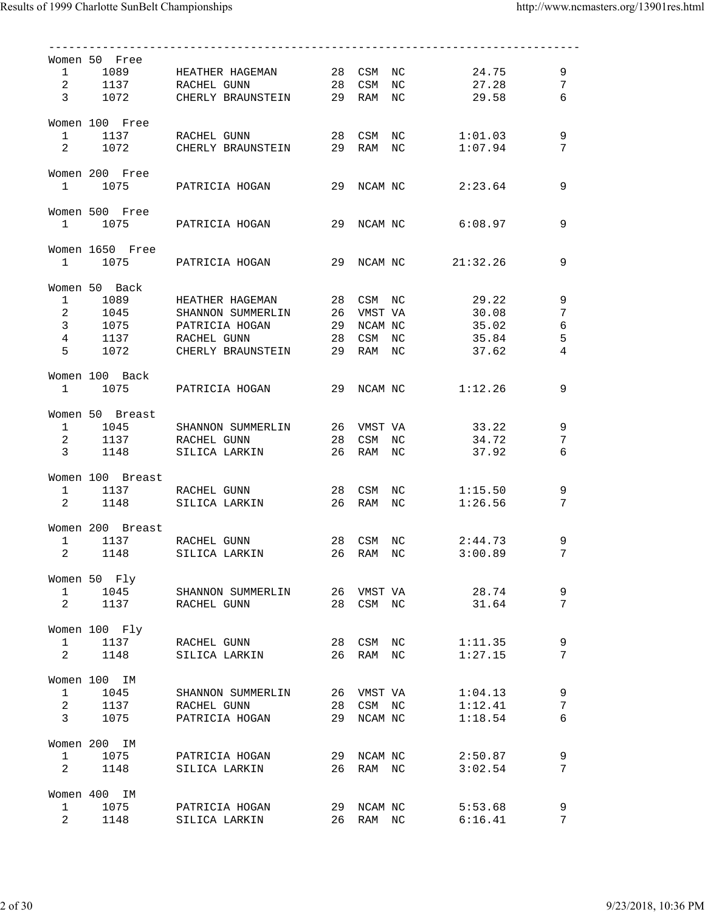|                                | Women 50 Free    |                                                                                                                        |    |            |                   |         |       |                 |
|--------------------------------|------------------|------------------------------------------------------------------------------------------------------------------------|----|------------|-------------------|---------|-------|-----------------|
|                                |                  | 1 1089 HEATHER HAGEMAN 28 CSM NC 24.75                                                                                 |    |            |                   |         |       | 9               |
|                                |                  | 2 1137 RACHEL GUNN 28 CSM NC 27.28                                                                                     |    |            |                   |         |       | $7\overline{ }$ |
|                                |                  | 3 1072 CHERLY BRAUNSTEIN 29 RAM NC 29.58                                                                               |    |            |                   |         |       | 6               |
|                                |                  |                                                                                                                        |    |            |                   |         |       |                 |
|                                | Women 100 Free   |                                                                                                                        |    |            |                   |         |       |                 |
|                                |                  | 1 1137 RACHEL GUNN 28 CSM NC 1:01.03                                                                                   |    |            |                   |         |       | 9               |
|                                |                  | 2 1072 CHERLY BRAUNSTEIN 29 RAM NC 1:07.94                                                                             |    |            |                   |         |       | 7               |
|                                |                  |                                                                                                                        |    |            |                   |         |       |                 |
|                                | Women 200 Free   |                                                                                                                        |    |            |                   |         |       |                 |
|                                |                  | $1$ 1075 PATRICIA HOGAN 29 NCAM NC $2:23.64$                                                                           |    |            |                   |         |       | 9               |
|                                |                  |                                                                                                                        |    |            |                   |         |       |                 |
|                                | Women 500 Free   |                                                                                                                        |    |            |                   |         |       |                 |
|                                |                  | 1 1075 PATRICIA HOGAN 29 NCAM NC 6:08.97                                                                               |    |            |                   |         |       | 9               |
|                                | Women 1650 Free  |                                                                                                                        |    |            |                   |         |       |                 |
|                                |                  | 1 1075 PATRICIA HOGAN 29 NCAM NC 21:32.26                                                                              |    |            |                   |         |       | 9               |
|                                |                  |                                                                                                                        |    |            |                   |         |       |                 |
|                                | Women 50 Back    |                                                                                                                        |    |            |                   |         |       |                 |
|                                |                  | 1 1089 HEATHER HAGEMAN                                                                                                 |    |            | 28 CSM NC 29.22   |         |       | $\mathsf 9$     |
|                                |                  |                                                                                                                        |    |            |                   |         |       | $7\overline{ }$ |
|                                |                  | 1045 SHANNON SUMMERLIN 26 VMST VA 30.08<br>3 1075 PATRICIA HOGAN 29 NCAM NC 35.02<br>4 1137 RACHELGUNN 28 CSM NC 35.84 |    |            |                   |         |       | $\sqrt{6}$      |
|                                |                  |                                                                                                                        |    |            |                   | 35.84   |       | $\mathsf S$     |
| 5                              |                  | 1072 CHERLY BRAUNSTEIN 29 RAM NC                                                                                       |    |            | 37.62             |         |       | $\overline{4}$  |
|                                |                  |                                                                                                                        |    |            |                   |         |       |                 |
|                                | Women 100 Back   |                                                                                                                        |    |            |                   |         |       |                 |
|                                |                  | 1 1075 PATRICIA HOGAN 29 NCAM NC 1:12.26                                                                               |    |            |                   |         |       | 9               |
|                                |                  |                                                                                                                        |    |            |                   |         |       |                 |
|                                | Women 50 Breast  |                                                                                                                        |    |            |                   |         |       |                 |
|                                |                  | 1 1045 SHANNON SUMMERLIN 26 VMST VA 33.22                                                                              |    |            |                   |         |       | 9               |
|                                |                  | 2 1137 RACHEL GUNN                                                                                                     |    |            | 28 CSM NC 34.72   |         |       | 7               |
|                                |                  | 3 1148 SILICA LARKIN                                                                                                   |    | 26 RAM NC  | 37.92             |         |       | 6               |
|                                |                  |                                                                                                                        |    |            |                   |         |       |                 |
|                                | Women 100 Breast |                                                                                                                        |    |            |                   |         |       |                 |
|                                |                  | 1 1137 RACHEL GUNN                                                                                                     |    |            | 28 CSM NC 1:15.50 |         |       | 9               |
|                                |                  | 2 1148 SILICA LARKIN                                                                                                   |    | 26 RAM NC  |                   | 1:26.56 |       | 7               |
|                                |                  |                                                                                                                        |    |            |                   |         |       |                 |
|                                | Women 200 Breast |                                                                                                                        |    |            |                   |         |       |                 |
|                                |                  | 1 1137 RACHEL GUNN 28 CSM NC<br>2 1148 SILICA LARKIN 26 RAM NC                                                         |    |            | 28 CSM NC 2:44.73 |         |       | 9               |
|                                | 1148             |                                                                                                                        |    |            |                   | 3:00.89 |       | $7\phantom{.0}$ |
|                                |                  |                                                                                                                        |    |            |                   |         |       |                 |
|                                | Women 50 Fly     |                                                                                                                        |    |            |                   |         |       |                 |
| $\mathbf{1}$                   | 1045             | SHANNON SUMMERLIN                                                                                                      | 26 | VMST VA    |                   |         | 28.74 | 9               |
| $2 \left( \frac{1}{2} \right)$ | 1137             | RACHEL GUNN                                                                                                            | 28 | CSM NC     |                   |         | 31.64 | 7               |
|                                |                  |                                                                                                                        |    |            |                   |         |       |                 |
|                                | Women 100 Fly    |                                                                                                                        |    |            |                   |         |       |                 |
| $\mathbf{1}$                   | 1137             | RACHEL GUNN                                                                                                            |    | 28 CSM NC  |                   | 1:11.35 |       | 9               |
| $\overline{2}$                 | 1148             | SILICA LARKIN                                                                                                          | 26 | RAM NC     |                   | 1:27.15 |       | 7               |
|                                | Women 100 IM     |                                                                                                                        |    |            |                   |         |       |                 |
| $\mathbf{1}$                   | 1045             | SHANNON SUMMERLIN                                                                                                      |    | 26 VMST VA |                   | 1:04.13 |       | 9               |
| $\overline{a}$                 |                  |                                                                                                                        |    |            |                   |         |       |                 |
| $\mathbf{3}$                   | 1137<br>1075     | RACHEL GUNN                                                                                                            | 28 | CSM NC     |                   | 1:12.41 |       | 7               |
|                                |                  | PATRICIA HOGAN                                                                                                         | 29 | NCAM NC    |                   | 1:18.54 |       | 6               |
|                                | Women 200 IM     |                                                                                                                        |    |            |                   |         |       |                 |
| $\mathbf{1}$                   | 1075             | PATRICIA HOGAN                                                                                                         | 29 | NCAM NC    |                   | 2:50.87 |       | 9               |
| 2                              | 1148             | SILICA LARKIN                                                                                                          | 26 | RAM NC     |                   | 3:02.54 |       | 7               |
|                                |                  |                                                                                                                        |    |            |                   |         |       |                 |
|                                | Women 400 IM     |                                                                                                                        |    |            |                   |         |       |                 |
| $\mathbf{1}$                   | 1075             | PATRICIA HOGAN                                                                                                         | 29 | NCAM NC    |                   | 5:53.68 |       | 9               |
| $\overline{a}$                 | 1148             | SILICA LARKIN                                                                                                          | 26 | RAM NC     |                   | 6:16.41 |       | 7               |
|                                |                  |                                                                                                                        |    |            |                   |         |       |                 |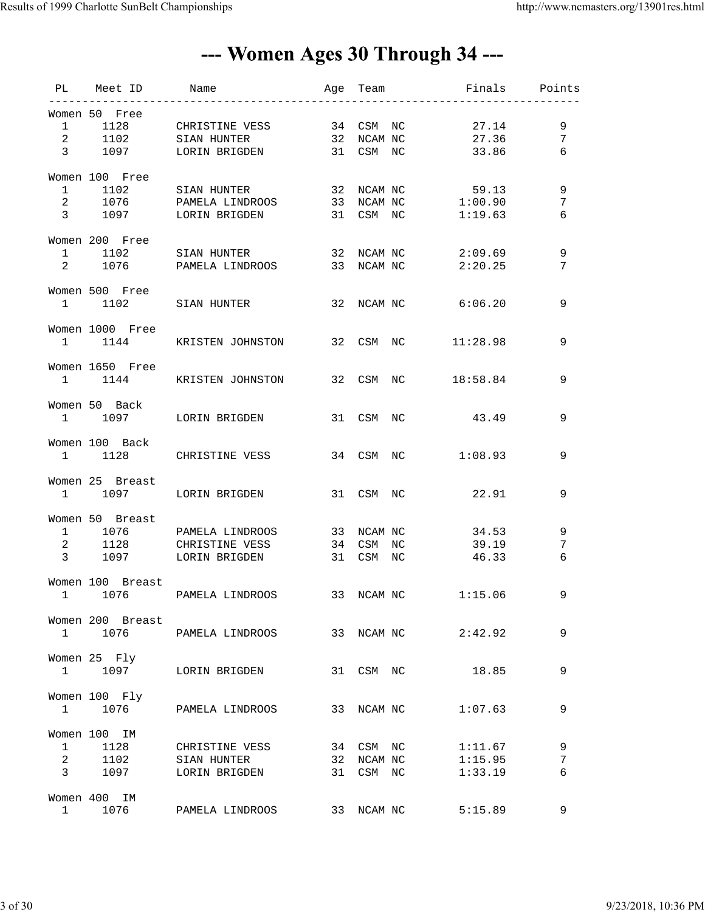### --- Women Ages 30 Through 34 ---

|                   | PL Meet ID       |                                                                                                    |    |            | . _ _ _ _ _ _ _ _ _ _ _ _ _ _ _ _ |                 |
|-------------------|------------------|----------------------------------------------------------------------------------------------------|----|------------|-----------------------------------|-----------------|
|                   | Women 50 Free    |                                                                                                    |    |            |                                   |                 |
|                   |                  | 1 1128 CHRISTINE VESS 34 CSM NC<br>2 1102 SIAN HUNTER 32 NCAM NC<br>3 1097 LORIN BRIGDEN 31 CSM NC |    |            | 27.14                             | 9               |
|                   |                  |                                                                                                    |    |            | 27.36                             | $7\overline{ }$ |
|                   |                  |                                                                                                    |    |            | 33.86                             | 6               |
|                   | Women 100 Free   |                                                                                                    |    |            |                                   |                 |
|                   |                  | 1 1102 SIAN HUNTER 32 NCAM NC 59.13                                                                |    |            |                                   | $\,9$           |
|                   |                  | 2 1076 PAMELA LINDROOS 33 NCAM NC 1:00.90                                                          |    |            |                                   | 7               |
|                   |                  | 3 1097 LORIN BRIGDEN 31 CSM NC 1:19.63                                                             |    |            |                                   | 6               |
|                   | Women 200 Free   |                                                                                                    |    |            |                                   |                 |
|                   |                  | 1 1102 SIAN HUNTER 32 NCAM NC 2:09.69                                                              |    |            |                                   | 9               |
|                   |                  | 2 1076 PAMELA LINDROOS 33 NCAM NC 2:20.25                                                          |    |            |                                   | 7               |
|                   | Women 500 Free   |                                                                                                    |    |            |                                   |                 |
|                   |                  | 1 1102 SIAN HUNTER 32 NCAM NC 6:06.20                                                              |    |            |                                   | 9               |
|                   | Women 1000 Free  |                                                                                                    |    |            |                                   |                 |
|                   |                  | 1 1144 KRISTEN JOHNSTON 32 CSM NC 11:28.98                                                         |    |            |                                   | 9               |
|                   | Women 1650 Free  |                                                                                                    |    |            |                                   |                 |
|                   |                  | 1 1144 KRISTEN JOHNSTON 32 CSM NC 18:58.84                                                         |    |            |                                   | 9               |
|                   | Women 50 Back    |                                                                                                    |    |            |                                   |                 |
|                   |                  | 1 1097 LORIN BRIGDEN                                                                               |    |            | 31 CSM NC 43.49                   | 9               |
|                   | Women 100 Back   |                                                                                                    |    |            |                                   |                 |
|                   |                  | 1 1128 CHRISTINE VESS 34 CSM NC 1:08.93                                                            |    |            |                                   | 9               |
|                   | Women 25 Breast  |                                                                                                    |    |            |                                   |                 |
|                   |                  | 1 1097 LORIN BRIGDEN                                                                               |    |            | 31 CSM NC 22.91                   | 9               |
|                   |                  |                                                                                                    |    |            |                                   |                 |
|                   | Women 50 Breast  | 1 1076 PAMELA LINDROOS                                                                             |    |            | 33 NCAM NC<br>34.53               | 9               |
|                   |                  | 2 1128 CHRISTINE VESS                                                                              |    |            | 34 CSM NC 39.19                   | 7               |
|                   |                  | 3 1097 LORIN BRIGDEN                                                                               |    |            | 31 CSM NC 46.33                   | 6               |
|                   |                  |                                                                                                    |    |            |                                   |                 |
|                   | Women 100 Breast | 1 1076 PAMELA LINDROOS 33 NCAM NC 1:15.06                                                          |    |            |                                   | 9               |
|                   |                  |                                                                                                    |    |            |                                   |                 |
|                   | Women 200 Breast |                                                                                                    |    |            |                                   |                 |
| $1 \qquad \qquad$ |                  | 1076 PAMELA LINDROOS                                                                               |    | 33 NCAM NC | 2:42.92                           | 9               |
|                   | Women 25 Fly     |                                                                                                    |    |            |                                   |                 |
| 1                 | 1097             | LORIN BRIGDEN                                                                                      | 31 | CSM NC     | 18.85                             | 9               |
|                   | Women 100 Fly    |                                                                                                    |    |            |                                   |                 |
| $1 \qquad \qquad$ | 1076             | PAMELA LINDROOS                                                                                    | 33 | NCAM NC    | 1:07.63                           | 9               |
|                   | Women 100 IM     |                                                                                                    |    |            |                                   |                 |
| $\mathbf{1}$      | 1128             | CHRISTINE VESS                                                                                     |    | 34 CSM NC  | 1:11.67                           | 9               |
| $\overline{a}$    | 1102             | SIAN HUNTER                                                                                        | 32 | NCAM NC    | 1:15.95                           | 7               |
| $3 \sim$          | 1097             | LORIN BRIGDEN                                                                                      | 31 | CSM NC     | 1:33.19                           | 6               |
|                   | Women 400 IM     |                                                                                                    |    |            |                                   |                 |
| $\mathbf{1}$      | 1076             | PAMELA LINDROOS                                                                                    | 33 | NCAM NC    | 5:15.89                           | 9               |
|                   |                  |                                                                                                    |    |            |                                   |                 |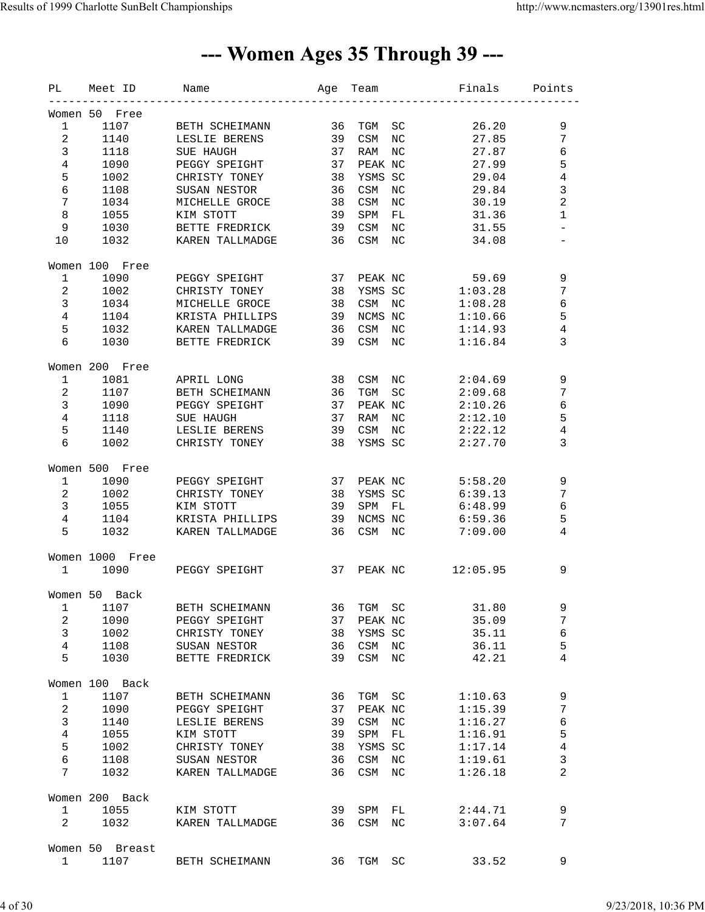### --- Women Ages 35 Through 39 ---

| PL                      | Meet ID         | Name             | Age | Team    |                  | Finals   | Points                   |
|-------------------------|-----------------|------------------|-----|---------|------------------|----------|--------------------------|
|                         | Women 50 Free   |                  |     |         |                  |          |                          |
| $\mathbf{1}$            | 1107            | BETH SCHEIMANN   | 36  | TGM     | SC               | 26.20    | 9                        |
| $\overline{a}$          | 1140            | LESLIE BERENS    | 39  | CSM     | $_{\mathrm{NC}}$ | 27.85    | $7\phantom{.0}$          |
| $\mathbf{3}$            | 1118            | <b>SUE HAUGH</b> | 37  | RAM     | $_{\mathrm{NC}}$ | 27.87    | $\epsilon$               |
| $\overline{4}$          | 1090            | PEGGY SPEIGHT    | 37  | PEAK NC |                  | 27.99    | 5                        |
| 5                       | 1002            | CHRISTY TONEY    | 38  | YSMS SC |                  | 29.04    | $\sqrt{4}$               |
| 6                       | 1108            | SUSAN NESTOR     | 36  | CSM     | $_{\mathrm{NC}}$ | 29.84    | $\mathbf{3}$             |
| 7                       | 1034            | MICHELLE GROCE   | 38  | CSM     | NC               | 30.19    | $\overline{c}$           |
| $\,8\,$                 | 1055            | KIM STOTT        | 39  | SPM     | FL               | 31.36    | $\mathbf 1$              |
| 9                       |                 |                  | 39  | CSM     | $_{\mathrm{NC}}$ |          | $\overline{\phantom{0}}$ |
|                         | 1030            | BETTE FREDRICK   |     |         |                  | 31.55    |                          |
| 10                      | 1032            | KAREN TALLMADGE  | 36  | CSM     | $_{\mathrm{NC}}$ | 34.08    |                          |
|                         | Women 100 Free  |                  |     |         |                  |          |                          |
| $\mathbf{1}$            | 1090            | PEGGY SPEIGHT    | 37  | PEAK NC |                  | 59.69    | 9                        |
| $\overline{a}$          | 1002            | CHRISTY TONEY    | 38  | YSMS SC |                  | 1:03.28  | $\sqrt{ }$               |
| $\mathbf{3}$            | 1034            | MICHELLE GROCE   | 38  | CSM     | NC               | 1:08.28  | $\epsilon$               |
| $\overline{4}$          | 1104            | KRISTA PHILLIPS  | 39  | NCMS NC |                  | 1:10.66  | 5                        |
| 5                       | 1032            | KAREN TALLMADGE  | 36  | CSM     | NC               | 1:14.93  | 4                        |
| 6                       | 1030            | BETTE FREDRICK   | 39  | CSM     | NC               | 1:16.84  | 3                        |
|                         | Women 200 Free  |                  |     |         |                  |          |                          |
| $\mathbf{1}$            | 1081            | APRIL LONG       | 38  | CSM     | NC               | 2:04.69  | $\mathsf 9$              |
| $\overline{a}$          | 1107            | BETH SCHEIMANN   | 36  | TGM     | SC               | 2:09.68  | $\sqrt{ }$               |
| $\mathbf{3}$            | 1090            | PEGGY SPEIGHT    | 37  | PEAK NC |                  | 2:10.26  | $\epsilon$               |
| $\overline{4}$          |                 | SUE HAUGH        | 37  |         |                  | 2:12.10  | 5                        |
|                         | 1118            |                  |     | RAM     | NC               |          |                          |
| 5                       | 1140            | LESLIE BERENS    | 39  | CSM     | NC               | 2:22.12  | 4                        |
| $\epsilon$              | 1002            | CHRISTY TONEY    | 38  | YSMS SC |                  | 2:27.70  | 3                        |
|                         | Women 500 Free  |                  |     |         |                  |          |                          |
| $\mathbf{1}$            | 1090            | PEGGY SPEIGHT    | 37  | PEAK NC |                  | 5:58.20  | $\mathsf 9$              |
| $\overline{a}$          | 1002            | CHRISTY TONEY    | 38  | YSMS SC |                  | 6:39.13  | 7                        |
| $\mathbf{3}$            | 1055            | KIM STOTT        | 39  | SPM     | FL               | 6:48.99  | 6                        |
| $\overline{4}$          | 1104            | KRISTA PHILLIPS  | 39  | NCMS NC |                  | 6:59.36  | 5                        |
| 5                       | 1032            | KAREN TALLMADGE  | 36  | CSM     | NC               | 7:09.00  | 4                        |
|                         | Women 1000 Free |                  |     |         |                  |          |                          |
| $\mathbf{1}$            | 1090            | PEGGY SPEIGHT    | 37  | PEAK NC |                  | 12:05.95 | 9                        |
|                         |                 |                  |     |         |                  |          |                          |
|                         | Women 50 Back   |                  |     |         |                  |          |                          |
| $\mathbf{1}$            | 1107            | BETH SCHEIMANN   | 36  | TGM     | SC               | 31.80    | 9                        |
| $\overline{\mathbf{c}}$ | 1090            | PEGGY SPEIGHT    | 37  | PEAK NC |                  | 35.09    | $\sqrt{ }$               |
| $\mathsf{3}$            | 1002            | CHRISTY TONEY    | 38  | YSMS SC |                  | 35.11    | 6                        |
| 4                       | 1108            | SUSAN NESTOR     | 36  | CSM     | NC               | 36.11    | 5                        |
| 5                       | 1030            | BETTE FREDRICK   | 39  | CSM     | NC               | 42.21    | 4                        |
|                         | Women 100 Back  |                  |     |         |                  |          |                          |
| $\mathbf{1}$            | 1107            | BETH SCHEIMANN   | 36  | TGM     | SC               | 1:10.63  | $\mathsf 9$              |
| $\overline{a}$          | 1090            | PEGGY SPEIGHT    | 37  | PEAK NC |                  | 1:15.39  | 7                        |
| $\mathbf{3}$            | 1140            | LESLIE BERENS    | 39  | CSM     | NC               | 1:16.27  | 6                        |
| $\overline{4}$          | 1055            | KIM STOTT        | 39  | SPM     | FL               | 1:16.91  | 5                        |
| 5                       | 1002            | CHRISTY TONEY    | 38  | YSMS SC |                  | 1:17.14  | $\,4$                    |
| $\epsilon$              | 1108            | SUSAN NESTOR     | 36  | CSM     | NC               | 1:19.61  | $\mathsf 3$              |
| 7                       | 1032            | KAREN TALLMADGE  | 36  | CSM     | $_{\rm NC}$      | 1:26.18  | 2                        |
|                         |                 |                  |     |         |                  |          |                          |
|                         | Women 200 Back  |                  |     |         |                  |          |                          |
| $\mathbf{1}$            | 1055            | KIM STOTT        | 39  | SPM     | FL               | 2:44.71  | 9                        |
| $\overline{a}$          | 1032            | KAREN TALLMADGE  | 36  | CSM     | NC               | 3:07.64  | 7                        |
|                         | Women 50 Breast |                  |     |         |                  |          |                          |
| $\mathbf{1}$            | 1107            | BETH SCHEIMANN   | 36  | TGM     | SC               | 33.52    | 9                        |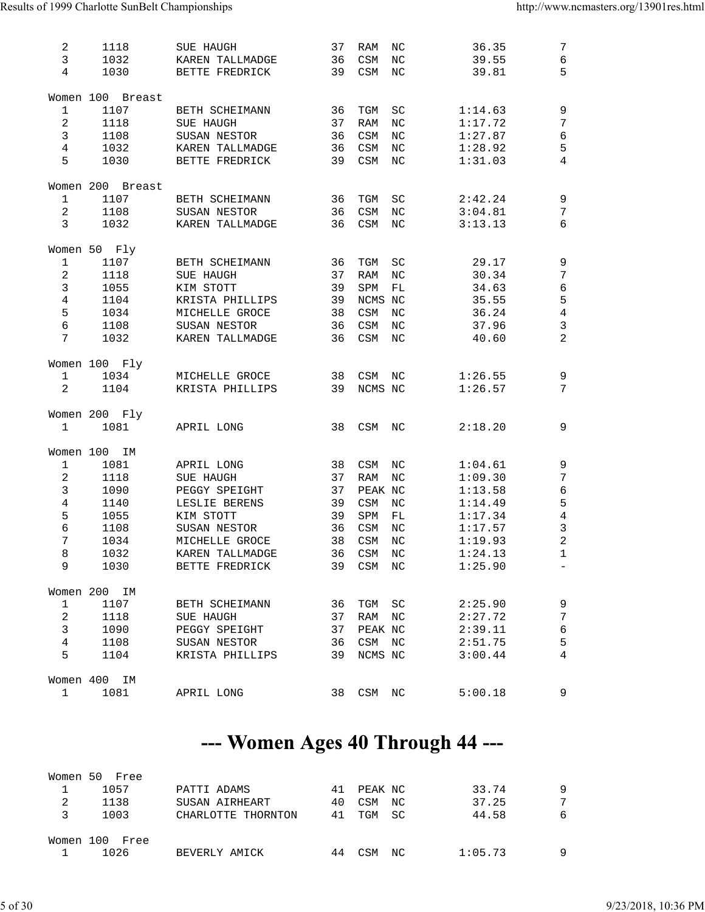| 2<br>$\mathbf{3}$<br>$\overline{4}$                                                                         | 1118<br>1032<br>1030                                                       | SUE HAUGH<br>KAREN TALLMADGE<br>BETTE FREDRICK                                                                                                | 37<br>36<br>39                         | RAM<br>CSM<br>CSM                                                           | NC<br>$_{\rm NC}$<br>$_{\rm NC}$                  | 36.35<br>39.55<br>39.81                                                                         | $7\phantom{.0}$<br>$\sqrt{6}$<br>5                                                                                                   |
|-------------------------------------------------------------------------------------------------------------|----------------------------------------------------------------------------|-----------------------------------------------------------------------------------------------------------------------------------------------|----------------------------------------|-----------------------------------------------------------------------------|---------------------------------------------------|-------------------------------------------------------------------------------------------------|--------------------------------------------------------------------------------------------------------------------------------------|
| $\mathbf{1}$<br>$\sqrt{2}$<br>$\mathbf{3}$<br>$\overline{4}$<br>5                                           | Women 100 Breast<br>1107<br>1118<br>1108<br>1032<br>1030                   | BETH SCHEIMANN<br><b>SUE HAUGH</b><br>SUSAN NESTOR<br>KAREN TALLMADGE<br>BETTE FREDRICK                                                       | 36<br>37<br>36<br>36<br>39             | TGM<br>RAM<br>CSM<br>CSM<br>CSM                                             | SC<br>NC<br>NC<br>$_{\mathrm{NC}}$<br>$_{\rm NC}$ | 1:14.63<br>1:17.72<br>1:27.87<br>1:28.92<br>1:31.03                                             | $\mathsf 9$<br>7<br>$\epsilon$<br>5<br>$\overline{4}$                                                                                |
| $\mathbf{1}$<br>$\overline{a}$<br>3                                                                         | Women 200 Breast<br>1107<br>1108<br>1032                                   | BETH SCHEIMANN<br>SUSAN NESTOR<br>KAREN TALLMADGE                                                                                             | 36<br>36<br>36                         | TGM<br>CSM<br>CSM                                                           | SC<br>$_{\rm NC}$<br>$_{\rm NC}$                  | 2:42.24<br>3:04.81<br>3:13.13                                                                   | $\mathsf 9$<br>7<br>6                                                                                                                |
| $\mathbf{1}$<br>$\sqrt{2}$<br>$\mathfrak{Z}$<br>$\overline{4}$<br>5<br>$\epsilon$<br>$7\phantom{.0}$        | Women 50 Fly<br>1107<br>1118<br>1055<br>1104<br>1034<br>1108<br>1032       | BETH SCHEIMANN<br>SUE HAUGH<br>KIM STOTT<br>KRISTA PHILLIPS<br>MICHELLE GROCE<br>SUSAN NESTOR<br>KAREN TALLMADGE                              | 36<br>37<br>39<br>39<br>38<br>36<br>36 | TGM<br>RAM<br>SPM<br>NCMS NC<br>CSM<br>CSM<br>CSM                           | SC<br>NC<br>${\rm FL}$<br>NC<br>NC<br>NC          | 29.17<br>30.34<br>34.63<br>35.55<br>36.24<br>37.96<br>40.60                                     | 9<br>$\overline{7}$<br>$\epsilon$<br>5<br>$\,4$<br>$\mathsf 3$<br>$\overline{2}$                                                     |
| 1<br>2                                                                                                      | Women 100 Fly<br>1034<br>1104                                              | MICHELLE GROCE<br>KRISTA PHILLIPS                                                                                                             | 38<br>39                               | CSM<br>NCMS NC                                                              | ΝC                                                | 1:26.55<br>1:26.57                                                                              | 9<br>7                                                                                                                               |
| $\mathbf{1}$                                                                                                | Women 200 Fly<br>1081                                                      | APRIL LONG                                                                                                                                    | 38                                     | CSM                                                                         | ΝC                                                | 2:18.20                                                                                         | 9                                                                                                                                    |
| Women 100<br>$\mathbf{1}$<br>$\sqrt{2}$<br>$\mathbf{3}$<br>$\,4$<br>5<br>$\epsilon$<br>$\sqrt{ }$<br>8<br>9 | IΜ<br>1081<br>1118<br>1090<br>1140<br>1055<br>1108<br>1034<br>1032<br>1030 | APRIL LONG<br>SUE HAUGH<br>PEGGY SPEIGHT<br>LESLIE BERENS<br>KIM STOTT<br>SUSAN NESTOR<br>MICHELLE GROCE<br>KAREN TALLMADGE<br>BETTE FREDRICK | 38<br>37<br>37<br>39<br>39<br>36<br>38 | CSM<br>RAM<br>PEAK NC<br>CSM<br>SPM<br>CSM<br>CSM<br>36 CSM NC<br>39 CSM NC | ΝC<br>NC<br>ΝC<br>FL<br>$_{\rm NC}$<br>NC         | 1:04.61<br>1:09.30<br>1:13.58<br>1:14.49<br>1:17.34<br>1:17.57<br>1:19.93<br>1:24.13<br>1:25.90 | $\mathsf 9$<br>$\sqrt{ }$<br>$\epsilon$<br>$\mathsf S$<br>$\overline{4}$<br>$\mathbf{3}$<br>$\sqrt{2}$<br>$\mathbf{1}$<br>$\equiv$ . |
| $\mathbf{1}$<br>$\overline{a}$<br>$\mathbf{3}$<br>$\overline{4}$<br>5                                       | Women 200 IM<br>1107<br>1118<br>1090<br>1108<br>1104<br>Women 400 IM       | BETH SCHEIMANN<br>SUE HAUGH<br>PEGGY SPEIGHT<br>SUSAN NESTOR<br>KRISTA PHILLIPS                                                               | 36<br>37<br>37<br>36<br>39             | TGM SC<br>RAM NC<br>PEAK NC<br>CSM NC<br>NCMS NC                            |                                                   | 2:25.90<br>2:27.72<br>2:39.11<br>2:51.75<br>3:00.44                                             | $\mathsf 9$<br>$\sqrt{ }$<br>$\epsilon$<br>5<br>$\overline{4}$                                                                       |
| $\mathbf{1}$                                                                                                | 1081                                                                       | APRIL LONG                                                                                                                                    | 38                                     | CSM NC                                                                      |                                                   | 5:00.18                                                                                         | $\mathsf 9$                                                                                                                          |

### --- Women Ages 40 Through 44 ---

|           | Women 50 Free |                    |    |         |     |         |   |
|-----------|---------------|--------------------|----|---------|-----|---------|---|
|           | 1057          | PATTI ADAMS        | 41 | PEAK NC |     | 33.74   | Q |
|           | 1138          | SUSAN AIRHEART     | 40 | CSM     | NC  | 37.25   | 7 |
| ર         | 1003          | CHARLOTTE THORNTON | 41 | TGM     | -SC | 44.58   | 6 |
| Women 100 | Free          |                    |    |         |     |         |   |
|           | 1026          | BEVERLY AMICK      |    | CSM     | NC  | 1:05.73 |   |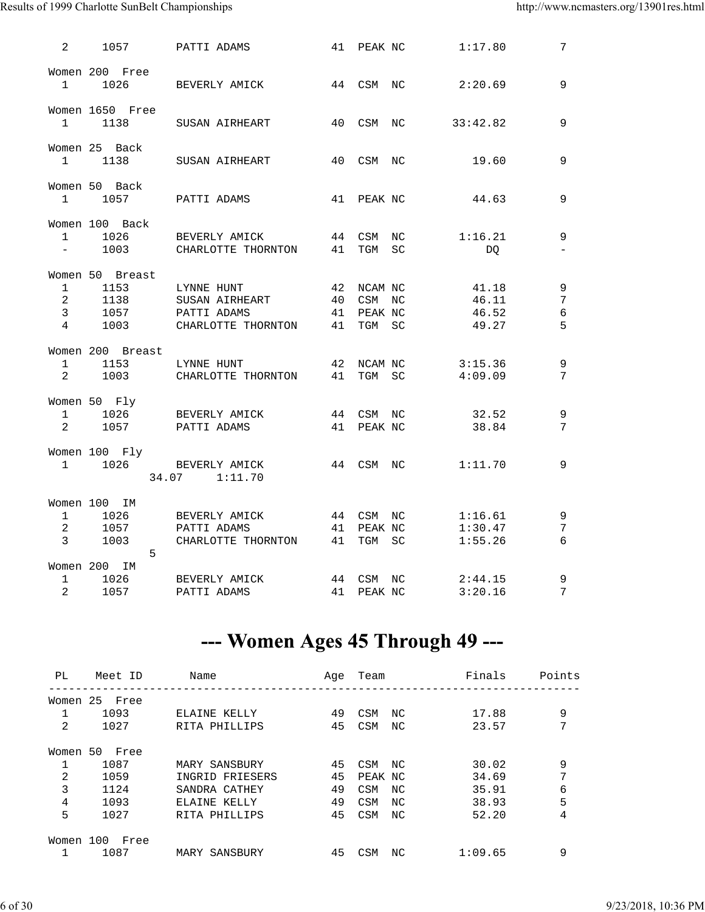#### Results of 1999 Charlotte SunBelt Championships http://www.ncmasters.org/13901res.html

| $\overline{2}$                    | 1057                  | PATTI ADAMS                       |                                         |            | 41 PEAK NC 1:17.80 | $7\phantom{.}$           |
|-----------------------------------|-----------------------|-----------------------------------|-----------------------------------------|------------|--------------------|--------------------------|
|                                   | Women 200 Free        |                                   |                                         |            |                    |                          |
| $\mathbf{1}$                      | 1026                  | BEVERLY AMICK 44 CSM NC 2:20.69   |                                         |            |                    | 9                        |
|                                   | Women 1650 Free       |                                   |                                         |            |                    |                          |
| $\mathbf{1}$                      | 1138                  | SUSAN AIRHEART 40 CSM NC 33:42.82 |                                         |            |                    | $\mathsf 9$              |
|                                   |                       |                                   |                                         |            |                    |                          |
| $\mathbf{1}$                      | Women 25 Back<br>1138 | SUSAN AIRHEART                    | 40                                      | CSM NC     | 19.60              | 9                        |
|                                   |                       |                                   |                                         |            |                    |                          |
| $\mathbf{1}$                      | Women 50 Back<br>1057 |                                   |                                         |            |                    | 9                        |
|                                   |                       |                                   |                                         |            |                    |                          |
|                                   | Women 100 Back        |                                   |                                         |            |                    |                          |
| $\mathbf{1}$                      |                       | 1026 BEVERLY AMICK 44 CSM NC      |                                         |            | 1:16.21            | 9                        |
| $\frac{1}{2}$ and $\frac{1}{2}$ . | 1003                  | CHARLOTTE THORNTON 41 TGM SC      |                                         |            | DO                 | $\overline{\phantom{a}}$ |
|                                   | Women 50 Breast       |                                   |                                         |            |                    |                          |
| $\mathbf{1}$                      | 1153                  | LYNNE HUNT<br>SUSAN AIRHEART      | $\begin{array}{c} 42 \\ 40 \end{array}$ | NCAM NC    | 41.18              | $\overline{9}$           |
| 2                                 | 1138                  |                                   |                                         | CSM NC     | 46.11              | $\overline{7}$           |
| $\mathbf{3}$                      | 1057 PATTI ADAMS      |                                   | 41                                      | PEAK NC    | 46.52              | $\epsilon$               |
| $\overline{4}$                    |                       | 1003 CHARLOTTE THORNTON 41        |                                         | TGM SC     | 49.27              | 5                        |
|                                   | Women 200 Breast      |                                   |                                         |            |                    |                          |
| $\mathbf{1}$                      |                       | 1153 LYNNE HUNT                   | 42                                      |            | NCAM NC 3:15.36    | $\mathsf 9$              |
| $2 \left( \frac{1}{2} \right)$    |                       | 1003 CHARLOTTE THORNTON 41 TGM SC |                                         |            | 4:09.09            | $7\overline{ }$          |
|                                   | Women 50 Fly          |                                   |                                         |            |                    |                          |
| $\mathbf{1}$                      |                       | 1026 BEVERLY AMICK                | 44 CSM NC                               |            | 32.52              | 9                        |
| 2                                 | 1057                  | PATTI ADAMS                       |                                         | 41 PEAK NC | 38.84              | 7                        |
|                                   | Women 100 Fly         |                                   |                                         |            |                    |                          |
|                                   |                       | 1 1026 BEVERLY AMICK              |                                         |            | 44 CSM NC 1:11.70  | 9                        |
|                                   |                       | 34.07 1:11.70                     |                                         |            |                    |                          |
|                                   | Women 100 IM          |                                   |                                         |            |                    |                          |
| $1 \qquad \qquad$                 | 1026                  | BEVERLY AMICK 44 CSM NC 1:16.61   |                                         |            |                    | $\,9$                    |
| $\overline{2}$                    |                       | 1057 PATTI ADAMS                  |                                         |            | 41 PEAK NC 1:30.47 | 7                        |
| $\mathbf{3}$                      | 1003                  | CHARLOTTE THORNTON 41 TGM SC      |                                         |            | 1:55.26            | 6                        |
|                                   | 5                     |                                   |                                         |            |                    |                          |
|                                   | Women 200 IM          |                                   |                                         |            |                    |                          |
| $\mathbf{1}$                      |                       | 1026 BEVERLY AMICK 44 CSM NC      |                                         |            | 2:44.15            | 9                        |
| $\overline{2}$                    | 1057                  | PATTI ADAMS                       | 41                                      | PEAK NC    | 3:20.16            | 7                        |

### --- Women Ages 45 Through 49 ---

| PL             | Meet ID       | Name             | Aqe | Team       |     | Finals  | Points |
|----------------|---------------|------------------|-----|------------|-----|---------|--------|
|                | Women 25 Free |                  |     |            |     |         |        |
|                | 1093          | ELAINE KELLY     | 49  | <b>CSM</b> | ΝC  | 17.88   | 9      |
| $\overline{a}$ | 1027          | RITA PHILLIPS    | 45  | <b>CSM</b> | NC. | 23.57   | 7      |
| Women 50       | Free          |                  |     |            |     |         |        |
|                | 1087          | MARY SANSBURY    | 45  | CSM        | ΝC  | 30.02   | 9      |
| 2              | 1059          | INGRID FRIESERS  | 45  | PEAK NC    |     | 34.69   | 7      |
| 3              | 1124          | SANDRA CATHEY    | 49  | <b>CSM</b> | ΝC  | 35.91   | 6      |
| 4              | 1093          | ELAINE KELLY     | 49  | <b>CSM</b> | NC  | 38.93   | 5      |
| 5              | 1027          | RITA PHILLIPS    | 45  | <b>CSM</b> | NC. | 52.20   | 4      |
| Women 100      | Free          |                  |     |            |     |         |        |
|                | 1087          | SANSBURY<br>MARY | 45  | <b>CSM</b> | NC  | 1:09.65 | 9      |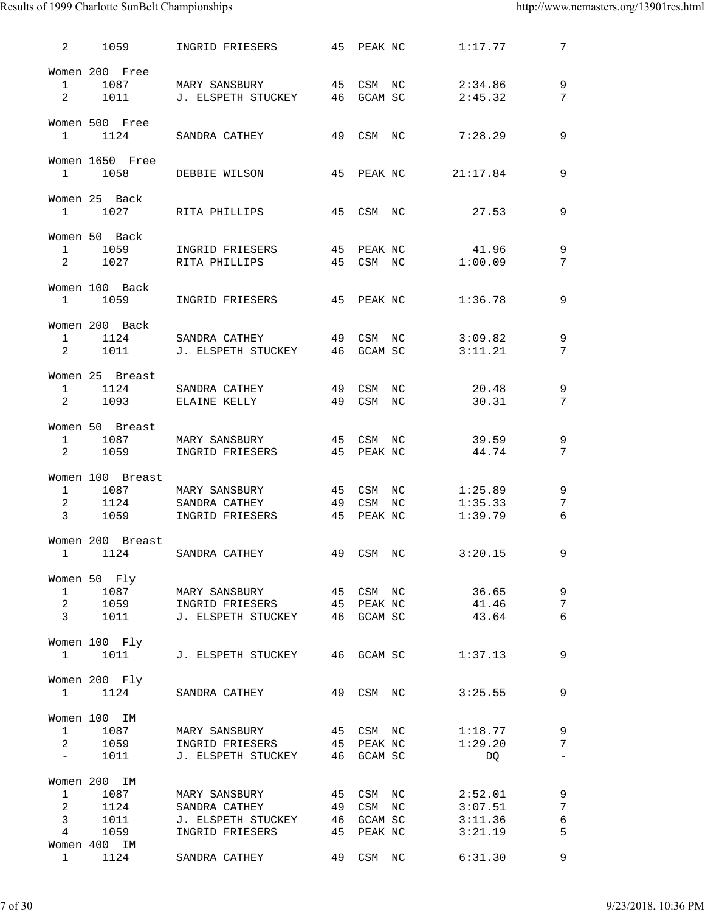#### Results of 1999 Charlotte SunBelt Championships http://www.ncmasters.org/13901res.html

| 2                              | 1059             | INGRID FRIESERS                                                                 |    | 45 PEAK NC |            | 1:17.77          | $7\overline{ }$                             |
|--------------------------------|------------------|---------------------------------------------------------------------------------|----|------------|------------|------------------|---------------------------------------------|
|                                | Women 200 Free   |                                                                                 |    |            |            |                  |                                             |
| $1 \quad \Box$                 | 1087             | MARY SANSBURY 45 CSM NC                                                         |    |            |            | 2:34.86          | 9                                           |
| $\overline{a}$                 | 1011             | J. ELSPETH STUCKEY 46 GCAM SC                                                   |    |            |            | 2:45.32          | 7                                           |
|                                |                  |                                                                                 |    |            |            |                  |                                             |
|                                | Women 500 Free   |                                                                                 |    |            |            |                  |                                             |
| $\mathbf{1}$                   | 1124             | SANDRA CATHEY                                                                   |    | 49 CSM NC  |            | 7:28.29          | 9                                           |
|                                |                  |                                                                                 |    |            |            |                  |                                             |
|                                | Women 1650 Free  |                                                                                 |    |            |            |                  |                                             |
|                                | 1 1058           | DEBBIE WILSON                                                                   |    |            | 45 PEAK NC | 21:17.84         | $\overline{9}$                              |
|                                |                  |                                                                                 |    |            |            |                  |                                             |
|                                | Women 25 Back    |                                                                                 |    |            |            |                  |                                             |
| $\mathbf{1}$                   | 1027             | RITA PHILLIPS                                                                   |    | 45 CSM NC  |            | 27.53            | 9                                           |
|                                |                  |                                                                                 |    |            |            |                  |                                             |
|                                | Women 50 Back    |                                                                                 |    |            |            |                  |                                             |
|                                | 1 1059           | INGRID FRIESERS                                                                 |    |            |            | 45 PEAK NC 41.96 | 9                                           |
| $2 \qquad \qquad$              |                  | 1027 RITA PHILLIPS                                                              | 45 |            |            | CSM NC 1:00.09   | $7\phantom{.0}$                             |
|                                |                  |                                                                                 |    |            |            |                  |                                             |
|                                | Women 100 Back   |                                                                                 |    |            |            | 1:36.78          | 9                                           |
|                                |                  | 1 1059 INGRID FRIESERS 45 PEAK NC                                               |    |            |            |                  |                                             |
|                                | Women 200 Back   |                                                                                 |    |            |            |                  |                                             |
| $\mathbf{1}$                   | 1124             | SANDRA CATHEY                49  CSM  NC              3:09.82                   |    |            |            |                  | 9                                           |
| $\mathbf{2}$                   |                  | 1011 J. ELSPETH STUCKEY 46 GCAM SC 3:11.21                                      |    |            |            |                  | 7                                           |
|                                |                  |                                                                                 |    |            |            |                  |                                             |
|                                | Women 25 Breast  |                                                                                 |    |            |            |                  |                                             |
| $1 \quad \Box$                 | 1124             | SANDRA CATHEY                                                                   |    | 49 CSM NC  |            | 20.48            | $\mathsf 9$                                 |
| $\overline{2}$                 | 1093             | ELAINE KELLY                                                                    |    | 49 CSM NC  |            | 30.31            | 7                                           |
|                                |                  |                                                                                 |    |            |            |                  |                                             |
|                                | Women 50 Breast  |                                                                                 |    |            |            |                  |                                             |
| $1 \quad$                      |                  | 1087 MARY SANSBURY                                                              | 45 | CSM NC     |            | 39.59            | 9                                           |
| $\overline{a}$                 |                  | 1059 INGRID FRIESERS                                                            |    | 45 PEAK NC |            | 44.74            | 7                                           |
|                                |                  |                                                                                 |    |            |            |                  |                                             |
|                                | Women 100 Breast |                                                                                 |    |            |            |                  |                                             |
|                                |                  | 1 1087 MARY SANSBURY 45                                                         |    |            |            | CSM NC 1:25.89   | 9                                           |
|                                |                  | 2 1124 SANDRA CATHEY 49                                                         |    |            |            | CSM NC 1:35.33   | 7                                           |
| $\mathbf{3}$                   |                  | 1059 INGRID FRIESERS 45 PEAK NC                                                 |    |            |            | 1:39.79          | 6                                           |
|                                | Women 200 Breast |                                                                                 |    |            |            |                  |                                             |
|                                |                  | 1 1124 SANDRA CATHEY 49 CSM NC 3:20.15                                          |    |            |            |                  | 9                                           |
|                                |                  |                                                                                 |    |            |            |                  |                                             |
|                                | Women 50 Fly     |                                                                                 |    |            |            |                  |                                             |
| $\mathbf{1}$                   |                  |                                                                                 |    |            |            |                  | $\overline{9}$                              |
| $2^{\circ}$                    | 1059             |                                                                                 |    |            |            |                  | $7\phantom{.0}$                             |
| $\overline{3}$                 |                  |                                                                                 |    |            |            |                  | 6                                           |
|                                |                  |                                                                                 |    |            |            |                  |                                             |
|                                | Women 100 Fly    |                                                                                 |    |            |            |                  |                                             |
|                                |                  | 1 1011 J. ELSPETH STUCKEY 46 GCAM SC 1:37.13                                    |    |            |            |                  | 9                                           |
|                                |                  |                                                                                 |    |            |            |                  |                                             |
|                                | Women 200 Fly    |                                                                                 |    |            |            |                  |                                             |
|                                |                  | 1 1124 SANDRA CATHEY 49 CSM NC 3:25.55                                          |    |            |            |                  | 9                                           |
|                                |                  |                                                                                 |    |            |            |                  |                                             |
|                                | Women 100 IM     |                                                                                 |    |            |            |                  |                                             |
| $\mathbf{1}$                   |                  | 1087 MARY SANSBURY 45 CSM NC 1:18.77 9                                          |    |            |            |                  |                                             |
| $\sim$ $-$                     |                  | 2 1059 INGRID FRIESERS 45 PEAK NC 1:29.20<br>1011 J. ELSPETH STUCKEY 46 GCAM SC |    |            |            | DQ               | $7\overline{ }$<br>$\overline{\phantom{a}}$ |
|                                |                  |                                                                                 |    |            |            |                  |                                             |
|                                | Women 200 IM     |                                                                                 |    |            |            |                  |                                             |
|                                |                  | 1 1087 MARY SANSBURY 45 CSM NC 2:52.01                                          |    |            |            |                  | 9                                           |
| $2 \left( \frac{1}{2} \right)$ |                  | 1124 SANDRA CATHEY 49 CSM NC 3:07.51                                            |    |            |            |                  | $\overline{7}$                              |
| $\overline{3}$                 | 1011             | J. ELSPETH STUCKEY 46 GCAM SC                                                   |    |            |            | 3:11.36          | $\epsilon$                                  |
| $\overline{4}$                 | 1059             | INGRID FRIESERS 45 PEAK NC                                                      |    |            |            | 3:21.19          | 5                                           |
|                                | Women 400 IM     |                                                                                 |    |            |            |                  |                                             |
|                                | 1 1124           | SANDRA CATHEY 49 CSM NC 6:31.30                                                 |    |            |            |                  | 9                                           |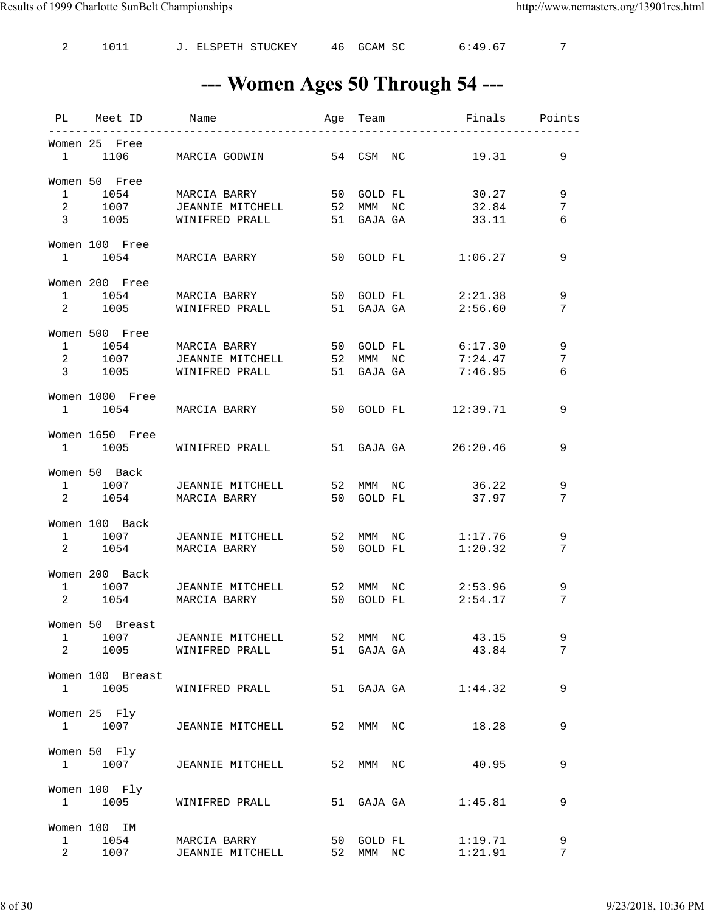2 1011 J. ELSPETH STUCKEY 46 GCAM SC 6:49.67 7

### --- Women Ages 50 Through 54 ---

|                                                |                                 | PL Meet ID Name Mage Team Finals Points                                                                                         |    |                      |                               |             |
|------------------------------------------------|---------------------------------|---------------------------------------------------------------------------------------------------------------------------------|----|----------------------|-------------------------------|-------------|
|                                                | Women 25 Free                   | 1 1106 MARCIA GODWIN 54 CSM NC                                                                                                  |    |                      | 19.31                         | 9           |
|                                                | Women 50 Free                   | 1 1054 MARCIA BARRY 50 GOLD FL 30.27<br>2 1007 JEANNIE MITCHELL 52 MMM NC 32.84<br>3 1005 WINIFRED PRALL 51 GAJA GA 33.11       |    |                      |                               | 9<br>7<br>6 |
|                                                | Women 100 Free                  | 1 1054 MARCIA BARRY 50 GOLD FL 1:06.27                                                                                          |    |                      |                               | 9           |
| 1                                              | Women 200 Free<br>2 1005        | 1054 MARCIA BARRY<br>WINIFRED PRALL                                                                                             |    | 51 GAJA GA           | 50 GOLD FL 2:21.38<br>2:56.60 | 9<br>7      |
|                                                | Women 500 Free                  | 1 1054 MARCIA BARRY 50 GOLD FL 6:17.30<br>2 1007 JEANNIE MITCHELL 52 MMM NC 7:24.47<br>3 1005 WINIFRED PRALL 51 GAJA GA 7:46.95 |    |                      |                               | 9<br>7<br>6 |
|                                                | Women 1000 Free                 | 1 1054 MARCIA BARRY 50 GOLD FL 12:39.71                                                                                         |    |                      |                               | 9           |
|                                                | Women 1650 Free                 | 1 1005 WINIFRED PRALL 51 GAJA GA 26:20.46                                                                                       |    |                      |                               | 9           |
|                                                | Women 50 Back                   | 1 1007 JEANNIE MITCHELL 52 MMM NC 36.22<br>2 1054 MARCIA BARRY 50 GOLD FL 37.97                                                 |    |                      |                               | 9<br>7      |
|                                                | Women 100 Back                  | 1 1007 JEANNIE MITCHELL 52 MMM NC 1:17.76<br>2 1054 MARCIA BARRY 50 GOLD FL 1:20.32<br>2 1054 MARCIA BARRY                      |    |                      |                               | 9<br>7      |
|                                                | Women 200 Back                  | 1 1007 JEANNIE MITCHELL 52 MMM NC 2:53.96<br>2 1054 MARCIA BARRY                                                                |    |                      | 50 GOLD FL 2:54.17            | 9<br>7      |
| $\mathbf{1}$<br>$2 \left( \frac{1}{2} \right)$ | Women 50 Breast<br>1007<br>1005 | JEANNIE MITCHELL<br>WINIFRED PRALL                                                                                              | 52 | MMM NC<br>51 GAJA GA | 43.15<br>43.84                | 9<br>7      |
| $\mathbf{1}$                                   | Women 100 Breast<br>1005        | WINIFRED PRALL                                                                                                                  |    | 51 GAJA GA           | 1:44.32                       | 9           |
|                                                | Women 25 Fly<br>1 1007          | JEANNIE MITCHELL                                                                                                                | 52 | MMM NC               | 18.28                         | 9           |
| $\mathbf{1}$                                   | Women 50 Fly<br>1007            | JEANNIE MITCHELL                                                                                                                | 52 | MMM NC               | 40.95                         | 9           |
| $\mathbf{1}$                                   | Women 100 Fly<br>1005           | WINIFRED PRALL                                                                                                                  |    | 51 GAJA GA           | 1:45.81                       | 9           |
| 1<br>$\overline{a}$                            | Women 100 IM<br>1054<br>1007    | MARCIA BARRY<br>JEANNIE MITCHELL                                                                                                | 52 | 50 GOLD FL<br>MMM NC | 1:19.71<br>1:21.91            | 9<br>7      |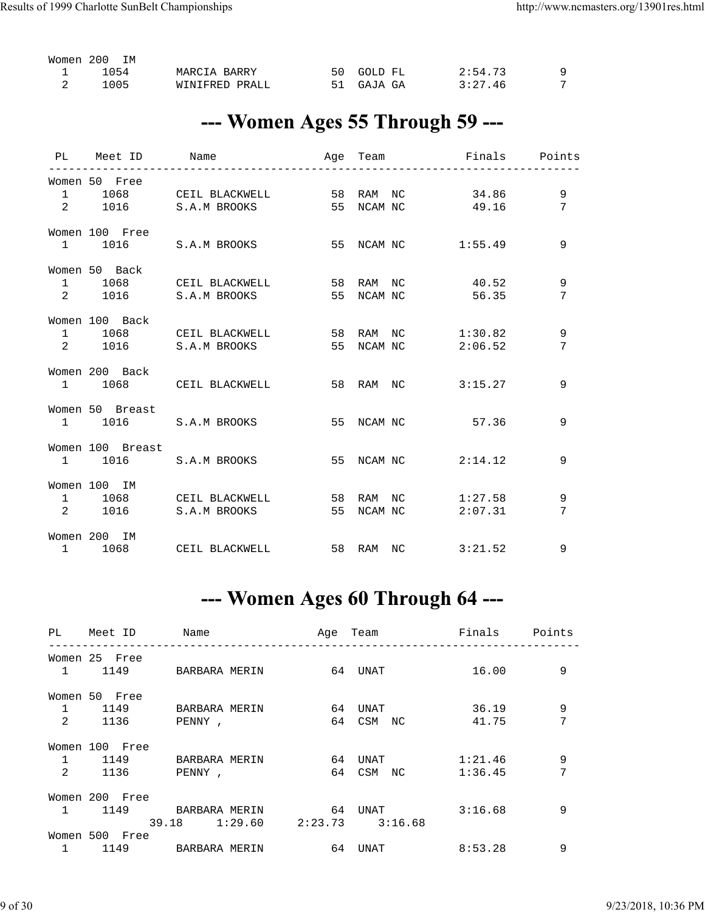| Women 200 |      | <b>TM</b> |                |  |            |         |  |
|-----------|------|-----------|----------------|--|------------|---------|--|
|           | 1054 |           | MARCIA BARRY   |  | 50 GOLD FL | 2:54.73 |  |
|           | 1005 |           | WINIFRED PRALL |  | 51 GAJA GA | 3:27.46 |  |

#### --- Women Ages 55 Through 59 ---

|                  | PL Meet ID Name                                                |                    |                          |        |
|------------------|----------------------------------------------------------------|--------------------|--------------------------|--------|
| Women 50 Free    | 1 1068 CEILBLACKWELL 58 RAM NC 34.86                           |                    |                          | 9      |
|                  | 2 1016 S.A.M BROOKS 55 NCAM NC 49.16                           |                    |                          | 7      |
| Women 100 Free   | 1 1016 S.A.M BROOKS 55 NCAM NC 1:55.49                         |                    |                          | 9      |
| Women 50 Back    | 1 1068 CEIL BLACKWELL<br>2 1016 S.A.M BROOKS                   | 55 NCAM NC         | 58 RAM NC 40.52<br>56.35 | 9<br>7 |
| Women 100 Back   | 1 1068 CEIL BLACKWELL 58 RAM NC 1:30.82<br>2 1016 S.A.M BROOKS | 55 NCAM NC 2:06.52 |                          | 9<br>7 |
| Women 200 Back   | 1 1068 CEIL BLACKWELL                                          |                    | 58 RAM NC 3:15.27        | 9      |
| Women 50 Breast  | 1 1016 S.A.M BROOKS 55 NCAM NC 57.36                           |                    |                          | 9      |
| Women 100 Breast | 1 1016 S.A.M BROOKS                                            |                    | 55 NCAM NC 2:14.12       | 9      |
| Women 100 IM     | 1 1068 CEIL BLACKWELL 58 RAM NC<br>2 1016 S.A.M BROOKS         | 55 NCAM NC         | 1:27.58<br>2:07.31       | 9<br>7 |
| Women 200 IM     | 1 1068 CEIL BLACKWELL 58 RAM NC 3:21.52                        |                    |                          | 9      |

### --- Women Ages 60 Through 64 ---

|                | PL Meet ID     | <b>Name</b>   | Age Team            | Finals Points |   |
|----------------|----------------|---------------|---------------------|---------------|---|
|                | Women 25 Free  |               |                     |               |   |
|                | 1 1149         | BARBARA MERIN | 64 UNAT             | 16.00         | 9 |
|                | Women 50 Free  |               |                     |               |   |
|                | 1 1149         | BARBARA MERIN | 64 UNAT             | 36.19         | 9 |
| $\overline{2}$ | 1136           | PENNY,        | 64 CSM NC           | 41.75         | 7 |
|                | Women 100 Free |               |                     |               |   |
|                | 1 1149         | BARBARA MERIN | 64 UNAT             | 1:21.46       | 9 |
| $\overline{2}$ | 1136           | PENNY,        | 64 CSM NC           | 1:36.45       | 7 |
|                | Women 200 Free |               |                     |               |   |
| $\mathbf{1}$   | 1149           | BARBARA MERIN | 64<br>UNAT          | 3:16.68       | 9 |
|                |                | 39.18 1:29.60 | $2:23.73$ $3:16.68$ |               |   |
|                | Women 500 Free |               |                     |               |   |
|                | 1149           | BARBARA MERIN | 64 UNAT             | 8:53.28       | 9 |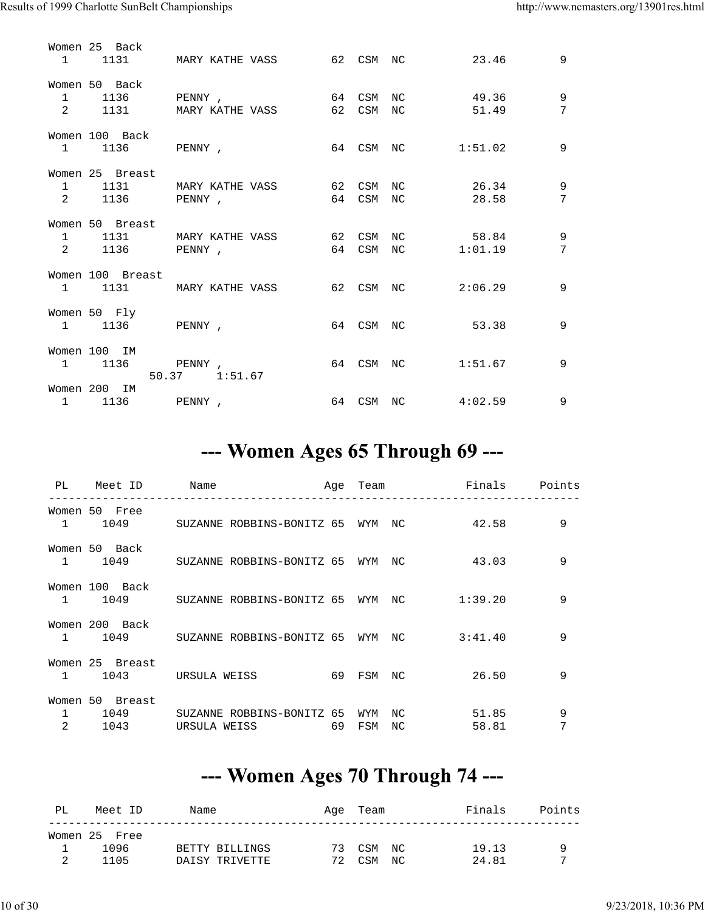|                                | Women 25 Back                        | 1 1131 MARY KATHE VASS 62 CSM NC 23.46 |          |            |                   |                  | 9      |
|--------------------------------|--------------------------------------|----------------------------------------|----------|------------|-------------------|------------------|--------|
| $\mathbf{1}$<br>$\overline{2}$ | Women 50 Back<br>1136 PENNY,<br>1131 | MARY KATHE VASS 62                     | 64       | CSM<br>CSM | NC.<br>NC         | 49.36<br>51.49   | 9<br>7 |
| $1 \qquad \qquad$              | Women 100 Back<br>1136 PENNY,        |                                        |          |            | 64 CSM NC 1:51.02 |                  | 9      |
| $\mathbf{1}$<br>$\overline{2}$ | Women 25 Breast                      | 1131 MARY KATHE VASS<br>1136 PENNY,    | 62<br>64 | CSM<br>CSM | NC.<br>NC.        | 26.34<br>28.58   | 9<br>7 |
| 2                              | Women 50 Breast<br>1136 PENNY,       | 62<br>1 1131 MARY KATHE VASS           | 64       | CSM<br>CSM | NC<br>NC          | 58.84<br>1:01.19 | 9<br>7 |
|                                | Women 100 Breast                     | 1 1131 MARY KATHE VASS                 | 62       |            | CSM NC 2:06.29    |                  | 9      |
| $1 \quad \cdots$               | Women 50 Fly<br>1136 PENNY,          |                                        |          |            | 64 CSM NC         | 53.38            | 9      |
| $1 \quad \cdots$               | Women 100 IM<br>1136<br>50.37        | PENNY,<br>1:51.67                      |          |            | 64 CSM NC         | 1:51.67          | 9      |
| $1 \quad \cdots$               | Women 200 IM<br>1136 PENNY,          |                                        |          |            | 64 CSM NC 4:02.59 |                  | 9      |

#### --- Women Ages 65 Through 69 ---

| PL | Meet ID                                | Name | _________________________________             |    | Age Team   |            | Finals Points<br>_______________ |        |
|----|----------------------------------------|------|-----------------------------------------------|----|------------|------------|----------------------------------|--------|
|    | Women 50 Free                          |      | 1 1049 SUZANNE ROBBINS-BONITZ 65 WYM NC 42.58 |    |            |            |                                  | 9      |
|    | Women 50 Back                          |      | 1 1049 SUZANNE ROBBINS-BONITZ 65 WYM          |    |            | NC         | 43.03                            | 9      |
|    | Women 100 Back                         |      | 1 1049 SUZANNE ROBBINS-BONITZ 65 WYM NC       |    |            |            | 1:39.20                          | 9      |
|    | Women 200 Back                         |      | 1 1049 SUZANNE ROBBINS-BONITZ 65 WYM NC       |    |            |            | 3:41.40                          | 9      |
|    | Women 25 Breast<br>1 1043 URSULA WEISS |      | 69 FSM                                        |    |            | NC.        | 26.50                            | 9      |
| 2  | Women 50 Breast<br>1 1049<br>1043      |      | SUZANNE ROBBINS-BONITZ 65<br>URSULA WEISS     | 69 | WYM<br>FSM | NC.<br>NC. | 51.85<br>58.81                   | 9<br>7 |

### --- Women Ages 70 Through 74 ---

| PL | Meet ID       | Name           |     | Age Team  | Finals | Points |
|----|---------------|----------------|-----|-----------|--------|--------|
|    | Women 25 Free |                |     |           |        |        |
|    | 1096          | BETTY BILLINGS |     | 73 CSM NC | 19.13  | Q      |
|    | 1105          | DAISY TRIVETTE | 72. | CSM NC    | 24.81  | ⇁      |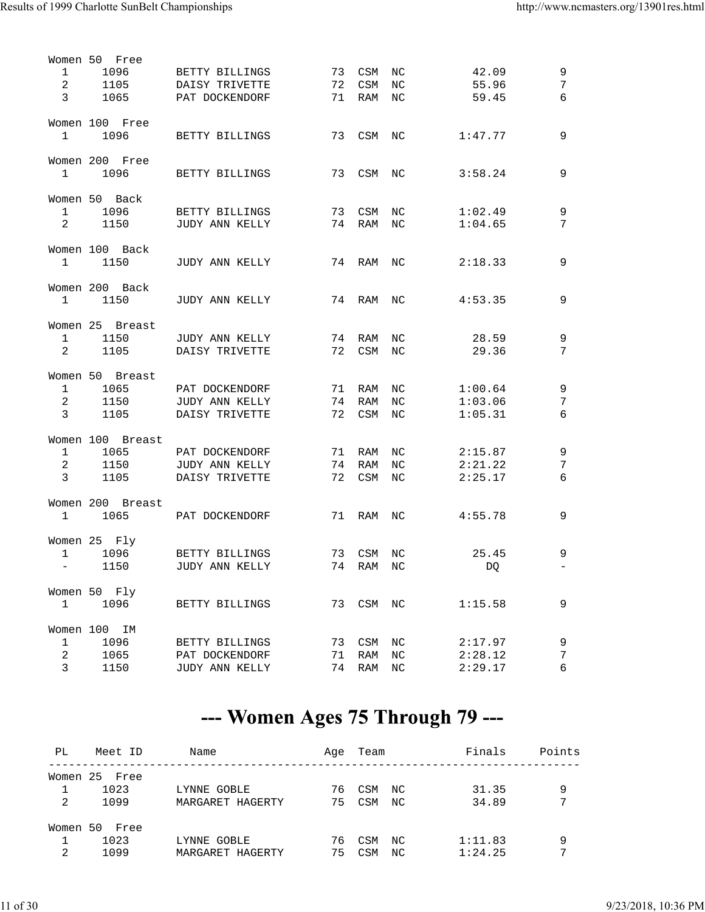|                | Women 50 Free    |                |    |        |                  |           |                          |
|----------------|------------------|----------------|----|--------|------------------|-----------|--------------------------|
| 1              | 1096             | BETTY BILLINGS | 73 | CSM    | ΝC               | 42.09     | 9                        |
| 2              | 1105             | DAISY TRIVETTE | 72 | CSM    | $_{\mathrm{NC}}$ | 55.96     | $7\phantom{.0}$          |
| $\overline{3}$ | 1065             | PAT DOCKENDORF | 71 | RAM    | NC.              | 59.45     | 6                        |
|                |                  |                |    |        |                  |           |                          |
|                |                  |                |    |        |                  |           |                          |
|                | Women 100 Free   |                |    |        |                  |           |                          |
| $\mathbf{1}$   | 1096             | BETTY BILLINGS | 73 | CSM    | NC               | 1:47.77   | 9                        |
|                |                  |                |    |        |                  |           |                          |
|                | Women 200 Free   |                |    |        |                  |           |                          |
| $\mathbf{1}$   | 1096             | BETTY BILLINGS | 73 | CSM    | NC               | 3:58.24   | 9                        |
|                |                  |                |    |        |                  |           |                          |
|                | Women 50 Back    |                |    |        |                  |           |                          |
| $\mathbf{1}$   | 1096             | BETTY BILLINGS | 73 | CSM    | NC.              | 1:02.49   | 9                        |
| 2              | 1150             | JUDY ANN KELLY | 74 | RAM    | NC               | 1:04.65   | 7                        |
|                |                  |                |    |        |                  |           |                          |
|                |                  |                |    |        |                  |           |                          |
|                | Women 100 Back   |                |    |        |                  |           |                          |
| $\mathbf{1}$   | 1150             | JUDY ANN KELLY | 74 | RAM    | NC               | 2:18.33   | 9                        |
|                |                  |                |    |        |                  |           |                          |
|                | Women 200 Back   |                |    |        |                  |           |                          |
| $\mathbf 1$    | 1150             | JUDY ANN KELLY | 74 | RAM    | ΝC               | 4:53.35   | 9                        |
|                |                  |                |    |        |                  |           |                          |
|                | Women 25 Breast  |                |    |        |                  |           |                          |
| $\mathbf{1}$   | 1150             | JUDY ANN KELLY | 74 | RAM    | ΝC               | 28.59     | $\mathsf 9$              |
| 2              | 1105             | DAISY TRIVETTE | 72 | CSM    | NC.              | 29.36     | 7                        |
|                |                  |                |    |        |                  |           |                          |
|                | Women 50 Breast  |                |    |        |                  |           |                          |
| $\mathbf 1$    | 1065             | PAT DOCKENDORF | 71 | RAM    | NC.              | 1:00.64   | 9                        |
|                |                  |                |    |        |                  |           | $\overline{7}$           |
| $\overline{2}$ | 1150             | JUDY ANN KELLY | 74 | RAM    | NC.              | 1:03.06   |                          |
| $\mathbf{3}$   | 1105             | DAISY TRIVETTE | 72 | CSM    | $_{\rm NC}$      | 1:05.31   | 6                        |
|                |                  |                |    |        |                  |           |                          |
|                | Women 100 Breast |                |    |        |                  |           |                          |
| 1              | 1065             | PAT DOCKENDORF | 71 | RAM    | ΝC               | 2:15.87   | 9                        |
| 2              | 1150             | JUDY ANN KELLY | 74 | RAM    | NC.              | 2:21.22   | 7                        |
| 3              | 1105             | DAISY TRIVETTE | 72 | CSM    | NC.              | 2:25.17   | 6                        |
|                |                  |                |    |        |                  |           |                          |
|                | Women 200 Breast |                |    |        |                  |           |                          |
| $\mathbf 1$    | 1065             | PAT DOCKENDORF | 71 | RAM    | NC.              | 4:55.78   | 9                        |
|                |                  |                |    |        |                  |           |                          |
|                | Women 25 Fly     |                |    |        |                  |           |                          |
|                |                  |                |    |        |                  |           |                          |
| $\mathbf 1$    | 1096             | BETTY BILLINGS | 73 | CSM    | NC               | 25.45     | 9                        |
| $\sim$         | 1150             | JUDY ANN KELLY | 74 | RAM    | NC               | <b>DO</b> | $\overline{\phantom{0}}$ |
|                |                  |                |    |        |                  |           |                          |
|                | Women 50 Fly     |                |    |        |                  |           |                          |
| $\mathbf 1$    | 1096             | BETTY BILLINGS | 73 | CSM NC |                  | 1:15.58   | 9                        |
|                |                  |                |    |        |                  |           |                          |
|                | Women 100 IM     |                |    |        |                  |           |                          |
| $\mathbf{1}$   | 1096             | BETTY BILLINGS | 73 | CSM    | ΝC               | 2:17.97   | 9                        |
| $\overline{2}$ | 1065             | PAT DOCKENDORF | 71 | RAM    | NC               | 2:28.12   | $\sqrt{ }$               |
| $\mathbf{3}$   | 1150             | JUDY ANN KELLY | 74 | RAM    | $_{\mathrm{NC}}$ | 2:29.17   | 6                        |
|                |                  |                |    |        |                  |           |                          |

### --- Women Ages 75 Through 79 ---

| PL.      | Meet ID       | Name             | Aqe | Team       |     | Finals  | Points |
|----------|---------------|------------------|-----|------------|-----|---------|--------|
|          | Women 25 Free |                  |     |            |     |         |        |
|          | 1023          | LYNNE GOBLE      | 76  | CSM        | NC. | 31.35   | 9      |
| 2        | 1099          | MARGARET HAGERTY | 75  | <b>CSM</b> | NC. | 34.89   | 7      |
| Women 50 | Free          |                  |     |            |     |         |        |
|          | 1023          | LYNNE GOBLE      | 76  | CSM        | NC. | 1:11.83 | 9      |
| 2        | 1099          | MARGARET HAGERTY | 75  | CSM        | NC. | 1:24.25 | 7      |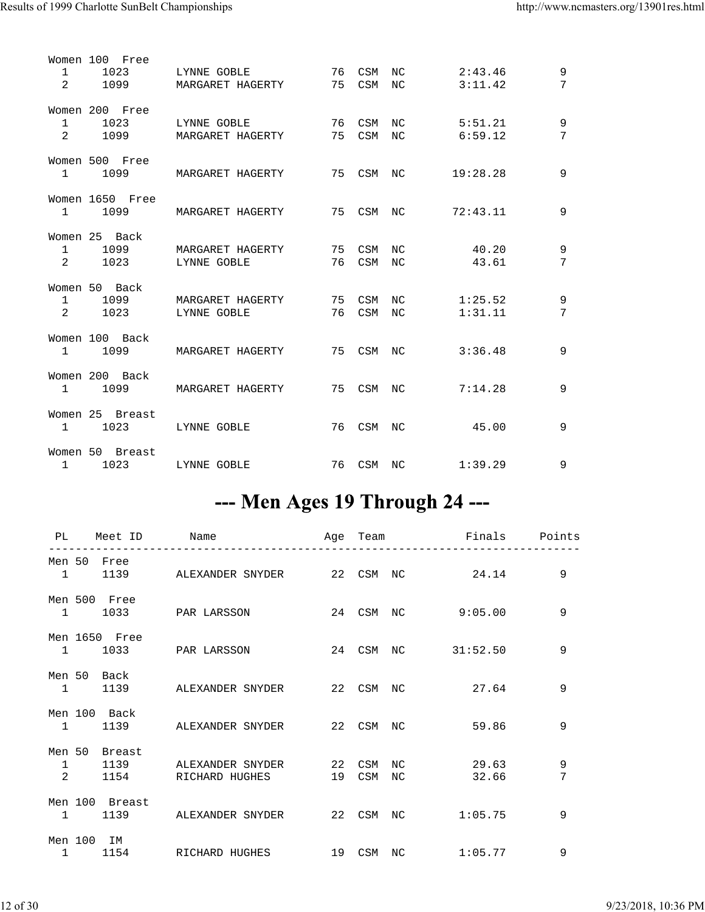| $\mathbf{1}$<br>2 | Women 100 Free<br>1023<br>1099        | LYNNE GOBLE<br>MARGARET HAGERTY        | 76 CSM NC<br>75 CSM NC |           | 2:43.46<br>3:11.42 | 9<br>7 |
|-------------------|---------------------------------------|----------------------------------------|------------------------|-----------|--------------------|--------|
| 1<br>$2^{\circ}$  | Women 200 Free<br>1023<br>1099 — 10   | LYNNE GOBLE<br>MARGARET HAGERTY        | 76 CSM NC<br>75 CSM NC |           | 5:51.21<br>6:59.12 | 9<br>7 |
|                   | Women 500 Free<br>1 1099              | MARGARET HAGERTY 5 75 CSM NC           |                        |           | 19:28.28           | 9      |
|                   | Women 1650 Free                       | 1 1099 MARGARET HAGERTY                | 75 CSM NC              |           | 72:43.11           | 9      |
| $2^{\circ}$       | Women 25 Back<br>1023                 | 1 1099 MARGARET HAGERTY<br>LYNNE GOBLE | 75 CSM<br>76 CSM NC    | NC.       | 40.20<br>43.61     | 9<br>7 |
| $2^{\circ}$       | Women 50 Back<br>1 1099<br>1023       | MARGARET HAGERTY<br>LYNNE GOBLE        | 76 CSM NC              | 75 CSM NC | 1:25.52<br>1:31.11 | 9<br>7 |
|                   | Women 100 Back                        | 1 1099 MARGARET HAGERTY                | 75 CSM NC              |           | 3:36.48            | 9      |
|                   | Women 200 Back                        | 1 1099 MARGARET HAGERTY                | 75 CSM NC              |           | 7:14.28            | 9      |
|                   | Women 25 Breast                       | 1 1023 LYNNE GOBLE                     | 76 CSM NC              |           | 45.00              | 9      |
|                   | Women 50 Breast<br>1 1023 LYNNE GOBLE |                                        | 76 CSM NC              |           | 1:39.29            | 9      |

### --- Men Ages 19 Through 24 ---

|            |                | PL Meet ID Name |                                                            |           | Age Team     Finals   Points<br>.         |        |
|------------|----------------|-----------------|------------------------------------------------------------|-----------|-------------------------------------------|--------|
|            | Men 50 Free    |                 |                                                            |           | 1 1139 ALEXANDER SNYDER 22 CSM NC 24.14   | 9      |
|            | Men 500 Free   |                 |                                                            |           | 1 1033 PAR LARSSON 24 CSM NC 9:05.00      | 9      |
|            | Men 1650 Free  |                 |                                                            |           | 1 1033 PAR LARSSON 24 CSM NC 31:52.50     | 9      |
|            | Men 50 Back    |                 | 1 1139 ALEXANDER SNYDER 22 CSM NC                          |           | 27.64                                     | 9      |
|            | Men 100 Back   |                 | 1 1139 ALEXANDER SNYDER 22 CSM NC                          |           | 59.86                                     | 9      |
|            | Men 50 Breast  |                 | 1 1139 ALEXANDER SNYDER 22 CSM NC<br>2 1154 RICHARD HUGHES | 19 CSM NC | 29.63<br>32.66                            | 9<br>7 |
|            | Men 100 Breast |                 |                                                            |           | 1 1139 ALEXANDER SNYDER 22 CSM NC 1:05.75 | 9      |
| Men 100 IM |                |                 | 1 1154 RICHARD HUGHES                                      |           | 19 CSM NC 1:05.77                         | 9      |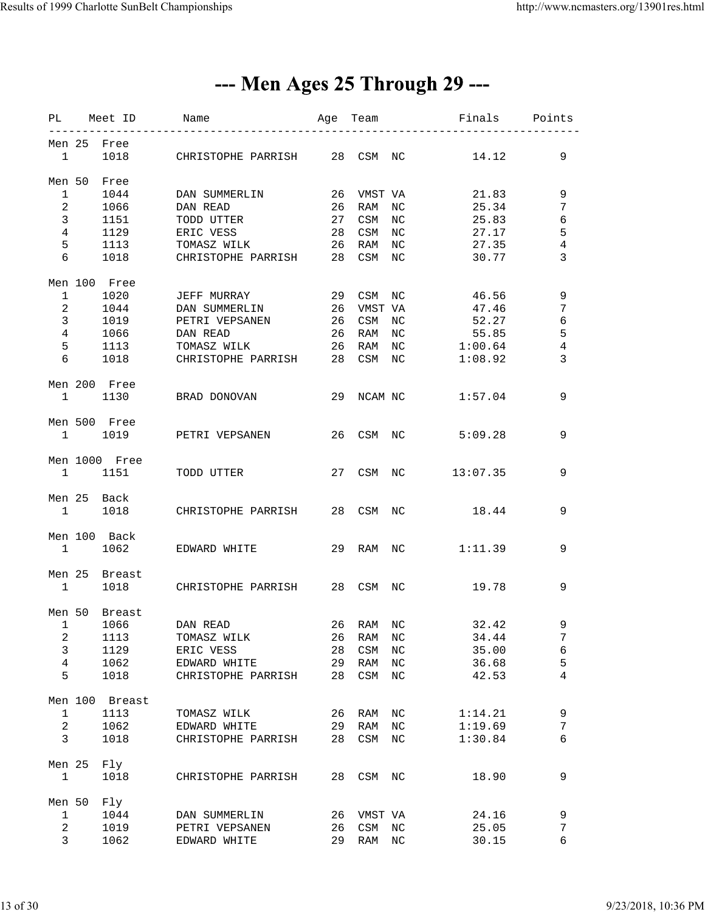### --- Men Ages 25 Through 29 ---

|                |                                | PL Meet ID     | Name                                        |    |           |             | Age Team <b>Finals</b> Points |                |
|----------------|--------------------------------|----------------|---------------------------------------------|----|-----------|-------------|-------------------------------|----------------|
|                |                                | Men 25 Free    |                                             |    |           |             |                               |                |
|                |                                |                | 1 1018 CHRISTOPHE PARRISH 28 CSM NC         |    |           |             | 14.12                         | 9              |
|                |                                | Men 50 Free    |                                             |    |           |             |                               |                |
| 1              |                                | 1044           | DAN SUMMERLIN                               | 26 | VMST VA   |             | 21.83                         | 9              |
|                | $\overline{2}$                 | 1066           | DAN READ                                    | 26 | RAM       | NC          | 25.34                         | 7              |
| $\mathbf{3}$   |                                | 1151           | TODD UTTER                                  | 27 | CSM       | NC          | 25.83                         | $\sqrt{6}$     |
| $\overline{4}$ |                                |                |                                             |    |           |             |                               | $\mathsf S$    |
|                |                                |                | 1129 ERIC VESS                              | 28 | CSM       | NC          | 27.17                         |                |
| 5              |                                |                | 1113 TOMASZ WILK<br>1018 CHRISTOPHE PARRISH | 26 | RAM       | NC          | 27.35                         | $\,4$          |
| 6              |                                |                |                                             |    | 28 CSM NC |             | 30.77                         | 3              |
|                |                                | Men 100 Free   |                                             |    |           |             |                               |                |
|                | $1 \quad \cdots$               |                | 1020 JEFF MURRAY                            |    | 29 CSM NC |             | 46.56                         | 9              |
|                | $2 \left( \frac{1}{2} \right)$ |                | 1044 DAN SUMMERLIN                          | 26 | VMST VA   |             | 47.46                         | 7              |
| 3 <sup>7</sup> |                                |                | 1019 PETRI VEPSANEN                         | 26 | CSM       | NC          | 52.27                         | $\sqrt{6}$     |
| $\overline{4}$ |                                | 1066           | DAN READ                                    | 26 | RAM NC    |             | 55.85                         | $\overline{5}$ |
| 5              |                                | 1113           | TOMASZ WILK                                 | 26 | RAM       | $_{\rm NC}$ | 1:00.64                       | 4              |
| 6              |                                | 1018           | CHRISTOPHE PARRISH 28 CSM NC                |    |           |             | 1:08.92                       | 3              |
|                |                                |                |                                             |    |           |             |                               |                |
|                |                                | Men 200 Free   |                                             |    |           |             |                               |                |
|                |                                |                | 1 1130 BRAD DONOVAN 29 NCAM NC 1:57.04      |    |           |             |                               | 9              |
|                |                                | Men 500 Free   |                                             |    |           |             |                               |                |
|                |                                |                | 1 1019 PETRI VEPSANEN                       |    | 26 CSM NC |             | 5:09.28                       | 9              |
|                |                                | Men 1000 Free  |                                             |    |           |             |                               |                |
|                |                                |                | 1 1151 TODD UTTER                           |    |           |             | 27 CSM NC 13:07.35            | 9              |
|                |                                |                |                                             |    |           |             |                               |                |
|                |                                | Men 25 Back    | 1 1018 CHRISTOPHE PARRISH 28 CSM NC 18.44   |    |           |             |                               | 9              |
|                |                                |                |                                             |    |           |             |                               |                |
|                |                                | Men 100 Back   |                                             |    |           |             |                               |                |
|                |                                |                | 1 1062 EDWARD WHITE                         |    |           |             | 29 RAM NC 1:11.39             | 9              |
|                |                                | Men 25 Breast  |                                             |    |           |             |                               |                |
|                | $\mathbf{1}$                   |                | 1018 CHRISTOPHE PARRISH 28 CSM NC           |    |           |             | 19.78                         | 9              |
|                |                                | Men 50 Breast  |                                             |    |           |             |                               |                |
|                |                                |                |                                             |    |           |             |                               |                |
| $\mathbf{1}$   |                                | 1066           | DAN READ                                    |    | 26 RAM NC |             | 32.42                         | 9              |
| 2              |                                | 1113           | TOMASZ WILK                                 | 26 | RAM       | ΝC          | 34.44                         | 7              |
| $\mathbf{3}$   |                                | 1129           | ERIC VESS                                   | 28 | CSM       | $_{\rm NC}$ | 35.00                         | 6              |
| $\overline{4}$ |                                | 1062           | EDWARD WHITE                                | 29 | RAM       | NC          | 36.68                         | 5              |
| 5              |                                | 1018           | CHRISTOPHE PARRISH                          | 28 | CSM       | NC          | 42.53                         | 4              |
|                |                                | Men 100 Breast |                                             |    |           |             |                               |                |
| $\mathbf{1}$   |                                | 1113           | TOMASZ WILK                                 | 26 | RAM       | NC          | 1:14.21                       | 9              |
| $\overline{a}$ |                                | 1062           | EDWARD WHITE                                | 29 | RAM       | NC          | 1:19.69                       | 7              |
|                |                                |                |                                             |    |           |             |                               |                |
| 3              |                                | 1018           | CHRISTOPHE PARRISH                          | 28 | CSM       | NC          | 1:30.84                       | 6              |
|                | Men 25                         | Fly            |                                             |    |           |             |                               |                |
| $\mathbf{1}$   |                                | 1018           | CHRISTOPHE PARRISH                          | 28 | CSM NC    |             | 18.90                         | 9              |
| Men 50         |                                | Fly            |                                             |    |           |             |                               |                |
| $\mathbf{1}$   |                                | 1044           | DAN SUMMERLIN                               | 26 | VMST VA   |             | 24.16                         | 9              |
| $\overline{a}$ |                                | 1019           | PETRI VEPSANEN                              | 26 | CSM       | NC          | 25.05                         | 7              |
| $\mathbf{3}$   |                                | 1062           | EDWARD WHITE                                | 29 | RAM       | NC          | 30.15                         | 6              |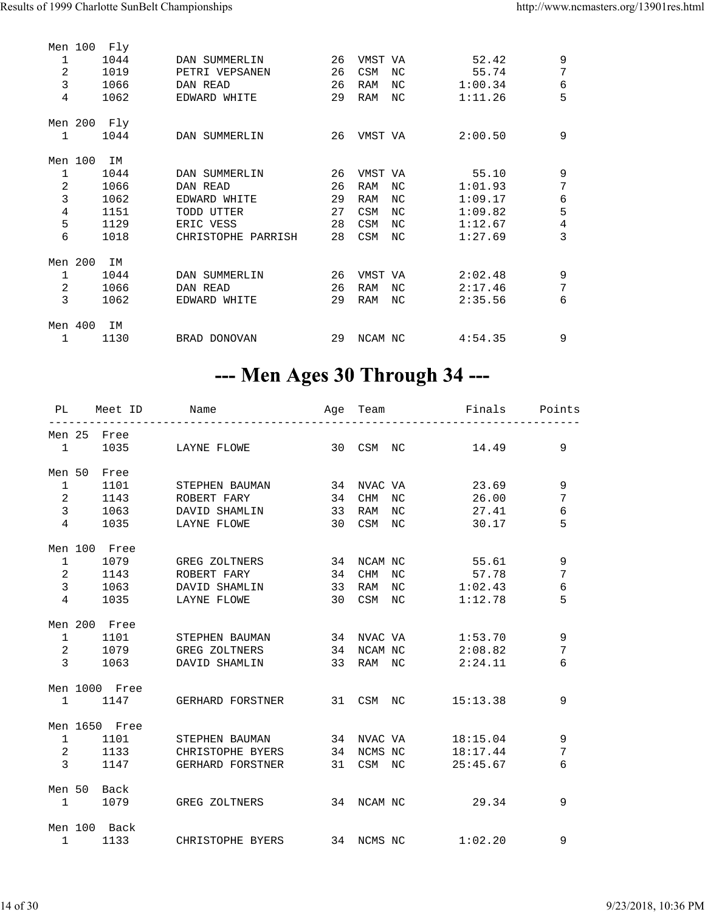|                | Men 100 | Fly         |                    |    |            |                 |         |                |
|----------------|---------|-------------|--------------------|----|------------|-----------------|---------|----------------|
| $\mathbf{1}$   |         | 1044        | DAN SUMMERLIN      | 26 | VMST VA    |                 | 52.42   | 9              |
| $\overline{2}$ |         | 1019        | PETRI VEPSANEN     | 26 | CSM        | NC              | 55.74   | 7              |
| 3              |         | 1066        | DAN READ           | 26 | <b>RAM</b> | NC              | 1:00.34 | 6              |
| 4              |         | 1062        | EDWARD WHITE       | 29 | RAM        | ΝC              | 1:11.26 | 5              |
|                |         |             |                    |    |            |                 |         |                |
|                |         | Men 200 Fly |                    |    |            |                 |         |                |
| $\mathbf{1}$   |         | 1044        | DAN SUMMERLIN      | 26 | VMST VA    |                 | 2:00.50 | 9              |
|                | Men 100 | ΙM          |                    |    |            |                 |         |                |
| 1              |         | 1044        | DAN SUMMERLIN      | 26 | VMST VA    |                 | 55.10   | 9              |
| $\overline{2}$ |         | 1066        | DAN READ           | 26 | <b>RAM</b> | NC              | 1:01.93 | 7              |
| $\overline{3}$ |         | 1062        | EDWARD WHITE       | 29 | <b>RAM</b> | NC              | 1:09.17 | 6              |
| $\sqrt{4}$     |         | 1151        | TODD UTTER         | 27 | CSM        | NC <sub>1</sub> | 1:09.82 | 5              |
| 5              |         | 1129        | ERIC VESS          | 28 | CSM        | NC.             | 1:12.67 | $\overline{4}$ |
| 6              |         | 1018        | CHRISTOPHE PARRISH | 28 | CSM        | NC              | 1:27.69 | 3              |
|                |         |             |                    |    |            |                 |         |                |
| Men 200        |         | ΙM          |                    |    |            |                 |         |                |
| 1              |         | 1044        | DAN SUMMERLIN      | 26 | VMST VA    |                 | 2:02.48 | 9              |
| 2              |         | 1066        | DAN READ           | 26 | <b>RAM</b> | NC              | 2:17.46 | 7              |
| 3              |         | 1062        | EDWARD WHITE       | 29 | <b>RAM</b> | NC              | 2:35.56 | 6              |
| Men 400        |         |             |                    |    |            |                 |         |                |
|                |         | ΙM          |                    |    |            |                 |         |                |
| 1              |         | 1130        | BRAD DONOVAN       | 29 | NCAM NC    |                 | 4:54.35 | 9              |

### --- Men Ages 30 Through 34 ---

|                | __________             | PL Meet ID Name Mage Team Finals Points     |           | . _ _ _ _ _ _ _ _ _ _ _ . |            |
|----------------|------------------------|---------------------------------------------|-----------|---------------------------|------------|
|                | Men 25 Free            |                                             |           |                           |            |
|                |                        | 1 1035 LAYNE FLOWE 30 CSM NC 14.49          |           |                           | 9          |
|                | Men 50 Free            |                                             |           |                           |            |
|                |                        | 1 1101 STEPHEN BAUMAN 34 NVAC VA 23.69      |           |                           | 9          |
|                |                        | 2 1143 ROBERT FARY 34 CHM NC 26.00          |           |                           | 7          |
|                |                        | 3 1063 DAVID SHAMLIN 33 RAM                 |           | NC 27.41                  | $\epsilon$ |
|                |                        | 4 1035 LAYNE FLOWE 30 CSM NC                |           | 30.17                     | 5          |
|                | Men 100 Free           |                                             |           |                           |            |
|                | $1 \quad \blacksquare$ | 1079 GREG ZOLTNERS                          |           | 34 NCAM NC 55.61          | 9          |
|                |                        | 2 1143 ROBERT FARY                          | 34 CHM NC | 57.78                     | 7          |
| 3 <sup>7</sup> |                        | 1063 DAVID SHAMLIN 33 RAM NC 1:02.43        |           |                           | $\epsilon$ |
|                | 4 1035 LAYNE FLOWE     |                                             |           | 30 CSM NC 1:12.78         | 5          |
|                | Men 200 Free           |                                             |           |                           |            |
|                |                        | 1 1101 STEPHEN BAUMAN 34 NVAC VA 1:53.70    |           |                           | 9          |
|                |                        | 2 1079 GREG ZOLTNERS 34 NCAM NC 2:08.82     |           |                           | 7          |
|                |                        | 3 1063 DAVID SHAMLIN 33 RAM NC 2:24.11      |           |                           | 6          |
|                | Men 1000 Free          |                                             |           |                           |            |
|                |                        | 1 1147 GERHARD FORSTNER 31 CSM NC 15:13.38  |           |                           | 9          |
|                | Men 1650 Free          |                                             |           |                           |            |
|                |                        | 1 1101 STEPHEN BAUMAN 34 NVAC VA 18:15.04   |           |                           | 9          |
|                |                        | 2 1133 CHRISTOPHE BYERS 34 NCMS NC 18:17.44 |           |                           | 7          |
|                | $3^{\circ}$            | 1147 GERHARD FORSTNER 31 CSM NC 25:45.67    |           |                           | 6          |
|                | Men 50 Back            |                                             |           |                           |            |
|                |                        | 1 1079 GREG ZOLTNERS 34 NCAM NC 29.34       |           |                           | 9          |
|                | Men 100 Back           |                                             |           |                           |            |
|                |                        | 1 1133 CHRISTOPHE BYERS 34 NCMS NC 1:02.20  |           |                           | 9          |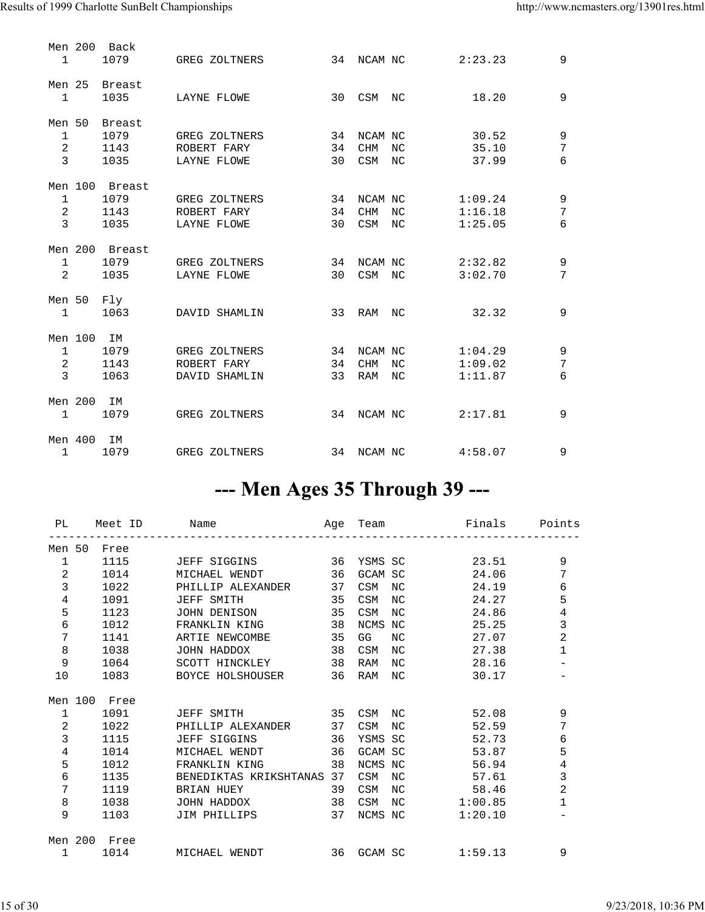| $\mathbf{1}$                                   |            | Men 200 Back<br>1079                   | GREG ZOLTNERS                                 | 34             | NCAM NC                             |            | 2:23.23                       | 9                                  |
|------------------------------------------------|------------|----------------------------------------|-----------------------------------------------|----------------|-------------------------------------|------------|-------------------------------|------------------------------------|
| Men 25<br>$\mathbf{1}$                         |            | Breast<br>1035                         | LAYNE FLOWE                                   | 30             | <b>CSM</b>                          | NC         | 18.20                         | 9                                  |
| Men 50<br>$\mathbf{1}$<br>2<br>$\mathbf{3}$    |            | <b>Breast</b><br>1079<br>1143<br>1035  | GREG ZOLTNERS<br>ROBERT FARY<br>LAYNE FLOWE   | 34<br>34<br>30 | NCAM NC<br><b>CHM</b><br><b>CSM</b> | NC.<br>NC. | 30.52<br>35.10<br>37.99       | 9<br>$\overline{7}$<br>6           |
| $\mathbf{1}$<br>$\overline{a}$<br>$\mathbf{3}$ |            | Men 100 Breast<br>1079<br>1143<br>1035 | GREG ZOLTNERS<br>ROBERT FARY<br>LAYNE FLOWE   | 34<br>34<br>30 | NCAM NC<br><b>CHM</b><br>CSM        | NC.<br>NC  | 1:09.24<br>1:16.18<br>1:25.05 | $\mathsf 9$<br>$\overline{7}$<br>6 |
| $\mathbf 1$<br>2                               |            | Men 200 Breast<br>1079<br>1035         | GREG ZOLTNERS<br>LAYNE FLOWE                  | 34<br>30       | NCAM NC<br>CSM NC                   |            | 2:32.82<br>3:02.70            | $\mathsf 9$<br>7                   |
| Men 50<br>$\mathbf{1}$                         |            | Fly<br>1063                            | DAVID SHAMLIN                                 | 33             | RAM                                 | NC.        | 32.32                         | 9                                  |
| $\mathbf{1}$<br>2<br>$\mathbf{3}$              | Men 100 IM | 1079<br>1143<br>1063                   | GREG ZOLTNERS<br>ROBERT FARY<br>DAVID SHAMLIN | 34<br>34<br>33 | NCAM NC<br><b>CHM</b><br>RAM        | NC<br>NC   | 1:04.29<br>1:09.02<br>1:11.87 | $\mathsf 9$<br>$\overline{7}$<br>б |
| $\mathbf{1}$                                   | Men 200    | IM<br>1079                             | GREG ZOLTNERS                                 | 34             | NCAM NC                             |            | 2:17.81                       | 9                                  |
| $\mathbf{1}$                                   | Men 400 IM | 1079                                   | GREG ZOLTNERS                                 |                | 34 NCAM NC                          |            | 4:58.07                       | 9                                  |

### --- Men Ages 35 Through 39 ---

|                |                   |              | PL Meet ID Name Name Age Team Sinals Points |    |         |            |             |                |
|----------------|-------------------|--------------|---------------------------------------------|----|---------|------------|-------------|----------------|
| Men 50         |                   | Free         |                                             |    |         |            |             |                |
|                | $1 \qquad \qquad$ | 1115         | JEFF SIGGINS 36 YSMS SC                     |    |         |            | 23.51       | 9              |
| 2              |                   | 1014         | MICHAEL WENDT                               | 36 |         | GCAM SC    | 24.06       | 7              |
| $\overline{3}$ |                   | 1022 200     | PHILLIP ALEXANDER                           | 37 | CSM     |            | NC<br>24.19 | 6              |
| $\overline{4}$ |                   | 1091         | JEFF SMITH                                  | 35 | CSM     | NC.        | 24.27       | 5              |
| 5              |                   | 1123         | JOHN DENISON                                | 35 | CSM     | NC.        | 24.86       | $\,4$          |
| 6              |                   | 1012         | FRANKLIN KING                               | 38 | NCMS NC |            | 25.25       | $\mathbf{3}$   |
| 7              |                   | 1141         | ARTIE NEWCOMBE                              | 35 | GG      | NC.        | 27.07       | $\overline{a}$ |
| 8              |                   | 1038         | JOHN HADDOX                                 | 38 | CSM     | NC.        | 27.38       | 1              |
| 9              |                   | 1064         | SCOTT HINCKLEY                              | 38 | RAM     | NC.        | 28.16       |                |
| 10             |                   |              | 1083 BOYCE HOLSHOUSER                       | 36 | RAM     | NC.        | 30.17       |                |
|                |                   | Men 100 Free |                                             |    |         |            |             |                |
| $\mathbf{1}$   |                   | 1091 70      | JEFF SMITH 35 CSM NC                        |    |         |            | 52.08       | 9              |
| 2              |                   | 1022 200     | PHILLIP ALEXANDER                           | 37 | CSM     | NC         | 52.59       | 7              |
| $\mathbf{3}$   |                   | 1115         | JEFF SIGGINS                                | 36 |         | YSMS SC    | 52.73       | $\epsilon$     |
| $\overline{4}$ |                   | 1014         | MICHAEL WENDT                               |    |         | 36 GCAM SC | 53.87       | 5              |
| 5              |                   | 1012         | FRANKLIN KING                               | 38 |         | NCMS NC    | 56.94       | $\overline{4}$ |
| 6              |                   | 1135         | BENEDIKTAS KRIKSHTANAS 37                   |    | CSM     |            | NC<br>57.61 | $\overline{3}$ |
| 7              |                   | 1119         | BRIAN HUEY                                  | 39 | CSM     |            | NC<br>58.46 | $\overline{2}$ |
| 8              |                   | 1038         | JOHN HADDOX                                 | 38 | CSM     | NC         | 1:00.85     | 1              |
| 9              |                   | 1103         | JIM PHILLIPS                                | 37 |         | NCMS NC    | 1:20.10     |                |
|                |                   | Men 200 Free |                                             |    |         |            |             |                |
|                | $1 \quad \cdots$  |              | 1014 MICHAEL WENDT<br>36 GCAM SC            |    |         |            | 1:59.13     | 9              |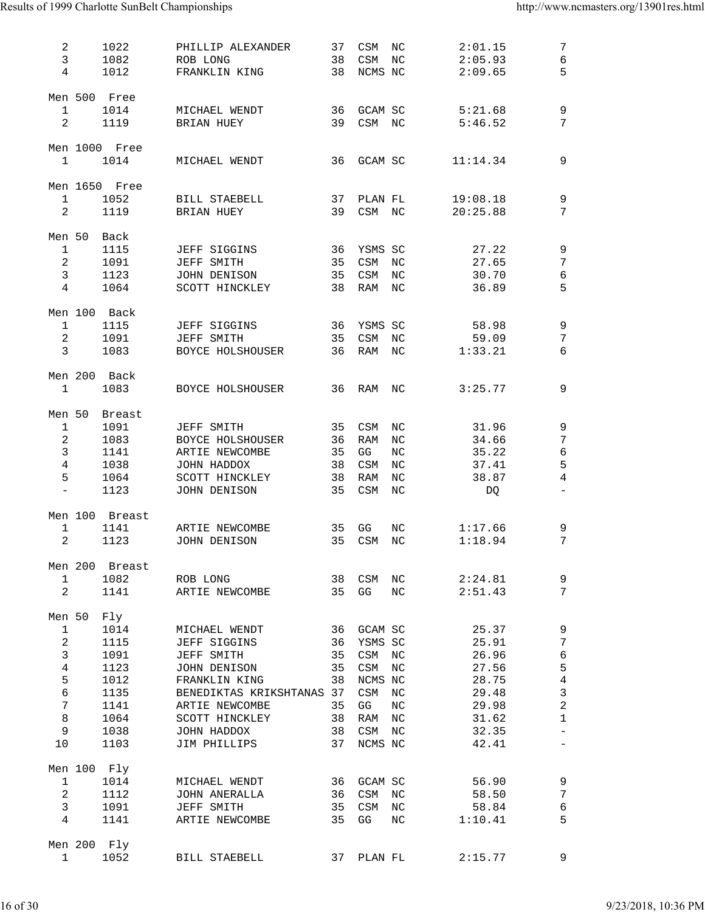| 2<br>3<br>$\overline{4}$       | 1022<br>1082<br>1012         | PHILLIP ALEXANDER<br>ROB LONG<br>FRANKLIN KING | 37<br>38<br>38 | CSM<br>CSM<br>NCMS NC | NC<br>NC         | 2:01.15<br>2:05.93<br>2:09.65 | 7<br>6<br>5              |
|--------------------------------|------------------------------|------------------------------------------------|----------------|-----------------------|------------------|-------------------------------|--------------------------|
| $\mathbf{1}$<br>$\overline{2}$ | Men 500 Free<br>1014<br>1119 | MICHAEL WENDT<br>BRIAN HUEY                    | 36<br>39       | GCAM SC<br>CSM NC     |                  | 5:21.68<br>5:46.52            | 9<br>7                   |
| $\mathbf{1}$                   | Men 1000 Free<br>1014        | MICHAEL WENDT                                  | 36             | GCAM SC               |                  | 11:14.34                      | 9                        |
| $\mathbf 1$                    | Men 1650 Free<br>1052        | BILL STAEBELL                                  | 37             | PLAN FL               |                  | 19:08.18                      | 9                        |
| 2                              | 1119                         | BRIAN HUEY                                     | 39             | CSM NC                |                  | 20:25.88                      | 7                        |
| Men 50                         | Back                         |                                                |                |                       |                  |                               |                          |
| $\mathbf{1}$                   | 1115                         | JEFF SIGGINS                                   | 36             | YSMS SC               |                  | 27.22                         | 9                        |
| 2                              | 1091                         | JEFF SMITH                                     | 35             | CSM                   | $_{\rm NC}$      | 27.65                         | 7                        |
| 3                              | 1123                         | JOHN DENISON                                   | 35             | CSM                   | NC               | 30.70                         | 6                        |
| 4                              | 1064                         | SCOTT HINCKLEY                                 | 38             | RAM                   | $_{\mathrm{NC}}$ | 36.89                         | 5                        |
| $\mathbf{1}$                   | Men 100 Back<br>1115         | <b>JEFF SIGGINS</b>                            | 36             | YSMS SC               |                  | 58.98                         | 9                        |
| 2                              | 1091                         | JEFF SMITH                                     | 35             | CSM                   | NC               | 59.09                         | 7                        |
| 3                              | 1083                         | BOYCE HOLSHOUSER                               | 36             | RAM                   | ΝC               | 1:33.21                       | 6                        |
|                                | Men 200 Back                 |                                                |                |                       |                  |                               |                          |
| $\mathbf{1}$                   | 1083                         | BOYCE HOLSHOUSER                               | 36             | RAM                   | NC               | 3:25.77                       | 9                        |
| Men 50                         | <b>Breast</b>                |                                                |                |                       |                  |                               |                          |
| $\mathbf{1}$                   | 1091                         | JEFF SMITH                                     | 35             | CSM                   | NC               | 31.96                         | 9                        |
| $\overline{a}$                 | 1083                         | BOYCE HOLSHOUSER                               | 36             | RAM                   | NC               | 34.66                         | 7                        |
| $\mathbf{3}$                   | 1141                         | ARTIE NEWCOMBE                                 | 35             | GG                    | $\rm{NC}$        | 35.22                         | 6                        |
| $\overline{4}$                 | 1038                         | JOHN HADDOX                                    | 38             | CSM                   | ΝC               | 37.41                         | 5                        |
| 5                              | 1064                         | SCOTT HINCKLEY                                 | 38             | RAM                   | $_{\mathrm{NC}}$ | 38.87                         | $\overline{4}$           |
| $\qquad \qquad -$              | 1123                         | JOHN DENISON                                   | 35             | CSM                   | NC               | DQ                            |                          |
|                                | Men 100 Breast               |                                                |                |                       |                  |                               |                          |
| 1                              | 1141                         | ARTIE NEWCOMBE                                 | 35             | GG                    | NC               | 1:17.66                       | 9                        |
| $\overline{2}$                 | 1123                         | JOHN DENISON                                   | 35             | CSM                   | ΝC               | 1:18.94                       | 7                        |
|                                | Men 200 Breast               |                                                |                |                       |                  |                               |                          |
| $\mathbf{1}$                   | 1082                         | ROB LONG                                       | 38             | CSM                   | NC               | 2:24.81                       | 9                        |
| $\overline{2}$                 | 1141                         | ARTIE NEWCOMBE                                 | 35             | GG                    | NC               | 2:51.43                       | 7                        |
| Men 50                         | Fly                          |                                                |                |                       |                  |                               |                          |
| $\mathbf{1}$                   | 1014                         | MICHAEL WENDT                                  | 36             | GCAM SC               |                  | 25.37                         | 9                        |
| $\mathbf{2}$                   | 1115                         | JEFF SIGGINS                                   | 36             | YSMS SC               |                  | 25.91                         | 7                        |
| $\mathbf{3}$                   | 1091                         | JEFF SMITH                                     | 35             | CSM NC                |                  | 26.96                         | 6                        |
| $\,4$                          | 1123                         | JOHN DENISON                                   | 35             | CSM                   | NC               | 27.56                         | 5                        |
| 5                              | 1012                         | FRANKLIN KING                                  | 38             | NCMS NC               |                  | 28.75                         | $\,4$                    |
| $\sqrt{6}$                     | 1135                         | BENEDIKTAS KRIKSHTANAS 37                      |                | CSM NC                |                  | 29.48                         | $\mathsf{3}$             |
| $\overline{7}$                 | 1141                         | ARTIE NEWCOMBE                                 | 35             | GG                    | $_{\mathrm{NC}}$ | 29.98                         | $\mathbf 2$              |
| $\,8\,$                        | 1064                         | SCOTT HINCKLEY                                 | 38             | RAM NC                |                  | 31.62                         | $\mathbf 1$              |
| 9                              | 1038                         | JOHN HADDOX                                    | 38             | CSM                   | ΝC               | 32.35                         | $\overline{\phantom{0}}$ |
| 10                             | 1103                         | JIM PHILLIPS                                   | 37             | NCMS NC               |                  | 42.41                         |                          |
|                                | Men 100 Fly                  |                                                |                |                       |                  |                               |                          |
| $\mathbf{1}$                   | 1014                         | MICHAEL WENDT                                  | 36             | GCAM SC               |                  | 56.90                         | 9                        |
| 2                              | 1112                         | JOHN ANERALLA                                  | 36             | CSM NC                |                  | 58.50                         | 7                        |
| 3                              | 1091                         | JEFF SMITH                                     | 35             | CSM                   | ΝC               | 58.84                         | $\epsilon$               |
| 4                              | 1141                         | ARTIE NEWCOMBE                                 | 35             | GG                    | $_{\mathrm{NC}}$ | 1:10.41                       | 5                        |
|                                | Men 200 Fly                  |                                                |                |                       |                  |                               |                          |
| $\mathbf{1}$                   | 1052                         | BILL STAEBELL                                  |                | 37 PLAN FL            |                  | 2:15.77                       | 9                        |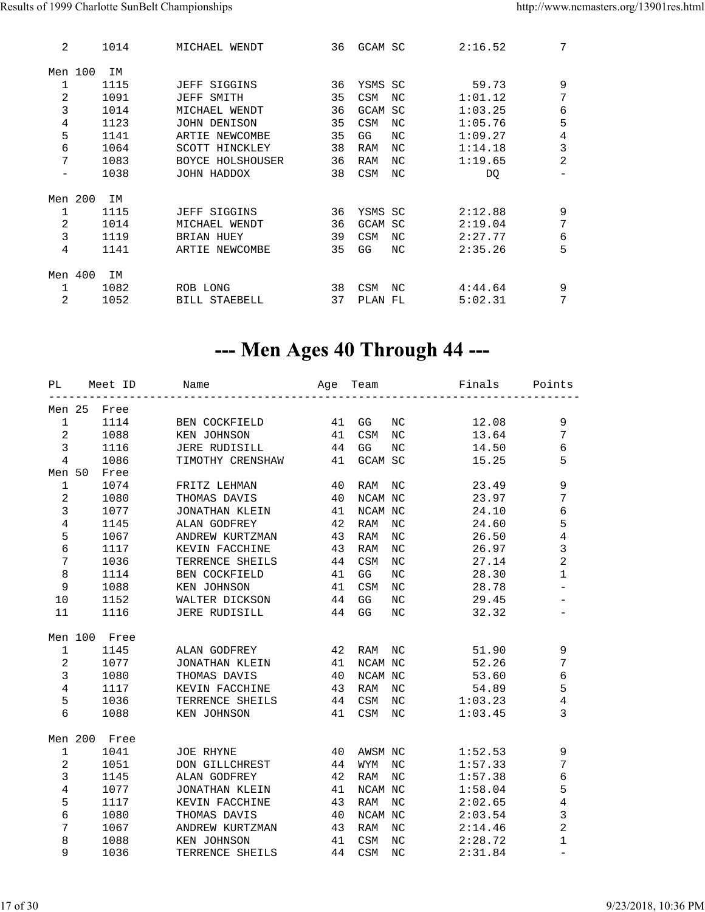| 2                 | 1014 | MICHAEL WENDT       | 36 | GCAM SC        |     | 2:16.52 | 7              |
|-------------------|------|---------------------|----|----------------|-----|---------|----------------|
| Men 100           | IΜ   |                     |    |                |     |         |                |
| 1                 | 1115 | <b>JEFF SIGGINS</b> | 36 | YSMS SC        |     | 59.73   | 9              |
| 2                 | 1091 | JEFF SMITH          | 35 | <b>CSM</b>     | NC  | 1:01.12 | 7              |
| 3                 | 1014 | MICHAEL WENDT       | 36 | <b>GCAM SC</b> |     | 1:03.25 | 6              |
| 4                 | 1123 | JOHN DENISON        | 35 | CSM            | NC. | 1:05.76 | 5              |
| 5                 | 1141 | ARTIE NEWCOMBE      | 35 | GG             | NC. | 1:09.27 | 4              |
| 6                 | 1064 | SCOTT HINCKLEY      | 38 | RAM            | NC. | 1:14.18 | 3              |
| 7                 | 1083 | BOYCE HOLSHOUSER    | 36 | RAM            | NC. | 1:19.65 | $\overline{2}$ |
| $\qquad \qquad -$ | 1038 | JOHN HADDOX         | 38 | CSM            | NC  | DQ      |                |
| Men 200           | ΙM   |                     |    |                |     |         |                |
| 1                 | 1115 | <b>JEFF SIGGINS</b> | 36 | YSMS SC        |     | 2:12.88 | 9              |
| 2                 | 1014 | MICHAEL WENDT       | 36 | <b>GCAM SC</b> |     | 2:19.04 | 7              |
| 3                 | 1119 | <b>BRIAN HUEY</b>   | 39 | CSM            | NC. | 2:27.77 | 6              |
| 4                 | 1141 | ARTIE NEWCOMBE      | 35 | GG             | NC. | 2:35.26 | 5              |
|                   |      |                     |    |                |     |         |                |
| Men 400           | ΙM   |                     |    |                |     |         |                |
| $\mathbf{1}$      | 1082 | ROB LONG            | 38 | <b>CSM</b>     | NC  | 4:44.64 | 9              |
| 2                 | 1052 | BILL STAEBELL       | 37 | PLAN           | FL  | 5:02.31 | 7              |
|                   |      |                     |    |                |     |         |                |

### --- Men Ages 40 Through 44 ---

| PL             | Meet ID      | Name                 | Age | Team    |                  | Finals  | Points                   |
|----------------|--------------|----------------------|-----|---------|------------------|---------|--------------------------|
| Men 25         | Free         |                      |     |         |                  |         |                          |
| $\mathbf{1}$   | 1114         | BEN COCKFIELD        | 41  | GG      | NC.              | 12.08   | $\mathsf 9$              |
| $\overline{2}$ | 1088         | KEN JOHNSON          | 41  | CSM     | NC.              | 13.64   | 7                        |
| 3              | 1116         | <b>JERE RUDISILL</b> | 44  | GG      | NC               | 14.50   | 6                        |
| $\overline{4}$ | 1086         | TIMOTHY CRENSHAW     | 41  | GCAM SC |                  | 15.25   | 5                        |
| Men 50         | Free         |                      |     |         |                  |         |                          |
| $\mathbf{1}$   | 1074         | FRITZ LEHMAN         | 40  | RAM     | $_{\rm NC}$      | 23.49   | 9                        |
| $\overline{a}$ | 1080         | THOMAS DAVIS         | 40  | NCAM NC |                  | 23.97   | 7                        |
| $\mathfrak{Z}$ | 1077         | JONATHAN KLEIN       | 41  | NCAM NC |                  | 24.10   | б                        |
| $\overline{4}$ | 1145         | ALAN GODFREY         | 42  | RAM     | NC               | 24.60   | 5                        |
| $\mathsf S$    | 1067         | ANDREW KURTZMAN      | 43  | RAM     | <b>NC</b>        | 26.50   | $\,4$                    |
| $\epsilon$     | 1117         | KEVIN FACCHINE       | 43  | RAM     | <b>NC</b>        | 26.97   | 3                        |
| 7              | 1036         | TERRENCE SHEILS      | 44  | CSM     | <b>NC</b>        | 27.14   | $\overline{2}$           |
| $\,8\,$        | 1114         | BEN COCKFIELD        | 41  | GG      | NC               | 28.30   | 1                        |
| 9              | 1088         | KEN JOHNSON          | 41  | CSM     | NC               | 28.78   | $\overline{\phantom{0}}$ |
| 10             | 1152         | WALTER DICKSON       | 44  | GG      | NC               | 29.45   | -                        |
| 11             | 1116         | JERE RUDISILL        | 44  | GG      | NC               | 32.32   |                          |
|                | Men 100 Free |                      |     |         |                  |         |                          |
| $\mathbf{1}$   | 1145         | ALAN GODFREY         | 42  | RAM     | $_{\mathrm{NC}}$ | 51.90   | 9                        |
| $\overline{a}$ | 1077         | JONATHAN KLEIN       | 41  | NCAM NC |                  | 52.26   | 7                        |
| $\mathbf{3}$   | 1080         | THOMAS DAVIS         | 40  | NCAM NC |                  | 53.60   | 6                        |
| $\overline{4}$ | 1117         | KEVIN FACCHINE       | 43  | RAM     | NC               | 54.89   | 5                        |
| 5              | 1036         | TERRENCE SHEILS      | 44  | CSM     | NC               | 1:03.23 | $\overline{4}$           |
| 6              | 1088         | KEN JOHNSON          | 41  | CSM     | NC               | 1:03.45 | 3                        |
|                | Men 200 Free |                      |     |         |                  |         |                          |
| $\mathbf{1}$   | 1041         | JOE RHYNE            | 40  | AWSM NC |                  | 1:52.53 | 9                        |
| $\overline{a}$ | 1051         | DON GILLCHREST       | 44  | WYM     | NC               | 1:57.33 | $\overline{7}$           |
| $\mathbf{3}$   | 1145         | ALAN GODFREY         | 42  | RAM     | NC               | 1:57.38 | 6                        |
| $\overline{4}$ | 1077         | JONATHAN KLEIN       | 41  | NCAM NC |                  | 1:58.04 | 5                        |
| 5              | 1117         | KEVIN FACCHINE       | 43  | RAM     | NC.              | 2:02.65 | $\overline{4}$           |
| 6              | 1080         | THOMAS DAVIS         | 40  | NCAM NC |                  | 2:03.54 | 3                        |
| 7              | 1067         | ANDREW KURTZMAN      | 43  | RAM     | NC               | 2:14.46 | $\sqrt{2}$               |
| 8              | 1088         | KEN JOHNSON          | 41  | CSM     | $_{\rm NC}$      | 2:28.72 | 1                        |
| 9              | 1036         | TERRENCE SHEILS      | 44  | CSM     | NC               | 2:31.84 |                          |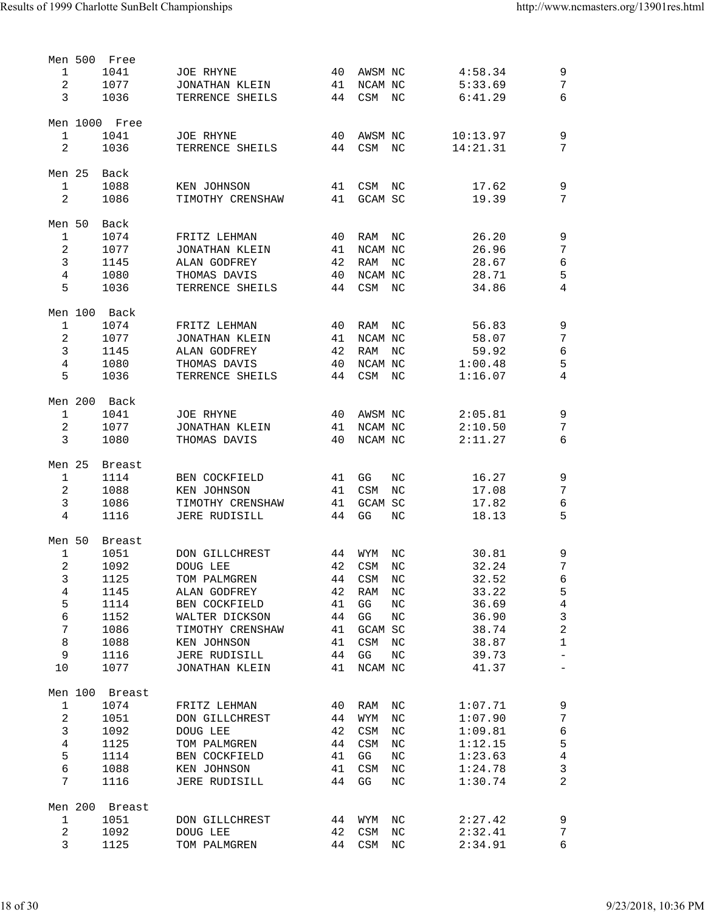|                 | Men 500 | Free          |                      |    |                                    |                  |          |                          |
|-----------------|---------|---------------|----------------------|----|------------------------------------|------------------|----------|--------------------------|
| 1               |         | 1041          | <b>JOE RHYNE</b>     | 40 | AWSM NC                            |                  | 4:58.34  | 9                        |
| 2               |         | 1077          | JONATHAN KLEIN       | 41 | NCAM NC                            |                  | 5:33.69  | $\overline{7}$           |
| 3               |         | 1036          | TERRENCE SHEILS      | 44 | CSM NC                             |                  | 6:41.29  | 6                        |
|                 |         |               |                      |    |                                    |                  |          |                          |
|                 |         | Men 1000 Free |                      |    |                                    |                  |          |                          |
| 1               |         | 1041          | <b>JOE RHYNE</b>     | 40 | AWSM NC                            |                  | 10:13.97 | 9                        |
| 2               |         | 1036          | TERRENCE SHEILS      | 44 | CSM                                | ΝC               | 14:21.31 | 7                        |
|                 |         |               |                      |    |                                    |                  |          |                          |
|                 |         |               |                      |    |                                    |                  |          |                          |
| Men 25          |         | Back          |                      |    |                                    |                  |          |                          |
| $\mathbf{1}$    |         | 1088          | KEN JOHNSON          | 41 | CSM NC                             |                  | 17.62    | $\mathsf 9$              |
| $\overline{c}$  |         | 1086          | TIMOTHY CRENSHAW     | 41 | GCAM SC                            |                  | 19.39    | 7                        |
|                 |         |               |                      |    |                                    |                  |          |                          |
| Men 50          |         | Back          |                      |    |                                    |                  |          |                          |
| $\mathbf{1}$    |         | 1074          | FRITZ LEHMAN         | 40 | RAM                                | NC               | 26.20    | 9                        |
| $\overline{2}$  |         | 1077          | JONATHAN KLEIN       | 41 | NCAM NC                            |                  | 26.96    | $\overline{7}$           |
| $\mathbf{3}$    |         | 1145          | ALAN GODFREY         | 42 | RAM                                | ΝC               | 28.67    | 6                        |
| $\overline{4}$  |         | 1080          | THOMAS DAVIS         | 40 | NCAM NC                            |                  | 28.71    | 5                        |
| 5               |         | 1036          | TERRENCE SHEILS      | 44 | CSM                                | NC               | 34.86    | 4                        |
|                 |         |               |                      |    |                                    |                  |          |                          |
|                 |         | Men 100 Back  |                      |    |                                    |                  |          |                          |
|                 |         |               |                      |    |                                    |                  |          |                          |
| $\mathbf{1}$    |         | 1074          | FRITZ LEHMAN         | 40 | RAM                                | ΝC               | 56.83    | $\mathsf 9$              |
| $\sqrt{2}$      |         | 1077          | JONATHAN KLEIN       | 41 | NCAM NC                            |                  | 58.07    | 7                        |
| 3               |         | 1145          | ALAN GODFREY         | 42 | RAM                                | ΝC               | 59.92    | 6                        |
| 4               |         | 1080          | THOMAS DAVIS         | 40 | NCAM NC                            |                  | 1:00.48  | 5                        |
| 5               |         | 1036          | TERRENCE SHEILS      | 44 | CSM                                | ΝC               | 1:16.07  | 4                        |
|                 |         |               |                      |    |                                    |                  |          |                          |
|                 |         | Men 200 Back  |                      |    |                                    |                  |          |                          |
| $\mathbf{1}$    |         | 1041          | <b>JOE RHYNE</b>     | 40 | AWSM NC                            |                  | 2:05.81  | 9                        |
| $\sqrt{2}$      |         | 1077          | JONATHAN KLEIN       | 41 | NCAM NC                            |                  | 2:10.50  | 7                        |
| 3               |         | 1080          | THOMAS DAVIS         | 40 | NCAM NC                            |                  | 2:11.27  | 6                        |
|                 |         |               |                      |    |                                    |                  |          |                          |
| Men 25          |         |               |                      |    |                                    |                  |          |                          |
|                 |         | <b>Breast</b> |                      |    |                                    |                  |          |                          |
| $\mathbf{1}$    |         | 1114          | BEN COCKFIELD        | 41 | GG                                 | NC               | 16.27    | $\mathsf 9$              |
|                 |         |               |                      |    |                                    | ΝC               |          |                          |
| $\sqrt{2}$      |         | 1088          | KEN JOHNSON          | 41 | CSM                                |                  | 17.08    | 7                        |
| 3               |         | 1086          | TIMOTHY CRENSHAW     | 41 | <b>GCAM SC</b>                     |                  | 17.82    | 6                        |
| 4               |         | 1116          | <b>JERE RUDISILL</b> | 44 | GG                                 | NC               | 18.13    | 5                        |
|                 |         |               |                      |    |                                    |                  |          |                          |
| Men 50          |         | <b>Breast</b> |                      |    |                                    |                  |          |                          |
| 1               |         | 1051          | DON GILLCHREST       | 44 | WYM                                | NC               | 30.81    |                          |
|                 |         |               |                      |    |                                    |                  |          | 9                        |
| $\overline{a}$  |         | 1092          | DOUG LEE             | 42 | <b>CSM</b>                         | NC               | 32.24    | 7                        |
| 3               |         | 1125          | TOM PALMGREN         | 44 | CSM                                | ΝC               | 32.52    | 6                        |
| 4               |         | 1145          | ALAN GODFREY         | 42 | RAM                                | NC               | 33.22    | 5                        |
| 5               |         | 1114          | BEN COCKFIELD        | 41 | GG                                 | $\rm{NC}$        | 36.69    | $\overline{4}$           |
| 6               |         | 1152          | WALTER DICKSON       | 44 | GG                                 | $_{\rm NC}$      | 36.90    | $\mathsf{3}$             |
| 7               |         | 1086          | TIMOTHY CRENSHAW     | 41 | GCAM SC                            |                  | 38.74    | $\overline{c}$           |
| $\,8\,$         |         | 1088          | KEN JOHNSON          | 41 | CSM                                | ΝC               | 38.87    | $\mathbf 1$              |
| 9               |         | 1116          | <b>JERE RUDISILL</b> | 44 | GG                                 | $_{\rm NC}$      | 39.73    | $\overline{\phantom{0}}$ |
| 10              |         | 1077          | JONATHAN KLEIN       | 41 | NCAM NC                            |                  | 41.37    | $\overline{\phantom{0}}$ |
|                 |         |               |                      |    |                                    |                  |          |                          |
| Men 100         |         | Breast        |                      |    |                                    |                  |          |                          |
|                 |         |               |                      |    |                                    |                  |          |                          |
| $\mathbf{1}$    |         | 1074          | FRITZ LEHMAN         | 40 | RAM                                | NC               | 1:07.71  | 9                        |
| $\sqrt{2}$      |         | 1051          | DON GILLCHREST       | 44 | WYM                                | $_{\mathrm{NC}}$ | 1:07.90  | 7                        |
| 3               |         | 1092          | DOUG LEE             | 42 | CSM                                | $_{\mathrm{NC}}$ | 1:09.81  | 6                        |
| 4               |         | 1125          | TOM PALMGREN         | 44 | CSM                                | NC               | 1:12.15  | 5                        |
| 5               |         | 1114          | BEN COCKFIELD        | 41 | GG                                 | $_{\rm NC}$      | 1:23.63  | $\overline{4}$           |
| 6               |         | 1088          | KEN JOHNSON          | 41 | CSM                                | $_{\mathrm{NC}}$ | 1:24.78  | $\mathsf{3}$             |
| 7               |         | 1116          | <b>JERE RUDISILL</b> | 44 | GG                                 | ΝC               | 1:30.74  | $\overline{2}$           |
|                 |         |               |                      |    |                                    |                  |          |                          |
| Men 200         |         | Breast        |                      |    |                                    |                  |          |                          |
| $\mathbf{1}$    |         | 1051          | DON GILLCHREST       | 44 | WYM                                | NC               | 2:27.42  | 9                        |
|                 |         |               | DOUG LEE             | 42 |                                    | NC               | 2:32.41  | 7                        |
| $\sqrt{2}$<br>3 |         | 1092<br>1125  | TOM PALMGREN         | 44 | $\mathop{\rm CSM}\nolimits$<br>CSM | NC               | 2:34.91  | 6                        |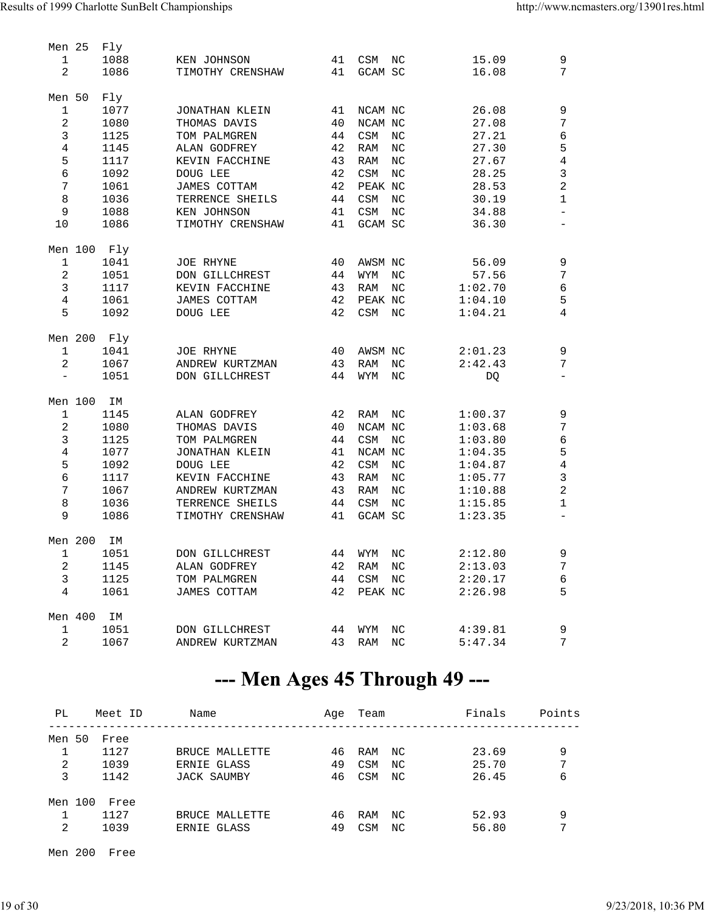| Men 25                   |          | Fly         |                  |    |                             |                  |         |                          |
|--------------------------|----------|-------------|------------------|----|-----------------------------|------------------|---------|--------------------------|
| $\mathbf{1}$             |          | 1088        | KEN JOHNSON      | 41 | CSM                         | NC               | 15.09   | 9                        |
| $\overline{a}$           |          | 1086        | TIMOTHY CRENSHAW | 41 | GCAM SC                     |                  | 16.08   | 7                        |
| Men 50                   |          | Fly         |                  |    |                             |                  |         |                          |
| $\mathbf{1}$             |          | 1077        | JONATHAN KLEIN   | 41 | NCAM NC                     |                  | 26.08   | 9                        |
| $\sqrt{2}$               |          | 1080        | THOMAS DAVIS     | 40 | NCAM NC                     |                  | 27.08   | $\overline{7}$           |
| $\mathbf{3}$             |          | 1125        | TOM PALMGREN     | 44 | CSM                         | $_{\rm NC}$      | 27.21   | 6                        |
| $\,4$                    |          |             |                  |    |                             |                  | 27.30   |                          |
|                          |          | 1145        | ALAN GODFREY     | 42 | RAM                         | NC               |         | 5                        |
| 5                        |          | 1117        | KEVIN FACCHINE   | 43 | RAM                         | $_{\mathrm{NC}}$ | 27.67   | $\,4$                    |
| $\epsilon$               |          | 1092        | DOUG LEE         | 42 | $\mathrel{\mathsf{CSM}}$    | $_{\mathrm{NC}}$ | 28.25   | $\mathsf{3}$             |
| 7                        |          | 1061        | JAMES COTTAM     | 42 | PEAK NC                     |                  | 28.53   | $\overline{a}$           |
| $\,8\,$                  |          | 1036        | TERRENCE SHEILS  | 44 | CSM                         | $_{\mathrm{NC}}$ | 30.19   | $\mathbf 1$              |
| 9                        |          | 1088        | KEN JOHNSON      | 41 | $\mathop{\tt CSM}\nolimits$ | $_{\rm NC}$      | 34.88   | $\overline{\phantom{0}}$ |
| 10                       |          | 1086        | TIMOTHY CRENSHAW | 41 | GCAM SC                     |                  | 36.30   | $\qquad \qquad -$        |
|                          |          | Men 100 Fly |                  |    |                             |                  |         |                          |
| $\mathbf{1}$             |          | 1041        | <b>JOE RHYNE</b> | 40 | AWSM NC                     |                  | 56.09   | 9                        |
| $\sqrt{2}$               |          | 1051        | DON GILLCHREST   | 44 | WYM                         | $_{\rm NC}$      | 57.56   | 7                        |
| $\mathbf{3}$             |          | 1117        | KEVIN FACCHINE   | 43 | RAM                         | $_{\rm NC}$      | 1:02.70 | $\epsilon$               |
| $\,4$                    |          | 1061        | JAMES COTTAM     | 42 | PEAK NC                     |                  | 1:04.10 | 5                        |
| 5                        |          | 1092        | DOUG LEE         | 42 | CSM                         | $_{\rm NC}$      | 1:04.21 | 4                        |
|                          |          |             |                  |    |                             |                  |         |                          |
|                          |          | Men 200 Fly |                  |    |                             |                  |         |                          |
| $\mathbf{1}$             |          | 1041        | <b>JOE RHYNE</b> | 40 | AWSM NC                     |                  | 2:01.23 | 9                        |
| 2                        |          | 1067        | ANDREW KURTZMAN  | 43 | RAM                         | $_{\mathrm{NC}}$ | 2:42.43 | $7\phantom{.}$           |
| $\overline{\phantom{a}}$ |          | 1051        | DON GILLCHREST   | 44 | WYM                         | NC               | DQ      | $\overline{\phantom{0}}$ |
| Men 100                  |          | IΜ          |                  |    |                             |                  |         |                          |
| $\mathbf{1}$             |          | 1145        | ALAN GODFREY     | 42 | RAM                         | NC               | 1:00.37 | 9                        |
| $\sqrt{2}$               |          | 1080        | THOMAS DAVIS     | 40 | NCAM NC                     |                  | 1:03.68 | 7                        |
| $\mathbf{3}$             |          | 1125        | TOM PALMGREN     | 44 | CSM                         | $_{\rm NC}$      | 1:03.80 | $\epsilon$               |
| $\,4$                    |          | 1077        | JONATHAN KLEIN   | 41 | NCAM NC                     |                  | 1:04.35 | 5                        |
| 5                        |          | 1092        | DOUG LEE         | 42 | CSM                         | NC               | 1:04.87 | $\,4$                    |
| $\epsilon$               |          | 1117        | KEVIN FACCHINE   | 43 | RAM                         | $_{\mathrm{NC}}$ | 1:05.77 | 3                        |
| 7                        |          | 1067        | ANDREW KURTZMAN  | 43 | RAM                         | $_{\mathrm{NC}}$ | 1:10.88 | $\overline{a}$           |
| $\,8\,$                  |          | 1036        | TERRENCE SHEILS  | 44 | $\mathop{\tt CSM}\nolimits$ | $_{\mathrm{NC}}$ | 1:15.85 | $\mathbf{1}$             |
| 9                        |          | 1086        | TIMOTHY CRENSHAW | 41 | GCAM SC                     |                  | 1:23.35 |                          |
|                          |          |             |                  |    |                             |                  |         |                          |
| Men 200                  |          | ΙM          |                  |    |                             |                  |         |                          |
|                          | $\sim$ 1 | 1051        | DON GILLCHREST   |    | 44 WYM NC                   |                  | 2:12.80 | 9                        |
| 2                        |          | 1145        | ALAN GODFREY     | 42 | RAM NC                      |                  | 2:13.03 | 7                        |
| 3                        |          | 1125        | TOM PALMGREN     | 44 | CSM NC                      |                  | 2:20.17 | 6                        |
| $\overline{4}$           |          | 1061        | JAMES COTTAM     | 42 | PEAK NC                     |                  | 2:26.98 | 5                        |
|                          |          |             |                  |    |                             |                  |         |                          |
| Men 400                  |          | ΙM          |                  |    |                             |                  |         |                          |
| 1                        |          | 1051        | DON GILLCHREST   | 44 | WYM                         | NC               | 4:39.81 | 9                        |
| 2                        |          | 1067        | ANDREW KURTZMAN  | 43 | RAM                         | NC               | 5:47.34 | 7                        |
|                          |          |             |                  |    |                             |                  |         |                          |

### --- Men Ages 45 Through 49 ---

| PL      | Meet ID | Name                     | Aqe | Team       |     | Finals | Points |
|---------|---------|--------------------------|-----|------------|-----|--------|--------|
| Men 50  | Free    |                          |     |            |     |        |        |
|         | 1127    | BRUCE MALLETTE           | 46  | RAM        | NC  | 23.69  | 9      |
| 2       | 1039    | ERNIE GLASS              | 49  | <b>CSM</b> | NC  | 25.70  | 7      |
| 3       | 1142    | JACK SAUMBY              | 46  | CSM        | NC. | 26.45  | 6      |
| Men 100 | Free    |                          |     |            |     |        |        |
|         | 1127    | <b>BRUCE</b><br>MALLETTE | 46  | <b>RAM</b> | NC  | 52.93  | 9      |
| 2       | 1039    | GLASS<br>ERNIE           | 49  | <b>CSM</b> | NC  | 56.80  | 7      |

Men 200 Free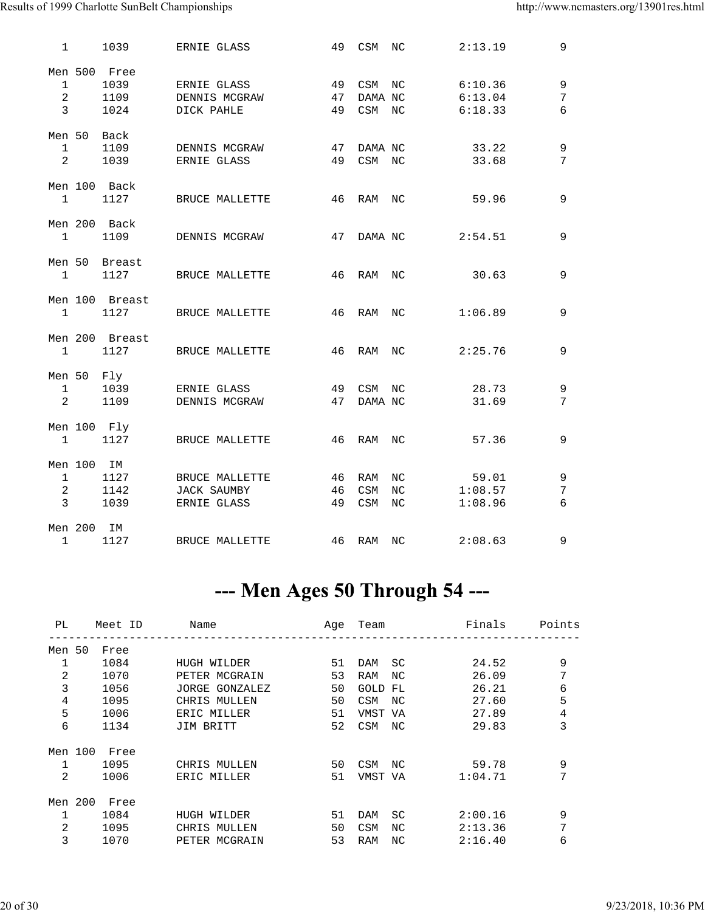| $\mathbf{1}$          |            | 1039                   | ERNIE GLASS        | 49 | CSM                         | NC               | 2:13.19 | 9           |
|-----------------------|------------|------------------------|--------------------|----|-----------------------------|------------------|---------|-------------|
| $\mathbf{1}$          |            | Men 500 Free<br>1039   | ERNIE GLASS        | 49 | $\mathrel{\mathtt{CSM}}$    | NC               | 6:10.36 | 9           |
| $\overline{a}$        |            | 1109                   | DENNIS MCGRAW      | 47 | DAMA NC                     |                  | 6:13.04 | 7           |
| $\overline{3}$        |            | 1024                   | DICK PAHLE         | 49 | $\mathop{\tt CSM}\nolimits$ | NC               | 6:18.33 | 6           |
| Men 50                |            | Back                   |                    |    |                             |                  |         |             |
| $\mathbf{1}$          |            | 1109                   | DENNIS MCGRAW      | 47 | DAMA NC                     |                  | 33.22   | $\mathsf 9$ |
| $\overline{a}$        |            | 1039                   | ERNIE GLASS        | 49 | $\mathrel{\mathsf{CSM}}$    | NC               | 33.68   | 7           |
|                       |            | Men 100 Back           |                    |    |                             |                  |         |             |
| $\mathbf{1}$          |            | 1127                   | BRUCE MALLETTE     | 46 | RAM                         | NC               | 59.96   | 9           |
|                       |            | Men 200 Back           |                    |    |                             |                  |         |             |
| $\mathbf{1}$          |            | 1109                   | DENNIS MCGRAW      | 47 | DAMA NC                     |                  | 2:54.51 | 9           |
| Men 50<br>$\mathbf 1$ |            | Breast<br>1127         | BRUCE MALLETTE     | 46 | RAM                         | NC               | 30.63   | 9           |
|                       |            |                        |                    |    |                             |                  |         |             |
| $\mathbf{1}$          |            | Men 100 Breast<br>1127 | BRUCE MALLETTE     | 46 | <b>RAM</b>                  | NC               | 1:06.89 | 9           |
|                       |            | Men 200 Breast         |                    |    |                             |                  |         |             |
| 1                     |            | 1127                   | BRUCE MALLETTE     | 46 | RAM                         | $_{\mathrm{NC}}$ | 2:25.76 | 9           |
| Men 50                |            | Fly                    |                    |    |                             |                  |         |             |
| $\mathbf{1}$          |            | 1039                   | ERNIE GLASS        | 49 | $\mathrel{\mathsf{CSM}}$    | NC.              | 28.73   | 9           |
| 2                     |            | 1109                   | DENNIS MCGRAW      | 47 | DAMA NC                     |                  | 31.69   | 7           |
|                       |            |                        |                    |    |                             |                  |         |             |
|                       |            | Men 100 Fly            |                    |    |                             |                  |         |             |
| $\mathbf{1}$          |            | 1127                   | BRUCE MALLETTE     | 46 | <b>RAM</b>                  | NC.              | 57.36   | 9           |
| Men 100               |            | ΙM                     |                    |    |                             |                  |         |             |
| $\mathbf{1}$          |            | 1127                   | BRUCE MALLETTE     | 46 | RAM                         | $_{\mathrm{NC}}$ | 59.01   | 9           |
| 2                     |            | 1142                   | <b>JACK SAUMBY</b> | 46 | CSM                         | NC               | 1:08.57 | 7           |
| 3                     |            | 1039                   | ERNIE GLASS        | 49 | $\mathrel{\mathtt{CSM}}$    | NC               | 1:08.96 | 6           |
|                       |            |                        |                    |    |                             |                  |         |             |
|                       | Men 200 IM |                        |                    |    |                             |                  |         |             |
| $\mathbf{1}$          |            | 1127                   | BRUCE MALLETTE     |    | 46 RAM                      | NC               | 2:08.63 | 9           |

### --- Men Ages 50 Through 54 ---

| PL           |         | Meet ID | Name           |    | Age Team          | Finals  | Points         |
|--------------|---------|---------|----------------|----|-------------------|---------|----------------|
| Men 50       |         | Free    |                |    |                   |         |                |
| 1            |         | 1084    | HUGH WILDER    | 51 | SC<br>DAM         | 24.52   | 9              |
| 2            |         | 1070    | PETER MCGRAIN  | 53 | RAM<br>NC         | 26.09   | 7              |
| 3            |         | 1056    | JORGE GONZALEZ | 50 | GOLD<br>FL        | 26.21   | 6              |
| 4            |         | 1095    | CHRIS MULLEN   | 50 | <b>CSM</b><br>NC. | 27.60   | 5              |
| 5            |         | 1006    | ERIC MILLER    | 51 | VMST VA           | 27.89   | $\overline{4}$ |
| 6            |         | 1134    | JIM BRITT      | 52 | CSM<br>NC         | 29.83   | 3              |
|              | Men 100 | Free    |                |    |                   |         |                |
| $\mathbf{1}$ |         | 1095    | CHRIS MULLEN   | 50 | CSM<br>NC         | 59.78   | 9              |
| 2            |         | 1006    | ERIC MILLER    | 51 | VMST VA           | 1:04.71 | 7              |
|              | Men 200 | Free    |                |    |                   |         |                |
| $\mathbf{1}$ |         | 1084    | HUGH WILDER    | 51 | SC<br>DAM         | 2:00.16 | 9              |
| 2            |         | 1095    | CHRIS MULLEN   | 50 | <b>CSM</b><br>NC. | 2:13.36 | 7              |
| 3            |         | 1070    | PETER MCGRAIN  | 53 | <b>RAM</b><br>NC. | 2:16.40 | 6              |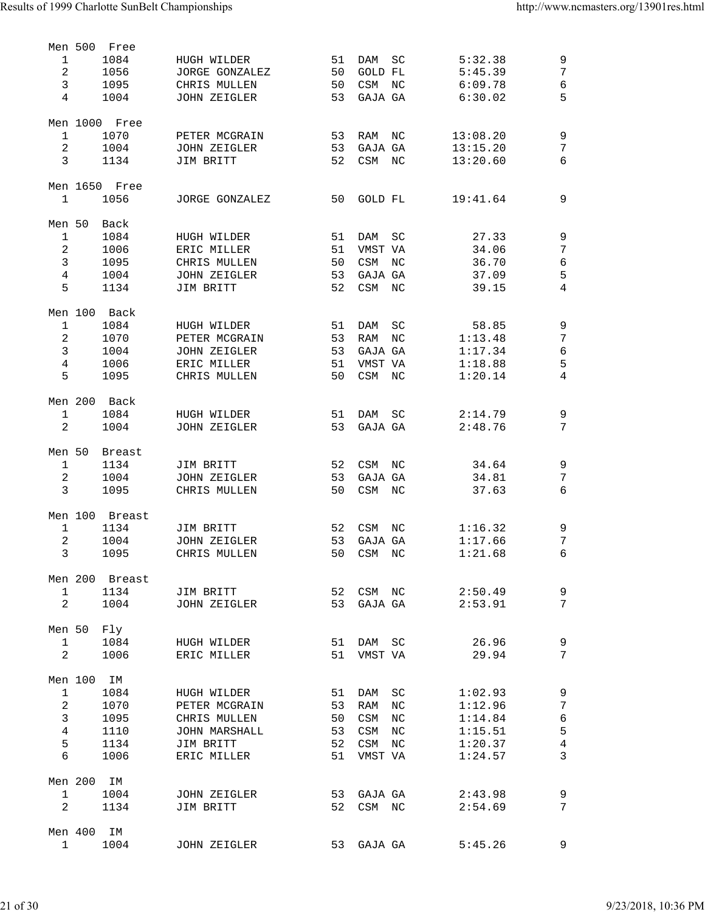|                |            | Men 500 Free   |                         |    |            |                   |          |                     |
|----------------|------------|----------------|-------------------------|----|------------|-------------------|----------|---------------------|
| $\mathbf{1}$   |            | 1084           | HUGH WILDER             | 51 | DAM        | SC                | 5:32.38  | 9                   |
| $\overline{a}$ |            | 1056           | JORGE GONZALEZ          | 50 | GOLD FL    |                   | 5:45.39  | $\overline{7}$      |
| $\mathbf{3}$   |            | 1095           | CHRIS MULLEN            | 50 | CSM        | $_{\rm NC}$       | 6:09.78  | $\epsilon$          |
| 4              |            | 1004           | JOHN ZEIGLER            | 53 | GAJA GA    |                   | 6:30.02  | 5                   |
|                |            |                |                         |    |            |                   |          |                     |
|                |            | Men 1000 Free  |                         |    |            |                   |          |                     |
| $\mathbf{1}$   |            | 1070           | PETER MCGRAIN           | 53 | RAM NC     |                   | 13:08.20 | $\mathsf 9$         |
| $\overline{a}$ |            | 1004           | JOHN ZEIGLER            | 53 | GAJA GA    |                   | 13:15.20 | 7                   |
| 3              |            | 1134           | JIM BRITT               | 52 | CSM NC     |                   | 13:20.60 | 6                   |
|                |            |                |                         |    |            |                   |          |                     |
|                |            | Men 1650 Free  |                         |    |            |                   |          |                     |
| $\mathbf{1}$   |            | 1056           | JORGE GONZALEZ          | 50 | GOLD FL    |                   | 19:41.64 | 9                   |
|                |            |                |                         |    |            |                   |          |                     |
| Men 50         |            | Back           |                         |    |            |                   |          |                     |
| $\mathbf{1}$   |            | 1084           | HUGH WILDER             | 51 | DAM        | SC                | 27.33    | 9                   |
| 2              |            | 1006           | ERIC MILLER             | 51 | VMST VA    |                   | 34.06    | 7                   |
| $\overline{3}$ |            | 1095           | CHRIS MULLEN            | 50 | CSM        | ΝC                | 36.70    | $\epsilon$          |
| $\overline{4}$ |            | 1004           | JOHN ZEIGLER            | 53 | GAJA GA    |                   | 37.09    | 5                   |
| 5              |            | 1134           | JIM BRITT               | 52 | CSM        | ΝC                | 39.15    | $\overline{4}$      |
|                |            |                |                         |    |            |                   |          |                     |
|                |            | Men 100 Back   |                         |    |            |                   |          |                     |
| 1              |            | 1084           | HUGH WILDER             | 51 | DAM        |                   | 58.85    |                     |
| 2              |            | 1070           | PETER MCGRAIN           | 53 | RAM        | SC                | 1:13.48  | 9<br>$\overline{7}$ |
|                |            |                |                         |    |            | NC                |          |                     |
| $\mathbf{3}$   |            | 1004           | JOHN ZEIGLER            | 53 | GAJA GA    |                   | 1:17.34  | $\epsilon$          |
| $\overline{4}$ |            | 1006           | ERIC MILLER             | 51 | VMST VA    |                   | 1:18.88  | 5                   |
| 5              |            | 1095           | CHRIS MULLEN            | 50 | CSM NC     |                   | 1:20.14  | 4                   |
|                |            |                |                         |    |            |                   |          |                     |
|                |            | Men 200 Back   |                         |    |            |                   |          |                     |
| $\mathbf 1$    |            | 1084           | HUGH WILDER             | 51 | DAM        | SC                | 2:14.79  | 9                   |
| 2              |            | 1004           | JOHN ZEIGLER            | 53 | GAJA GA    |                   | 2:48.76  | 7                   |
|                |            |                |                         |    |            |                   |          |                     |
| Men 50         |            | Breast         |                         |    |            |                   |          |                     |
| $\mathbf{1}$   |            | 1134           | JIM BRITT               | 52 | CSM        | NC                | 34.64    | 9                   |
| 2              |            | 1004           | JOHN ZEIGLER            | 53 | GAJA GA    |                   | 34.81    | 7                   |
| 3              |            | 1095           | CHRIS MULLEN            | 50 | CSM NC     |                   | 37.63    | 6                   |
|                |            |                |                         |    |            |                   |          |                     |
|                |            | Men 100 Breast |                         |    |            |                   |          |                     |
| $\mathbf{1}$   |            | 1134           | JIM BRITT               | 52 | CSM NC     |                   | 1:16.32  | 9                   |
| $\overline{2}$ |            | 1004           | <b>JOHN ZEIGLER</b>     | 53 | GAJA GA    |                   | 1:17.66  | $\overline{7}$      |
| $\mathbf{3}$   |            | 1095           | CHRIS MULLEN            |    | 50 CSM NC  |                   | 1:21.68  | 6                   |
|                |            |                |                         |    |            |                   |          |                     |
|                |            | Men 200 Breast |                         |    |            |                   |          |                     |
| $\mathbf{1}$   |            | 1134           | JIM BRITT               |    |            | 52 CSM NC 2:50.49 |          | 9                   |
| $\overline{a}$ |            | 1004           | JOHN ZEIGLER            | 53 | GAJA GA    |                   | 2:53.91  | $\overline{7}$      |
|                |            |                |                         |    |            |                   |          |                     |
| Men 50         |            | Fly            |                         |    |            |                   |          |                     |
| $\mathbf{1}$   |            |                | 1084 HUGH WILDER<br>51  |    |            | DAM SC            | 26.96    | 9                   |
| 2              |            | 1006           | ERIC MILLER             | 51 | VMST VA    |                   | 29.94    | $\overline{7}$      |
|                |            |                |                         |    |            |                   |          |                     |
|                | Men 100 IM |                |                         |    |            |                   |          |                     |
| $\mathbf{1}$   |            | 1084           | HUGH WILDER             | 51 |            | DAM SC            | 1:02.93  | 9                   |
| $\overline{a}$ |            | 1070           | PETER MCGRAIN           | 53 |            | RAM NC            | 1:12.96  | $\sqrt{ }$          |
| $\mathbf{3}$   |            | 1095           | CHRIS MULLEN            | 50 | CSM        | NC                | 1:14.84  | $\,$ 6 $\,$         |
| $\overline{4}$ |            | 1110           | JOHN MARSHALL           | 53 | CSM NC     |                   | 1:15.51  | $\mathsf S$         |
| 5              |            | 1134           | JIM BRITT               | 52 | CSM NC     |                   | 1:20.37  | $\,4$               |
| $\epsilon$     |            | 1006           | ERIC MILLER             | 51 | VMST VA    |                   | 1:24.57  | $\overline{3}$      |
|                |            |                |                         |    |            |                   |          |                     |
|                | Men 200 IM |                |                         |    |            |                   |          |                     |
| $\mathbf{1}$   |            |                | 53<br>1004 JOHN ZEIGLER |    |            | GAJA GA 2:43.98   |          | 9                   |
| 2              |            | 1134           | JIM BRITT               | 52 | CSM NC     |                   | 2:54.69  | $\overline{7}$      |
|                |            |                |                         |    |            |                   |          |                     |
|                | Men 400 IM |                |                         |    |            |                   |          |                     |
| $\mathbf{1}$   |            | 1004           | JOHN ZEIGLER            |    | 53 GAJA GA |                   | 5:45.26  | 9                   |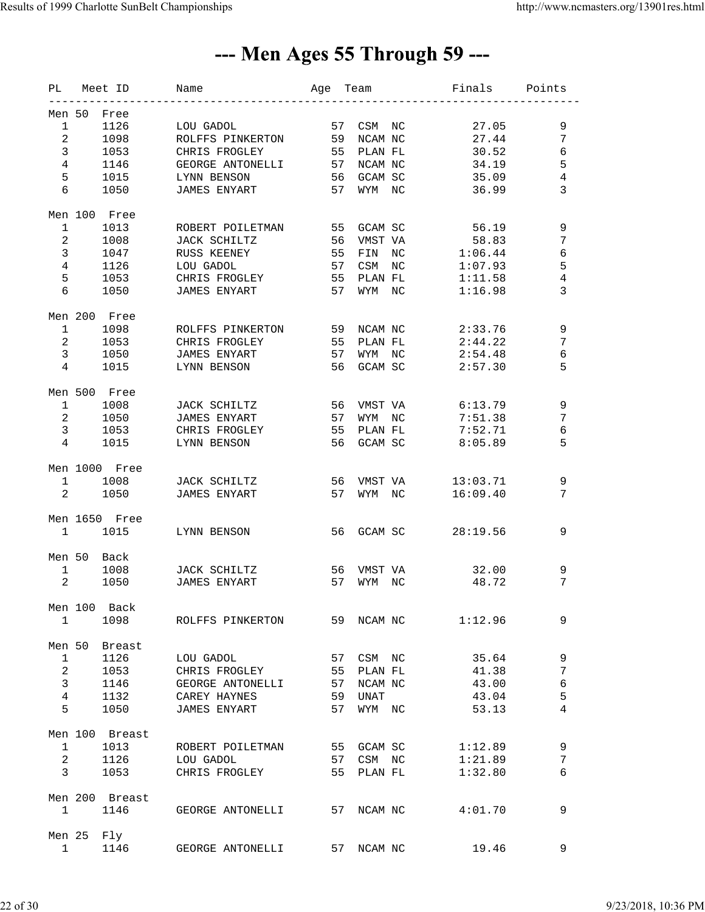### --- Men Ages 55 Through 59 ---

|                |                                | PL Meet ID            | Age Team<br>Name    |    |               |    | Finals   | Points          |
|----------------|--------------------------------|-----------------------|---------------------|----|---------------|----|----------|-----------------|
|                |                                |                       |                     |    |               |    |          |                 |
|                | Men 50                         | Free                  |                     |    |               |    |          |                 |
| $\mathbf{1}$   |                                | 1126                  | LOU GADOL           |    | 57<br>CSM NC  |    | 27.05    | 9               |
| 2 <sup>1</sup> |                                | 1098                  | ROLFFS PINKERTON    |    | 59 NCAM NC    |    | 27.44    | 7               |
| 3              |                                | 1053                  | CHRIS FROGLEY       | 55 | PLAN FL       |    | 30.52    | 6               |
| $\overline{4}$ |                                | 1146                  | GEORGE ANTONELLI    | 57 | NCAM NC       |    | 34.19    | 5               |
| 5              |                                | 1015                  | LYNN BENSON         |    | 56<br>GCAM SC |    | 35.09    | 4               |
| 6              |                                | 1050                  | JAMES ENYART        |    | 57<br>WYM NC  |    | 36.99    | 3               |
|                |                                |                       |                     |    |               |    |          |                 |
|                |                                | Men 100 Free          |                     |    |               |    |          |                 |
| $\mathbf{1}$   |                                | 1013                  | ROBERT POILETMAN    | 55 | GCAM SC       |    | 56.19    | 9               |
| $\overline{a}$ |                                | 1008                  | JACK SCHILTZ        | 56 | VMST VA       |    | 58.83    | 7               |
| $\mathbf{3}$   |                                | 1047                  | RUSS KEENEY         | 55 | FIN NC        |    | 1:06.44  | 6               |
| $\overline{4}$ |                                | 1126                  | LOU GADOL           | 57 | CSM           | NC | 1:07.93  | 5               |
| 5              |                                | 1053                  | CHRIS FROGLEY       | 55 | PLAN FL       |    | 1:11.58  | $\,4$           |
| 6              |                                | 1050                  | JAMES ENYART        | 57 | WYM NC        |    | 1:16.98  | 3               |
|                |                                |                       |                     |    |               |    |          |                 |
|                |                                | Men 200 Free          |                     |    |               |    |          |                 |
| $\mathbf{1}$   |                                | 1098                  | ROLFFS PINKERTON    | 59 | NCAM NC       |    | 2:33.76  | 9               |
| $\overline{a}$ |                                | 1053                  | CHRIS FROGLEY       | 55 | PLAN FL       |    | 2:44.22  | 7               |
| $\mathbf{3}$   |                                | 1050                  | JAMES ENYART        | 57 | WYM NC        |    | 2:54.48  | 6               |
| $\overline{4}$ |                                | 1015                  | LYNN BENSON         | 56 | GCAM SC       |    | 2:57.30  | 5               |
|                |                                |                       |                     |    |               |    |          |                 |
|                |                                | Men 500 Free          |                     |    |               |    |          |                 |
| $\mathbf{1}$   |                                | 1008                  | JACK SCHILTZ        | 56 | VMST VA       |    | 6:13.79  | 9               |
| $\overline{a}$ |                                | 1050                  | JAMES ENYART        | 57 | WYM NC        |    | 7:51.38  | 7               |
| $\mathbf{3}$   |                                | 1053                  | CHRIS FROGLEY       | 55 | PLAN FL       |    | 7:52.71  | 6               |
| $\overline{4}$ |                                | 1015                  | LYNN BENSON         | 56 | GCAM SC       |    | 8:05.89  | 5               |
|                |                                |                       |                     |    |               |    |          |                 |
|                |                                | Men 1000 Free         |                     |    |               |    |          |                 |
| $\mathbf{1}$   |                                | 1008                  | JACK SCHILTZ        | 56 | VMST VA       |    | 13:03.71 | 9               |
|                | $2 \left( \frac{1}{2} \right)$ | 1050                  | JAMES ENYART        |    | 57<br>WYM NC  |    | 16:09.40 | 7               |
|                |                                |                       |                     |    |               |    |          |                 |
|                |                                | Men 1650 Free<br>1015 |                     |    | 56 GCAM SC    |    |          | 9               |
|                | $1 \quad \Box$                 |                       | LYNN BENSON         |    |               |    | 28:19.56 |                 |
|                | Men 50                         | Back                  |                     |    |               |    |          |                 |
| $\mathbf{1}$   |                                | 1008                  | JACK SCHILTZ        | 56 | VMST VA       |    | 32.00    | 9               |
| $\overline{2}$ |                                | 1050                  | <b>JAMES ENYART</b> | 57 | WYM NC        |    | 48.72    | 7               |
|                |                                |                       |                     |    |               |    |          |                 |
|                |                                | Men 100 Back          |                     |    |               |    |          |                 |
| $\mathbf{1}$   |                                | 1098                  | ROLFFS PINKERTON    |    | 59 NCAM NC    |    | 1:12.96  | 9               |
|                |                                |                       |                     |    |               |    |          |                 |
|                | Men 50                         | Breast                |                     |    |               |    |          |                 |
| $\mathbf{1}$   |                                | 1126                  | LOU GADOL           |    | CSM NC<br>57  |    | 35.64    | 9               |
| $\overline{a}$ |                                | 1053                  | CHRIS FROGLEY       | 55 | PLAN FL       |    | 41.38    | $7\phantom{.0}$ |
| $\mathbf{3}$   |                                | 1146                  | GEORGE ANTONELLI    | 57 | NCAM NC       |    | 43.00    | 6               |
| $\overline{4}$ |                                | 1132                  | CAREY HAYNES        | 59 | <b>UNAT</b>   |    | 43.04    | 5               |
| 5              |                                | 1050                  | JAMES ENYART        | 57 | WYM NC        |    | 53.13    | 4               |
|                |                                |                       |                     |    |               |    |          |                 |
|                |                                | Men 100 Breast        |                     |    |               |    |          |                 |
| $\mathbf{1}$   |                                | 1013                  | ROBERT POILETMAN    |    | 55<br>GCAM SC |    | 1:12.89  | 9               |
| $\overline{a}$ |                                | 1126                  | LOU GADOL           |    | CSM NC<br>57  |    | 1:21.89  | 7               |
| $\mathbf{3}$   |                                | 1053                  | CHRIS FROGLEY       | 55 | PLAN FL       |    | 1:32.80  | 6               |
|                |                                |                       |                     |    |               |    |          |                 |
|                |                                | Men 200 Breast        |                     |    |               |    |          |                 |
| 1              |                                | 1146                  | GEORGE ANTONELLI    | 57 | NCAM NC       |    | 4:01.70  | 9               |
|                |                                |                       |                     |    |               |    |          |                 |
|                | Men 25                         | Fly                   |                     |    |               |    |          |                 |
| $\mathbf{1}$   |                                | 1146                  | GEORGE ANTONELLI    |    | 57<br>NCAM NC |    | 19.46    | 9               |
|                |                                |                       |                     |    |               |    |          |                 |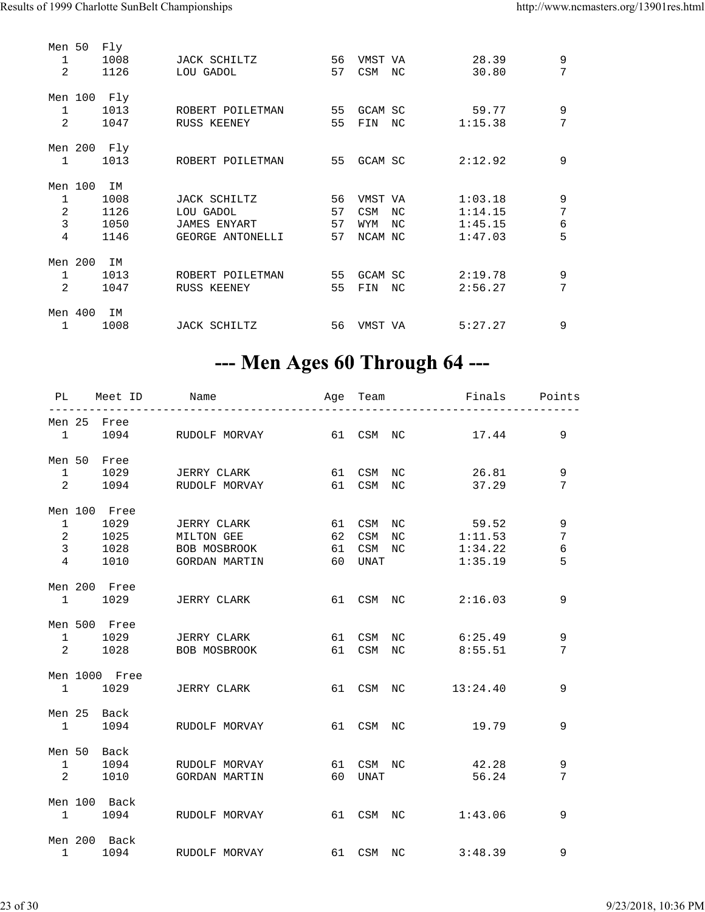| Men 50<br>1<br>2 | Fly<br>1008<br>1126         | JACK SCHILTZ<br>LOU GADOL       | 56<br>57 | VMST VA<br><b>CSM</b> | NC. | 28.39<br>30.80   | 9<br>7 |
|------------------|-----------------------------|---------------------------------|----------|-----------------------|-----|------------------|--------|
| 1<br>2           | Men 100 Fly<br>1013<br>1047 | ROBERT POILETMAN<br>RUSS KEENEY | 55<br>55 | GCAM SC<br>FIN        | NC  | 59.77<br>1:15.38 | 9<br>7 |
| 1                | Men 200 Fly<br>1013         | ROBERT POILETMAN                | 55       | GCAM SC               |     | 2:12.92          | 9      |
| Men 100          | IM                          |                                 |          |                       |     |                  |        |
| 1                | 1008                        | JACK SCHILTZ                    | 56       | VMST VA               |     | 1:03.18          | 9      |
| 2                | 1126                        | LOU GADOL                       | 57       | CSM                   | NC  | 1:14.15          | 7      |
| 3                | 1050                        | <b>JAMES ENYART</b>             | 57       | WYM                   | NC  | 1:45.15          | 6      |
| 4                | 1146                        | GEORGE ANTONELLI                | 57       | NCAM NC               |     | 1:47.03          | 5      |
| Men 200          | IM                          |                                 |          |                       |     |                  |        |
| 1                | 1013                        | ROBERT POILETMAN                | 55       | GCAM SC               |     | 2:19.78          | 9      |
| 2                | 1047                        | RUSS KEENEY                     | 55       | FIN                   | NC  | 2:56.27          | 7      |
|                  |                             |                                 |          |                       |     |                  |        |
| Men 400          | IΜ                          |                                 |          |                       |     |                  |        |
| 1                | 1008                        | JACK SCHILTZ                    | 56       | VMST VA               |     | 5:27.27          | 9      |

### --- Men Ages 60 Through 64 ---

|  |               | PL Meet ID Name                        |         | Age Team <b>Finals</b> Points |                |
|--|---------------|----------------------------------------|---------|-------------------------------|----------------|
|  | Men 25 Free   |                                        |         |                               |                |
|  |               | 1 1094 RUDOLF MORVAY 61 CSM NC 17.44   |         |                               | 9              |
|  | Men 50 Free   |                                        |         |                               |                |
|  |               | 1 1029 JERRY CLARK 61 CSM NC           |         | 26.81                         | 9              |
|  |               | 2 1094 RUDOLF MORVAY 61 CSM NC 37.29   |         |                               | 7              |
|  | Men 100 Free  |                                        |         |                               |                |
|  |               | 1 1029 JERRY CLARK 61 CSM NC 59.52     |         |                               | 9              |
|  |               | 2 1025 MILTON GEE 62 CSM NC 1:11.53    |         |                               | 7              |
|  |               | 3 1028 BOB MOSBROOK 61 CSM NC          |         | 1:34.22                       | $\epsilon$     |
|  |               | 4 1010 GORDAN MARTIN 60 UNAT           |         | 1:35.19                       | 5              |
|  | Men 200 Free  |                                        |         |                               |                |
|  |               | 1 1029 JERRY CLARK 61 CSM NC 2:16.03   |         |                               | 9              |
|  | Men 500 Free  |                                        |         |                               |                |
|  |               | 1 1029 JERRY CLARK 61 CSM NC 6:25.49   |         |                               | 9              |
|  |               | 2 1028 BOB MOSBROOK 61 CSM NC 8:55.51  |         |                               | 7              |
|  | Men 1000 Free |                                        |         |                               |                |
|  |               | 1 1029 JERRY CLARK 61 CSM NC 13:24.40  |         |                               | 9              |
|  | Men 25 Back   |                                        |         |                               |                |
|  |               | 1 1094 RUDOLF MORVAY 61 CSM NC         |         | 19.79                         | 9              |
|  | Men 50 Back   |                                        |         |                               |                |
|  |               | 1 1094 RUDOLF MORVAY 61 CSM NC 42.28   |         |                               | 9              |
|  |               | 2 1010 GORDAN MARTIN                   | 60 UNAT | 56.24                         | $\overline{7}$ |
|  | Men 100 Back  |                                        |         |                               |                |
|  |               | 1 1094 RUDOLF MORVAY 61 CSM NC         |         | 1:43.06                       | 9              |
|  | Men 200 Back  |                                        |         |                               |                |
|  |               | 1 1094 RUDOLF MORVAY 61 CSM NC 3:48.39 |         |                               | 9              |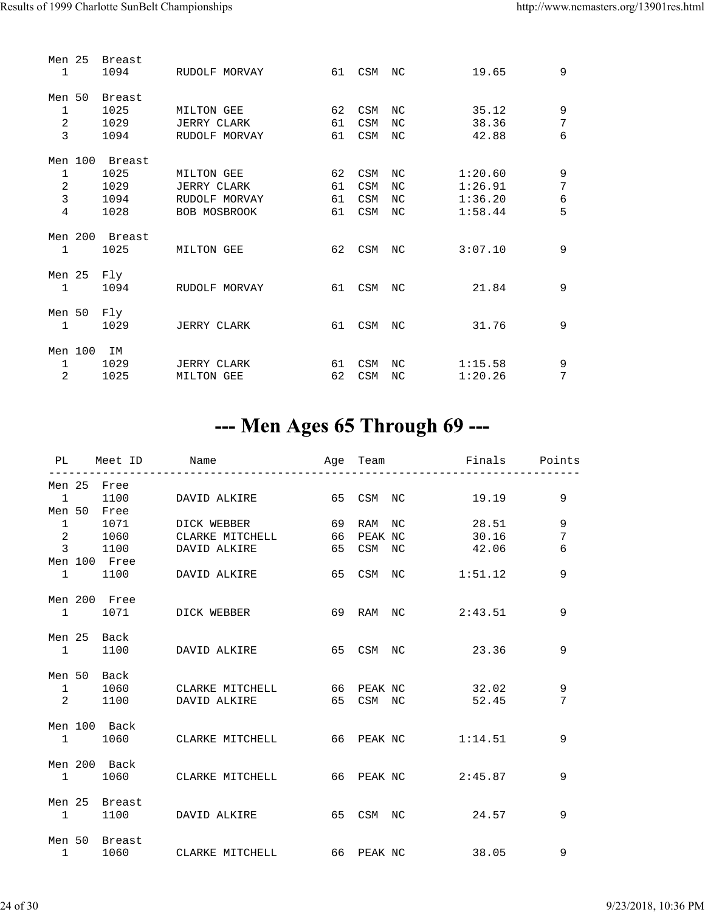| Men 25<br>$\mathbf{1}$ |         | <b>Breast</b><br>1094 | RUDOLF MORVAY       | 61 | CSM        | NC | 19.65   | 9              |
|------------------------|---------|-----------------------|---------------------|----|------------|----|---------|----------------|
| Men 50                 |         | Breast                |                     |    |            |    |         |                |
| $\mathbf{1}$           |         | 1025                  | MILTON GEE          | 62 | CSM        | NC | 35.12   | 9              |
| $\overline{2}$         |         | 1029                  | <b>JERRY CLARK</b>  | 61 | CSM        | NC | 38.36   | 7              |
| 3                      |         | 1094                  | RUDOLF MORVAY       | 61 | <b>CSM</b> | NC | 42.88   | 6              |
|                        | Men 100 | Breast                |                     |    |            |    |         |                |
| 1                      |         | 1025                  | MILTON GEE          | 62 | CSM        | NC | 1:20.60 | $\mathsf 9$    |
| $\overline{2}$         |         | 1029                  | <b>JERRY CLARK</b>  | 61 | <b>CSM</b> | NC | 1:26.91 | 7              |
| $\overline{3}$         |         | 1094                  | RUDOLF MORVAY       | 61 | CSM        | NC | 1:36.20 | 6              |
| 4                      |         | 1028                  | <b>BOB MOSBROOK</b> | 61 | CSM        | NC | 1:58.44 | 5              |
|                        | Men 200 | Breast                |                     |    |            |    |         |                |
| $\mathbf{1}$           |         | 1025                  | MILTON GEE          | 62 | CSM        | ΝC | 3:07.10 | 9              |
| Men 25                 |         | Fly                   |                     |    |            |    |         |                |
| $\mathbf{1}$           |         | 1094                  | RUDOLF MORVAY       | 61 | CSM        | NC | 21.84   | 9              |
| Men 50                 |         | Fly                   |                     |    |            |    |         |                |
| $\mathbf{1}$           |         | 1029                  | JERRY CLARK         | 61 | CSM        | NC | 31.76   | 9              |
| Men 100                |         | IΜ                    |                     |    |            |    |         |                |
| $\mathbf{1}$           |         | 1029                  | <b>JERRY CLARK</b>  | 61 | CSM        | NC | 1:15.58 | 9              |
| 2                      |         | 1025                  | MILTON GEE          | 62 | <b>CSM</b> | NC | 1:20.26 | $\overline{7}$ |

### --- Men Ages 65 Through 69 ---

|                         |              |               | PL Meet ID Name                           |  |           | Age Team     Finals   Points<br>--------------------------- |   |
|-------------------------|--------------|---------------|-------------------------------------------|--|-----------|-------------------------------------------------------------|---|
|                         |              | Men 25 Free   |                                           |  |           |                                                             |   |
|                         |              |               | 1 1100 DAVIDALKIRE 65 CSM NC 19.19        |  |           |                                                             | 9 |
|                         |              | Men 50 Free   |                                           |  |           |                                                             |   |
|                         | 1            |               | 1071 DICK WEBBER                          |  | 69 RAM NC | 28.51                                                       | 9 |
|                         |              |               | 2 1060 CLARKE MITCHELL                    |  |           | 66 PEAK NC 30.16                                            | 7 |
|                         |              |               | 3 1100 DAVID ALKIRE                       |  |           | 65 CSM NC 42.06                                             | 6 |
|                         |              | Men 100 Free  |                                           |  |           |                                                             |   |
|                         |              |               | 1 1100 DAVID ALKIRE                       |  | 65 CSM NC | 1:51.12                                                     | 9 |
|                         |              | Men 200 Free  |                                           |  |           |                                                             |   |
|                         |              |               | 1 1071 DICK WEBBER                        |  |           | 69 RAM NC 2:43.51                                           | 9 |
|                         |              |               |                                           |  |           |                                                             |   |
|                         |              | Men 25 Back   |                                           |  |           |                                                             |   |
|                         |              |               | 1 1100 DAVID ALKIRE 65 CSM NC 23.36       |  |           |                                                             | 9 |
|                         |              |               |                                           |  |           |                                                             |   |
|                         |              | Men 50 Back   |                                           |  |           |                                                             |   |
|                         | $\mathbf{1}$ |               | 1060 CLARKE MITCHELL 66 PEAK NC 32.02     |  |           |                                                             | 9 |
| $\overline{\mathbf{2}}$ |              |               | 1100 DAVID ALKIRE                         |  |           | 65 CSM NC 52.45                                             | 7 |
|                         |              |               |                                           |  |           |                                                             |   |
|                         |              | Men 100 Back  | 1 1060 CLARKE MITCHELL 66 PEAK NC 1:14.51 |  |           |                                                             | 9 |
|                         |              |               |                                           |  |           |                                                             |   |
|                         |              | Men 200 Back  |                                           |  |           |                                                             |   |
|                         |              |               | 1 1060 CLARKE MITCHELL 66 PEAK NC 2:45.87 |  |           |                                                             | 9 |
|                         |              |               |                                           |  |           |                                                             |   |
|                         |              | Men 25 Breast |                                           |  |           |                                                             |   |
|                         | $\sim$ 1     |               | 1100 DAVID ALKIRE 65 CSM NC 24.57         |  |           |                                                             | 9 |
|                         |              |               |                                           |  |           |                                                             |   |
|                         |              | Men 50 Breast |                                           |  |           |                                                             |   |
|                         |              |               | 1 1060 CLARKE MITCHELL 66 PEAK NC 38.05   |  |           |                                                             | 9 |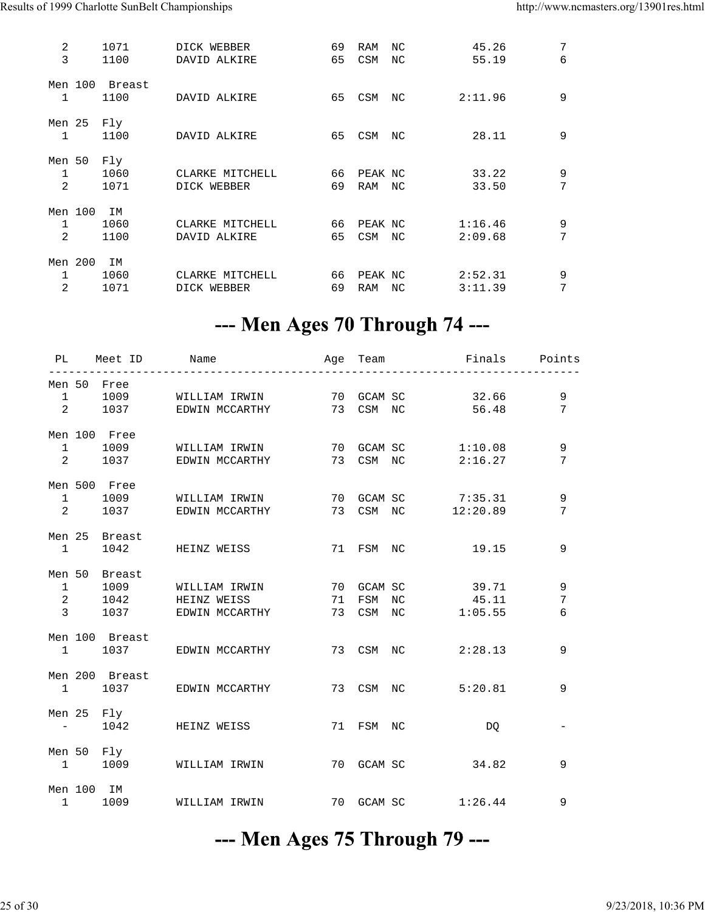| 2              |         | 1071   | DICK WEBBER     | 69 | RAM        | NC  | 45.26   | 7 |
|----------------|---------|--------|-----------------|----|------------|-----|---------|---|
| 3              |         | 1100   | DAVID ALKIRE    | 65 | CSM        | NC. | 55.19   | 6 |
|                | Men 100 | Breast |                 |    |            |     |         |   |
| $\mathbf{1}$   |         | 1100   | DAVID ALKIRE    | 65 | CSM        | NC  | 2:11.96 | 9 |
| Men 25         |         | Fly    |                 |    |            |     |         |   |
| 1              |         | 1100   | DAVID ALKIRE    | 65 | CSM        | NC  | 28.11   | 9 |
| Men 50         |         | Fly    |                 |    |            |     |         |   |
| 1              |         | 1060   | CLARKE MITCHELL | 66 | PEAK NC    |     | 33.22   | 9 |
| $\overline{2}$ |         | 1071   | DICK WEBBER     | 69 | RAM        | NC  | 33.50   | 7 |
| Men 100        |         | ΙM     |                 |    |            |     |         |   |
| 1              |         | 1060   | CLARKE MITCHELL | 66 | PEAK NC    |     | 1:16.46 | 9 |
| 2              |         | 1100   | DAVID ALKIRE    | 65 | <b>CSM</b> | NC  | 2:09.68 | 7 |
| Men 200        |         | IM     |                 |    |            |     |         |   |
| 1              |         | 1060   | CLARKE MITCHELL | 66 | PEAK NC    |     | 2:52.31 | 9 |
| 2              |         | 1071   | DICK WEBBER     | 69 | RAM        | NC. | 3:11.39 | 7 |

#### --- Men Ages 70 Through 74 ---

|                                               | PL Meet ID Name | ________________                                                             |    |           |           | -----------------                           | Age Team <b>Finals</b> Points |
|-----------------------------------------------|-----------------|------------------------------------------------------------------------------|----|-----------|-----------|---------------------------------------------|-------------------------------|
| $1 \qquad \qquad$                             | Men 50 Free     | 1009 WILLIAM IRWIN 70 GCAM SC 32.66<br>2 1037 EDWIN MCCARTHY 73 CSM NC 56.48 |    |           |           |                                             | 9<br>7                        |
| $1 \quad \cdots$                              | Men 100 Free    | 1009 WILLIAM IRWIN<br>2 1037 EDWIN MCCARTHY                                  |    |           |           | 70 GCAM SC 1:10.08<br>73 CSM NC 2:16.27     | 9<br>7                        |
| $2 \left( \frac{1}{2} \right)$                | Men 500 Free    | 1 1009 WILLIAM IRWIN 70 GCAM SC 7:35.31<br>1037 EDWIN MCCARTHY               |    |           |           | 73 CSM NC 12:20.89                          | 9<br>7                        |
| $\sim$ 1                                      | Men 25 Breast   | 1042 HEINZ WEISS                                                             |    |           |           | 71 FSM NC 19.15                             | 9                             |
| $\mathbf{1}$<br>$\overline{2}$<br>$3^{\circ}$ | Men 50 Breast   | 1009 WILLIAM IRWIN<br>1042 HEINZ WEISS<br>1037 EDWIN MCCARTHY                | 71 |           | 73 CSM NC | 70 GCAM SC 39.71<br>FSM NC 45.11<br>1:05.55 | 9<br>7<br>6                   |
|                                               | Men 100 Breast  | 1 1037 EDWIN MCCARTHY                                                        |    |           |           | 73 CSM NC 2:28.13                           | 9                             |
| $\mathbf{1}$                                  | Men 200 Breast  | 1037 EDWIN MCCARTHY                                                          |    |           |           | 73 CSM NC 5:20.81                           | 9                             |
| $\sim 10^{-10}$ and $\sim 10^{-10}$           | Men 25 Fly      | 1042 HEINZ WEISS                                                             |    | 71 FSM NC |           | DQ                                          |                               |
|                                               | Men 50 Fly      | 1 1009 WILLIAM IRWIN                                                         |    |           |           | 70 GCAM SC 34.82                            | 9                             |
|                                               | Men 100 IM      | 1 1009 WILLIAM IRWIN 70 GCAM SC 1:26.44                                      |    |           |           |                                             | 9                             |

#### --- Men Ages 75 Through 79 ---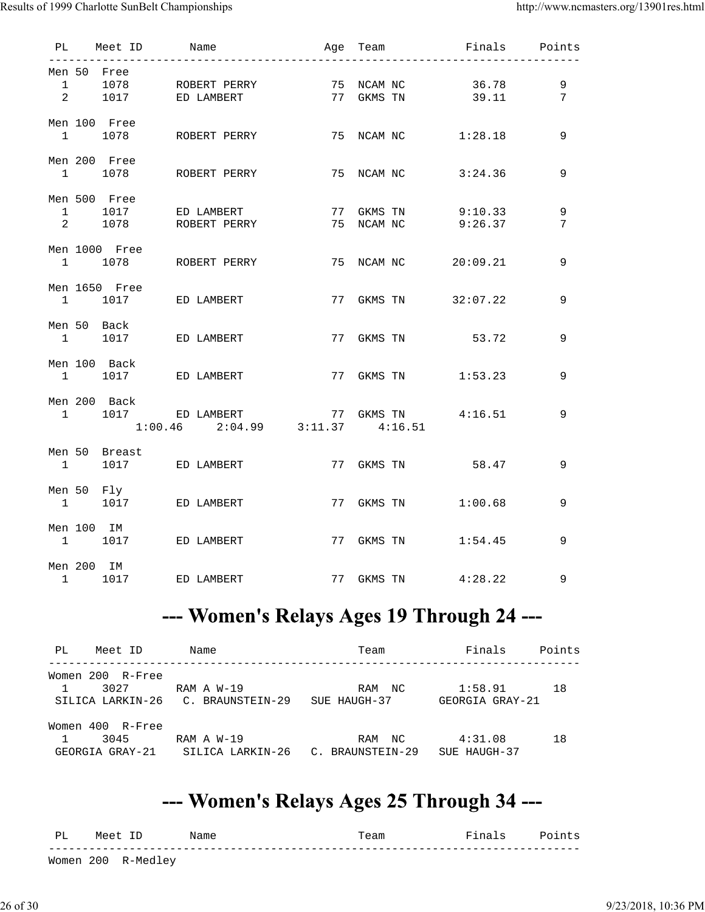Results of 1999 Charlotte SunBelt Championships http://www.ncmasters.org/13901res.html

|  | PL Meet ID    | Name |                                                                            |  |            | Age Team     Finals   Points |                 |
|--|---------------|------|----------------------------------------------------------------------------|--|------------|------------------------------|-----------------|
|  | Men 50 Free   |      |                                                                            |  |            |                              |                 |
|  |               |      | 1 1078 ROBERT PERRY 75 NCAM NC 36.78<br>2 1017 ED LAMBERT 77 GKMS TN 39.11 |  |            |                              | 9               |
|  |               |      |                                                                            |  |            |                              | $7\overline{ }$ |
|  | Men 100 Free  |      |                                                                            |  |            |                              |                 |
|  |               |      | $1$ 1078 ROBERT PERRY 75 NCAM NC $1:28.18$                                 |  |            |                              | 9               |
|  | Men 200 Free  |      |                                                                            |  |            |                              |                 |
|  |               |      | 1 1078 ROBERT PERRY 75 NCAM NC 3:24.36                                     |  |            |                              | 9               |
|  | Men 500 Free  |      |                                                                            |  |            |                              |                 |
|  |               |      | 1 1017 ED LAMBERT 77 GKMS TN 9:10.33                                       |  |            |                              | $\mathsf 9$     |
|  |               |      | 2 1078 ROBERT PERRY 75 NCAM NC 9:26.37                                     |  |            |                              | $7\phantom{.0}$ |
|  | Men 1000 Free |      |                                                                            |  |            |                              |                 |
|  |               |      | 1 1078 ROBERT PERRY 75 NCAM NC 20:09.21                                    |  |            |                              | 9               |
|  | Men 1650 Free |      |                                                                            |  |            |                              |                 |
|  |               |      | 1 1017 ED LAMBERT 77 GKMS TN 32:07.22                                      |  |            |                              | 9               |
|  | Men 50 Back   |      | 1 1017 ED LAMBERT 77 GKMS TN 53.72                                         |  |            |                              |                 |
|  |               |      |                                                                            |  |            |                              | 9               |
|  | Men 100 Back  |      | 1 1017 ED LAMBERT 77 GKMS TN 1:53.23                                       |  |            |                              | 9               |
|  |               |      |                                                                            |  |            |                              |                 |
|  | Men 200 Back  |      |                                                                            |  |            |                              | 9               |
|  |               |      | 1 1017 ED LAMBERT 77 GKMS TN 4:16.51<br>1:00.46 2:04.99 3:11.37 4:16.51    |  |            |                              |                 |
|  | Men 50 Breast |      |                                                                            |  |            |                              |                 |
|  |               |      | 1 1017 ED LAMBERT 77 GKMS TN 58.47                                         |  |            |                              | 9               |
|  | Men 50 Fly    |      |                                                                            |  |            |                              |                 |
|  |               |      | 1 1017 ED LAMBERT                                                          |  |            | 77 GKMS TN 1:00.68           | 9               |
|  | Men 100 IM    |      |                                                                            |  |            |                              |                 |
|  |               |      | 1 1017 ED LAMBERT                                                          |  | 77 GKMS TN | 1:54.45                      | 9               |
|  | Men 200 IM    |      | 1 1017 ED LAMBERT                                                          |  |            | 77 GKMS TN 4:28.22           |                 |
|  |               |      |                                                                            |  |            |                              | 9               |

## --- Women's Relays Ages 19 Through 24 ---

| PL<br>Meet ID                                  | Name                                            | Team                          | Finals                     | Points |
|------------------------------------------------|-------------------------------------------------|-------------------------------|----------------------------|--------|
| Women 200<br>R-Free<br>3027                    | RAM A W-19<br>SILICA LARKIN-26 C. BRAUNSTEIN-29 | RAM<br>NC<br>SUE HAUGH-37     | 1:58.91<br>GEORGIA GRAY-21 | 18     |
| Women 400<br>R-Free<br>3045<br>GEORGIA GRAY-21 | RAM A W-19<br>SILICA LARKIN-26                  | NC<br>RAM<br>C. BRAUNSTEIN-29 | 4:31.08<br>SUE HAUGH-37    | 18     |

#### --- Women's Relays Ages 25 Through 34 ---

| PL | Meet | Name | l'eam | -- | $\overline{\phantom{a}}$<br>- ~ ~<br>--- |
|----|------|------|-------|----|------------------------------------------|
|    |      |      |       |    |                                          |

Women 200 R-Medley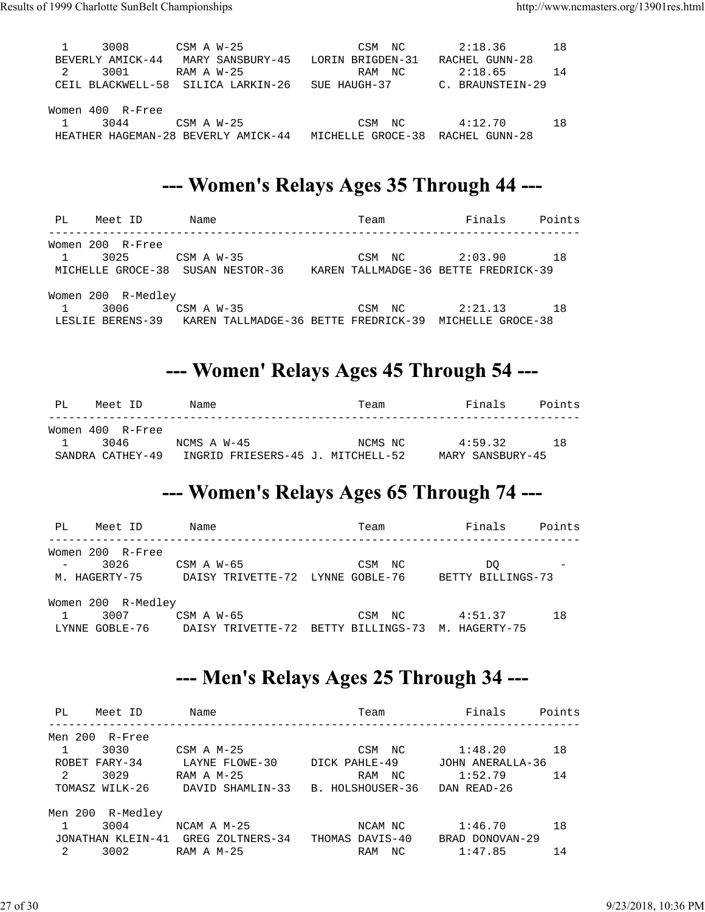| 14  |
|-----|
|     |
|     |
|     |
|     |
|     |
| 1 R |
|     |
|     |

#### --- Women's Relays Ages 35 Through 44 ---

| PL | Meet ID            | Name                                                  | Team                                 | Finals<br>Points  |  |
|----|--------------------|-------------------------------------------------------|--------------------------------------|-------------------|--|
|    | Women 200 R-Free   |                                                       |                                      |                   |  |
| 1  | 3025               | $CSM$ A $W-35$                                        | NC<br>CSM                            | 18<br>2:03.90     |  |
|    |                    | MICHELLE GROCE-38 SUSAN NESTOR-36                     | KAREN TALLMADGE-36 BETTE FREDRICK-39 |                   |  |
|    | Women 200 R-Medley |                                                       |                                      |                   |  |
| 1  | 3006               | $CSM$ A $W-35$                                        | NC<br>CSM                            | 18<br>2:21.13     |  |
|    |                    | LESLIE BERENS-39 KAREN TALLMADGE-36 BETTE FREDRICK-39 |                                      | MICHELLE GROCE-38 |  |

#### --- Women' Relays Ages 45 Through 54 ---

| PT.          | Meet ID          | Name                              | Team    | Finals           | Points |
|--------------|------------------|-----------------------------------|---------|------------------|--------|
|              | Women 400 R-Free |                                   |         |                  |        |
| $\mathbf{1}$ | 3046             | NCMS A W-45                       | NCMS NC | 4:59.32          | 1 R    |
|              | SANDRA CATHEY-49 | INGRID FRIESERS-45 J. MITCHELL-52 |         | MARY SANSBURY-45 |        |

#### --- Women's Relays Ages 65 Through 74 ---

| PL  | Meet ID            | Name                                              | Team       | Finals            | Points |
|-----|--------------------|---------------------------------------------------|------------|-------------------|--------|
|     | Women 200 R-Free   |                                                   |            |                   |        |
| $-$ | 3026               | $CSM$ A $W-65$                                    | CSM<br>NC  | DO.               |        |
|     | M. HAGERTY-75      | DAISY TRIVETTE-72 LYNNE GOBLE-76                  |            | BETTY BILLINGS-73 |        |
|     | Women 200 R-Medley |                                                   |            |                   |        |
|     | 3007               | $CSM$ A $W-65$                                    | CSM<br>NC. | 4:51.37           | 18     |
|     | LYNNE GOBLE-76     | DAISY TRIVETTE-72 BETTY BILLINGS-73 M. HAGERTY-75 |            |                   |        |

#### --- Men's Relays Ages 25 Through 34 ---

| PL.     | Meet ID           | Name             | Team             | Finals           | Points |
|---------|-------------------|------------------|------------------|------------------|--------|
| Men 200 | R-Free            |                  |                  |                  |        |
|         | 3030              | $CSM$ A $M-25$   | CSM<br>NC.       | 1:48.20          | 18     |
|         | ROBET FARY-34     | LAYNE FLOWE-30   | DICK PAHLE-49    | JOHN ANERALLA-36 |        |
| 2       | 3029              | $RAM A M-25$     | RAM<br>NC.       | 1:52.79          | 14     |
|         | TOMASZ WILK-26    | DAVID SHAMLIN-33 | B. HOLSHOUSER-36 | DAN READ-26      |        |
|         | Men 200 R-Medley  |                  |                  |                  |        |
|         | 3004              | $NCAM A M-25$    | NCAM NC          | 1:46.70          | 18     |
|         | JONATHAN KLEIN-41 | GREG ZOLTNERS-34 | THOMAS DAVIS-40  | BRAD DONOVAN-29  |        |
| 2       | 3002              | $RAM A M-25$     | NC<br>RAM        | 1:47.85          | 14     |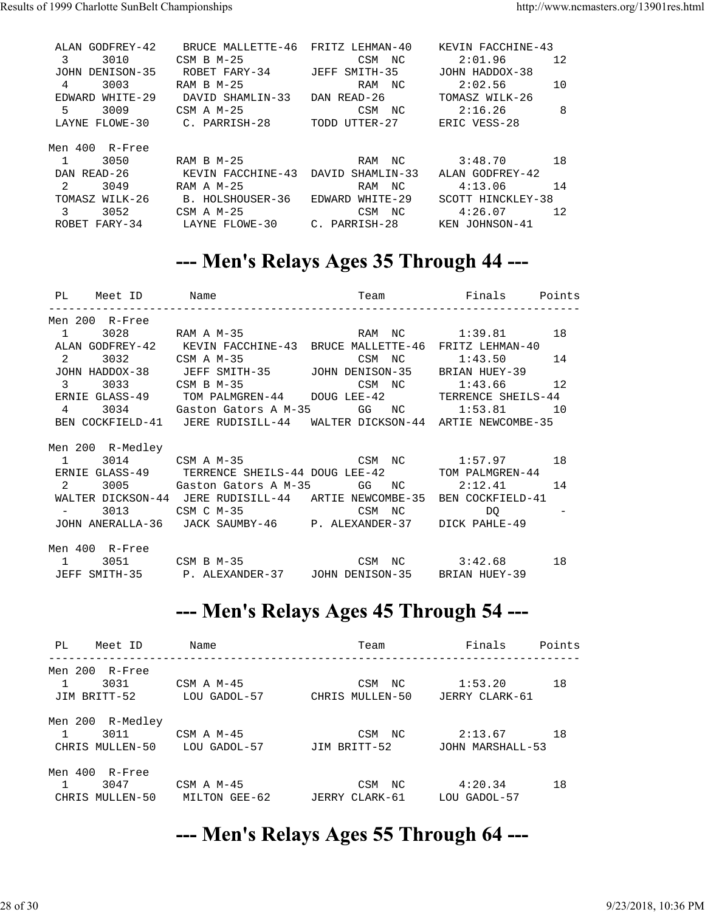| ALAN GODFREY-42    | BRUCE MALLETTE-46                  | FRITZ LEHMAN-40 | KEVIN FACCHINE-43 |
|--------------------|------------------------------------|-----------------|-------------------|
| 3<br>3010          | $CSM$ B $M-25$                     | CSM NC          | 2:01.96<br>12     |
| JOHN DENISON-35    | ROBET FARY-34                      | JEFF SMITH-35   | JOHN HADDOX-38    |
| 3003<br>4          | $RAM B M-25$                       | RAM NC          | 10<br>2:02.56     |
| WHITE-29<br>EDWARD | DAVID SHAMLIN-33                   | DAN READ-26     | TOMASZ WILK-26    |
| 5.<br>3009         | $CSM \land M-25$                   | CSM NC          | 8<br>2:16.26      |
| LAYNE FLOWE-30     | C. PARRISH-28                      | TODD UTTER-27   | ERIC VESS-28      |
| Men 400 R-Free     |                                    |                 |                   |
| 3050               | RAM B M-25                         | RAM NC          | 18<br>3:48.70     |
| DAN READ-26        | KEVIN FACCHINE-43 DAVID SHAMLIN-33 |                 | ALAN GODFREY-42   |
| 2<br>3049          | RAM A $M-25$                       | RAM NC          | 14<br>4:13.06     |
| TOMASZ WILK-26     | B. HOLSHOUSER-36                   | EDWARD WHITE-29 | SCOTT HINCKLEY-38 |
| 3052<br>3          | $CSM \land M-25$                   | CSM NC          | 4:26.07<br>12     |
| ROBET FARY-34      | LAYNE FLOWE-30                     | C. PARRISH-28   | KEN JOHNSON-41    |

#### --- Men's Relays Ages 35 Through 44 ---

|  | 1 3028 RAM A M-35 RAM NC 1:39.81 18<br>ALAN GODFREY-42 KEVIN FACCHINE-43 BRUCE MALLETTE-46 FRITZ LEHMAN-40<br>2 3032 CSM A M-35 CSM NC 1:43.50 14<br>JOHN HADDOX-38 JEFF SMITH-35 JOHN DENISON-35 BRIAN HUEY-39<br>3 3033 CSM B M-35 CSM NC 1:43.66 12<br>ERNIE GLASS-49 TOM PALMGREN-44 DOUG LEE-42 TERRENCE SHEILS-44<br>4 3034 Gaston Gators A M-35 GG NC 1:53.81 10<br>BEN COCKFIELD-41 JERE RUDISILL-44 WALTER DICKSON-44 ARTIE NEWCOMBE-35<br>1 3014 CSM A M-35 CSM NC 1:57.97 18<br>ERNIE GLASS-49 TERRENCE SHEILS-44 DOUG LEE-42 TOM PALMGREN-44<br>2 3005 Gaston Gators A M-35 GG NC 2:12.41 14<br>WALTER DICKSON-44 JERE RUDISILL-44 ARTIE NEWCOMBE-35 BEN COCKFIELD-41<br>3013 CSM C M-35 CSM NC DQ<br>JOHN ANERALLA-36 JACK SAUMBY-46 P. ALEXANDER-37 DICK PAHLE-49<br>1 3051 CSM B M-35 CSM NC 3:42.68 18<br>JEFF SMITH-35 P. ALEXANDER-37 JOHN DENISON-35 BRIAN HUEY-39 |
|--|---------------------------------------------------------------------------------------------------------------------------------------------------------------------------------------------------------------------------------------------------------------------------------------------------------------------------------------------------------------------------------------------------------------------------------------------------------------------------------------------------------------------------------------------------------------------------------------------------------------------------------------------------------------------------------------------------------------------------------------------------------------------------------------------------------------------------------------------------------------------------------------|

#### --- Men's Relays Ages 45 Through 54 ---

| PL.<br>Meet ID      | Name             | Team              | Finals           | Points |
|---------------------|------------------|-------------------|------------------|--------|
| Men 200<br>R-Free   |                  |                   |                  |        |
| 3031                | CSM $\land$ M-45 | CSM<br>NC.        | 1:53.20          | 18     |
| JIM BRITT-52        | LOU GADOL-57     | CHRIS MULLEN-50   | JERRY CLARK-61   |        |
| R-Medley<br>Men 200 |                  |                   |                  |        |
| 3011                | CSM $\land$ M-45 | CSM<br>NC.        | 2:13.67          | 18     |
| CHRIS MULLEN-50     | LOU GADOL-57     | JIM BRITT-52      | JOHN MARSHALL-53 |        |
| Men 400<br>R-Free   |                  |                   |                  |        |
| 3047                | CSM $\land$ M-45 | NC.<br>CSM        | 4:20.34          | 18     |
| MULLEN-50<br>CHRIS  | MILTON GEE-62    | CLARK-61<br>JERRY | LOU GADOL-57     |        |

### --- Men's Relays Ages 55 Through 64 ---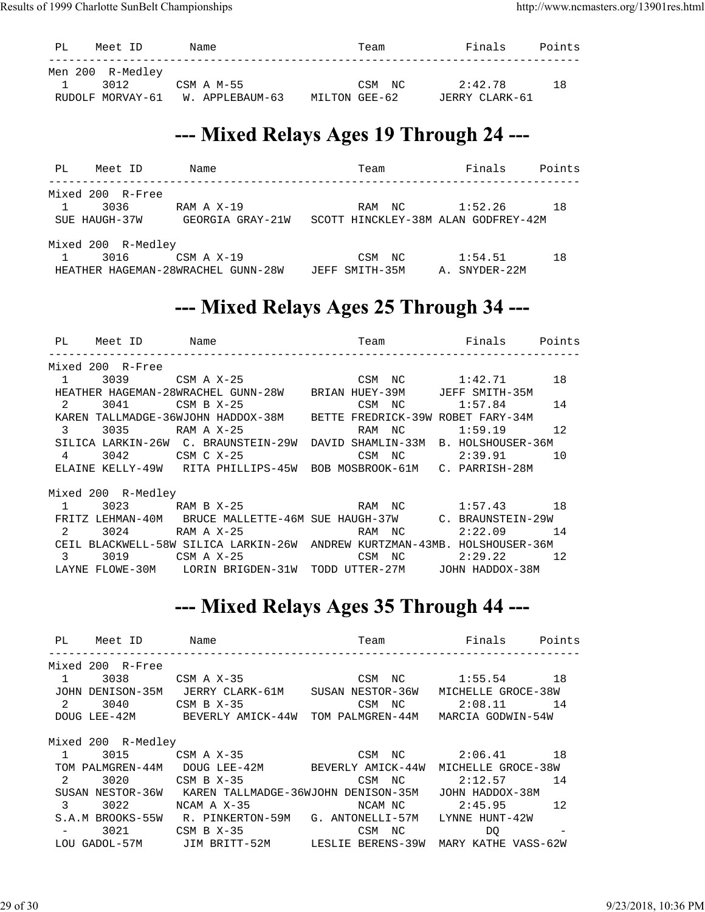| Men 200 R-Medley<br>2:42.78<br>3012<br>CSM A M-55<br>1 R<br>CSM NC<br>RUDOLF MORVAY-61 W. APPLEBAUM-63 | PL | Meet ID | Name | Team          | Finals         | Points |
|--------------------------------------------------------------------------------------------------------|----|---------|------|---------------|----------------|--------|
|                                                                                                        |    |         |      | MILTON GEE-62 | JERRY CLARK-61 |        |

#### --- Mixed Relays Ages 19 Through 24 ---

| PL | Meet ID            | Name                               | Team                                | Finals        | Points |
|----|--------------------|------------------------------------|-------------------------------------|---------------|--------|
|    | Mixed 200 R-Free   |                                    |                                     |               |        |
| 1  | 3036               | RAM A X-19                         | RAM<br>NC                           | 1:52.26       | 18     |
|    | SUE HAUGH-37W      | GEORGIA GRAY-21W                   | SCOTT HINCKLEY-38M ALAN GODFREY-42M |               |        |
|    | Mixed 200 R-Medley |                                    |                                     |               |        |
|    | 3016               | CSM A X-19                         | NC.<br>CSM                          | 1:54.51       | 18     |
|    |                    | HEATHER HAGEMAN-28WRACHEL GUNN-28W | SMITH-35M<br>JEFF                   | A. SNYDER-22M |        |

#### --- Mixed Relays Ages 25 Through 34 ---

| PL               | Meet ID Name       |                                                                           |        | Team Finals Points |    |
|------------------|--------------------|---------------------------------------------------------------------------|--------|--------------------|----|
|                  | Mixed 200 R-Free   |                                                                           |        |                    |    |
| $1 \quad \cdots$ | 3039               | CSM A X-25 CSM NC 1:42.71 18                                              |        |                    |    |
|                  |                    | HEATHER HAGEMAN-28WRACHEL GUNN-28W BRIAN HUEY-39M JEFF SMITH-35M          |        |                    |    |
| $\mathbf{2}$     | 3041               | CSM B X-25                                                                | CSM NC | 1:57.84            | 14 |
|                  |                    | KAREN TALLMADGE-36WJOHN HADDOX-38M BETTE FREDRICK-39W ROBET FARY-34M      |        |                    |    |
| $\overline{3}$   | 3035 RAM A X-25    |                                                                           | RAM NC | 1:59.19            | 12 |
|                  |                    | SILICA LARKIN-26W C. BRAUNSTEIN-29W DAVID SHAMLIN-33M B. HOLSHOUSER-36M   |        |                    |    |
| $4\degree$       |                    | 3042 CSM C X-25                                                           |        | CSM NC 2:39.91 10  |    |
|                  |                    | ELAINE KELLY-49W RITA PHILLIPS-45W BOB MOSBROOK-61M C. PARRISH-28M        |        |                    |    |
|                  | Mixed 200 R-Medley |                                                                           |        |                    |    |
| $\mathbf{1}$     |                    | 3023 RAM B X-25 RAM NC 1:57.43 18                                         |        |                    |    |
|                  |                    | FRITZ LEHMAN-40M BRUCE MALLETTE-46M SUE HAUGH-37W C. BRAUNSTEIN-29W       |        |                    |    |
| $\overline{2}$   | 3024               | RAM A $X-25$                                                              | RAM NC | $2:22.09$ 14       |    |
|                  |                    | CEIL BLACKWELL-58W SILICA LARKIN-26W ANDREW KURTZMAN-43MB. HOLSHOUSER-36M |        |                    |    |
| 3                | 3019               | CSM A X-25                                                                | CSM NC | $2:29.22$ 12       |    |
|                  |                    | LAYNE FLOWE-30M LORIN BRIGDEN-31W TODD UTTER-27M JOHN HADDOX-38M          |        |                    |    |

#### --- Mixed Relays Ages 35 Through 44 ---

| PL<br>Meet ID        | Name                                                                 | <b>Example 1</b> Finals<br>Team |                    | Points |
|----------------------|----------------------------------------------------------------------|---------------------------------|--------------------|--------|
| Mixed 200 R-Free     |                                                                      |                                 |                    |        |
| $\mathbf{1}$<br>3038 | $CSM$ A $X-35$                                                       | CSM NC                          | $1:55.54$ 18       |        |
|                      | JOHN DENISON-35M JERRY CLARK-61M SUSAN NESTOR-36W                    |                                 | MICHELLE GROCE-38W |        |
| 2<br>3040            | $CSM$ B $X-35$                                                       | CSM NC                          | 2:08.11            | 14     |
|                      | DOUG LEE-42M BEVERLY AMICK-44W TOM PALMGREN-44M                      |                                 | MARCIA GODWIN-54W  |        |
| Mixed 200 R-Medley   |                                                                      |                                 |                    |        |
| 3015<br>1            | $CSM$ A $X-35$                                                       |                                 | CSM NC 2:06.41 18  |        |
| TOM PALMGREN-44M     |                                                                      | DOUG LEE-42M BEVERLY AMICK-44W  | MICHELLE GROCE-38W |        |
| 2<br>3020            | $CSM$ B $X-35$                                                       | CSM NC                          | 2:12.57            | 14     |
|                      | SUSAN NESTOR-36W KAREN TALLMADGE-36WJOHN DENISON-35M JOHN HADDOX-38M |                                 |                    |        |
| $\mathbf{3}$<br>3022 | $NCAM A X-35$                                                        | NCAM NC                         | 2:45.95            | 12     |
|                      | S.A.M BROOKS-55W R. PINKERTON-59M G. ANTONELLI-57M                   |                                 | LYNNE HUNT-42W     |        |
| 3021                 | CSM B $X-35$                                                         | CSM<br>NC                       | DO                 |        |
|                      | LOU GADOL-57M JIM BRITT-52M LESLIE BERENS-39W MARY KATHE VASS-62W    |                                 |                    |        |